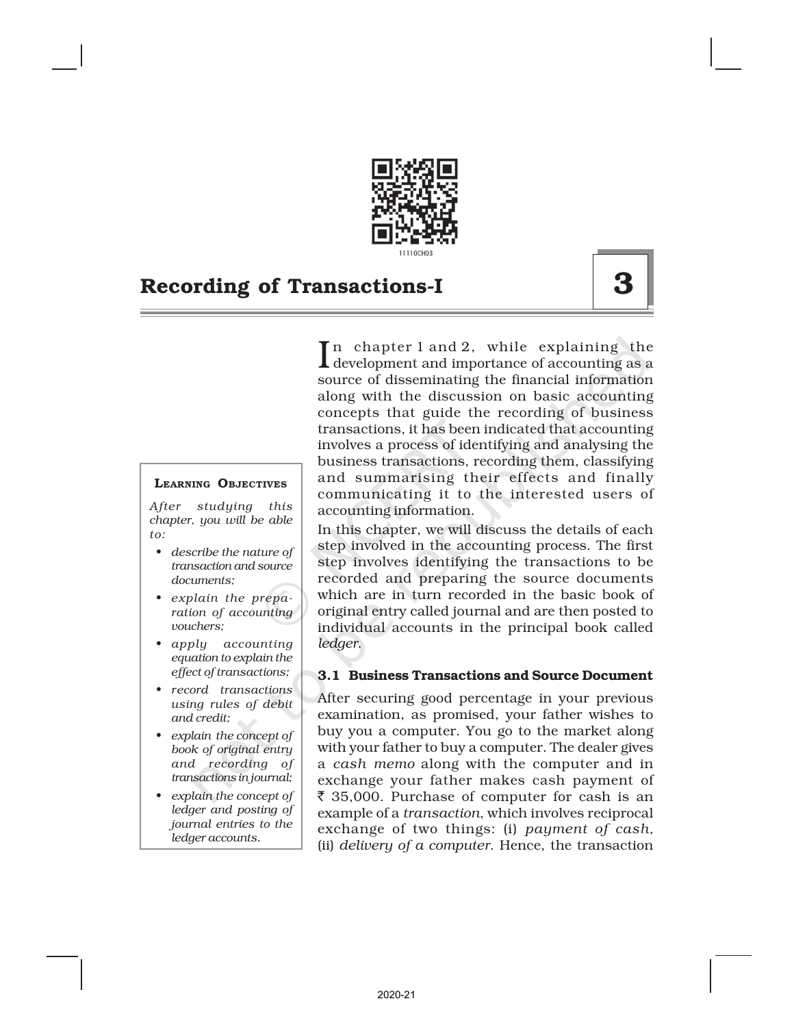

### LEARNING OBJECTIVES

*After studying this chapter, you will be able to:*

- *• describe the nature of transaction and source documents;*
- *• explain the preparation of accounting vouchers;*
- *• apply accounting equation to explain the effect of transactions;*
- *• record transactions using rules of debit and credit;*
- *• explain the concept of book of original entry and recording of transactions in journal;*
- *• explain the concept of ledger and posting of journal entries to the ledger accounts.*

In chapter 1 and 2, while explaining the<br>development and importance of accounting as a development and importance of accounting as a source of disseminating the financial information along with the discussion on basic accounting concepts that guide the recording of business transactions, it has been indicated that accounting involves a process of identifying and analysing the business transactions, recording them, classifying and summarising their effects and finally communicating it to the interested users of accounting information.

In this chapter, we will discuss the details of each step involved in the accounting process. The first step involves identifying the transactions to be recorded and preparing the source documents which are in turn recorded in the basic book of original entry called journal and are then posted to individual accounts in the principal book called *ledger*.

### 3.1 Business Transactions and Source Document

After securing good percentage in your previous examination, as promised, your father wishes to buy you a computer. You go to the market along with your father to buy a computer. The dealer gives a *cash memo* along with the computer and in exchange your father makes cash payment of  $\bar{\xi}$  35,000. Purchase of computer for cash is an example of a *transaction*, which involves reciprocal exchange of two things: (i) *payment of cash,* (ii) *delivery of a computer*. Hence, the transaction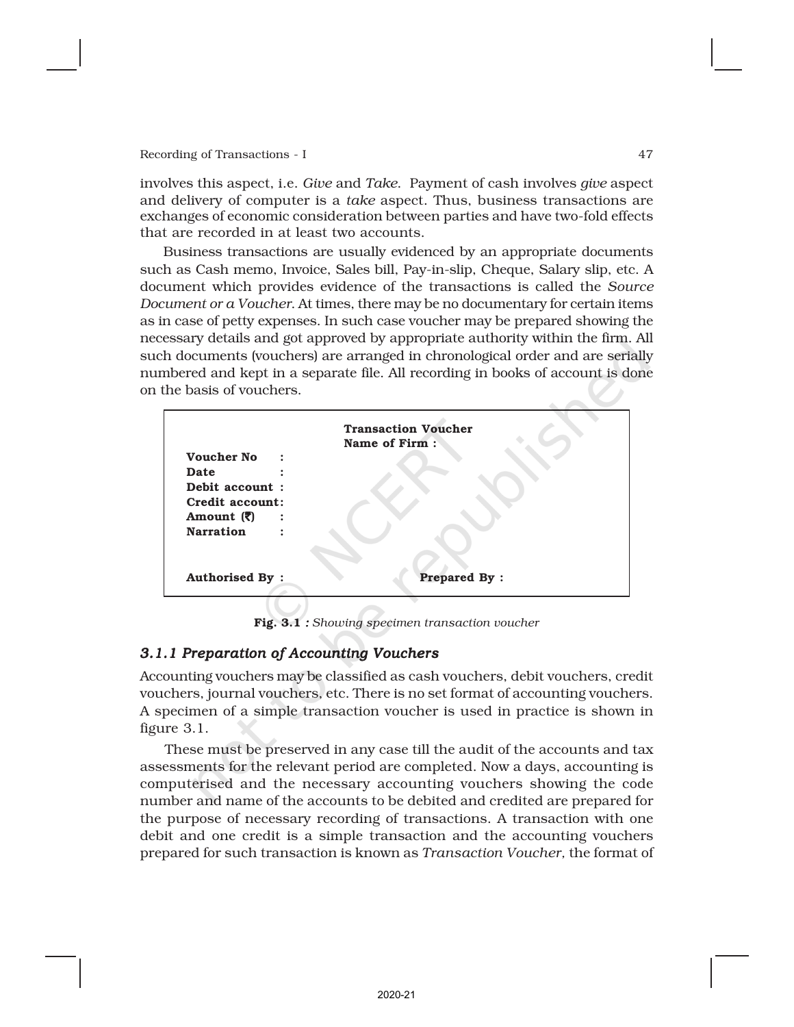involves this aspect, i.e. *Give* and *Take*. Payment of cash involves *give* aspect and delivery of computer is a *take* aspect. Thus, business transactions are exchanges of economic consideration between parties and have two-fold effects that are recorded in at least two accounts.

Business transactions are usually evidenced by an appropriate documents such as Cash memo, Invoice, Sales bill, Pay-in-slip, Cheque, Salary slip, etc. A document which provides evidence of the transactions is called the *Source Document or a Voucher*. At times, there may be no documentary for certain items as in case of petty expenses. In such case voucher may be prepared showing the necessary details and got approved by appropriate authority within the firm. All such documents (vouchers) are arranged in chronological order and are serially numbered and kept in a separate file. All recording in books of account is done on the basis of vouchers.



Fig. 3.1 *: Showing specimen transaction voucher*

### *3.1.1 Preparation of Accounting Vouchers*

Accounting vouchers may be classified as cash vouchers, debit vouchers, credit vouchers, journal vouchers, etc. There is no set format of accounting vouchers. A specimen of a simple transaction voucher is used in practice is shown in figure 3.1.

These must be preserved in any case till the audit of the accounts and tax assessments for the relevant period are completed. Now a days, accounting is computerised and the necessary accounting vouchers showing the code number and name of the accounts to be debited and credited are prepared for the purpose of necessary recording of transactions. A transaction with one debit and one credit is a simple transaction and the accounting vouchers prepared for such transaction is known as *Transaction Voucher,* the format of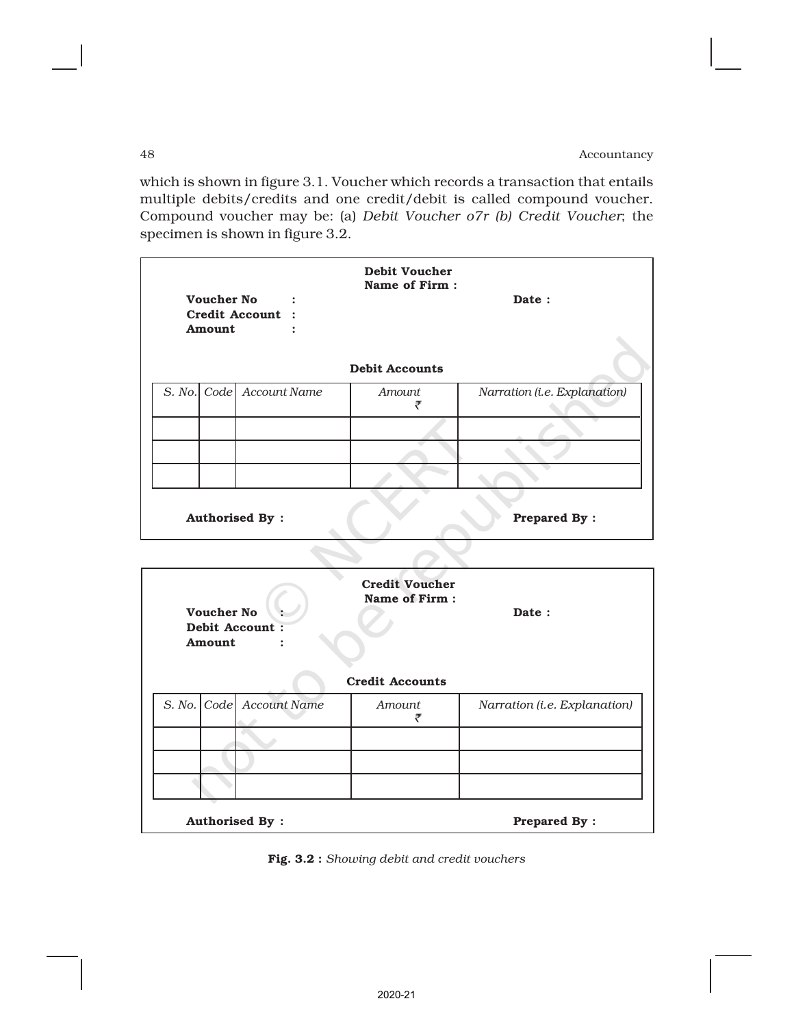which is shown in figure 3.1. Voucher which records a transaction that entails multiple debits/credits and one credit/debit is called compound voucher. Compound voucher may be: (a) *Debit Voucher o7r (b) Credit Voucher*; the specimen is shown in figure 3.2.

|                                              | <b>Voucher No</b><br><b>Amount</b> | Credit Account :         | <b>Debit Voucher</b><br>Name of Firm:<br><b>Debit Accounts</b> | Date:                        |  |  |
|----------------------------------------------|------------------------------------|--------------------------|----------------------------------------------------------------|------------------------------|--|--|
|                                              |                                    | S. No. Code Account Name | <b>Amount</b>                                                  | Narration (i.e. Explanation) |  |  |
|                                              |                                    |                          | ₹                                                              |                              |  |  |
|                                              |                                    |                          |                                                                |                              |  |  |
|                                              |                                    |                          |                                                                |                              |  |  |
|                                              |                                    |                          |                                                                |                              |  |  |
| <b>Authorised By:</b><br><b>Prepared By:</b> |                                    |                          |                                                                |                              |  |  |

| <b>Voucher No</b><br>Amount | Debit Account:           | Date:       |                              |
|-----------------------------|--------------------------|-------------|------------------------------|
|                             | S. No. Code Account Name | Amount<br>₹ | Narration (i.e. Explanation) |
|                             |                          |             |                              |
|                             |                          |             |                              |
|                             |                          |             |                              |
|                             | <b>Authorised By:</b>    |             | <b>Prepared By:</b>          |

 $\curvearrowright$ 

Fig. 3.2 : *Showing debit and credit vouchers*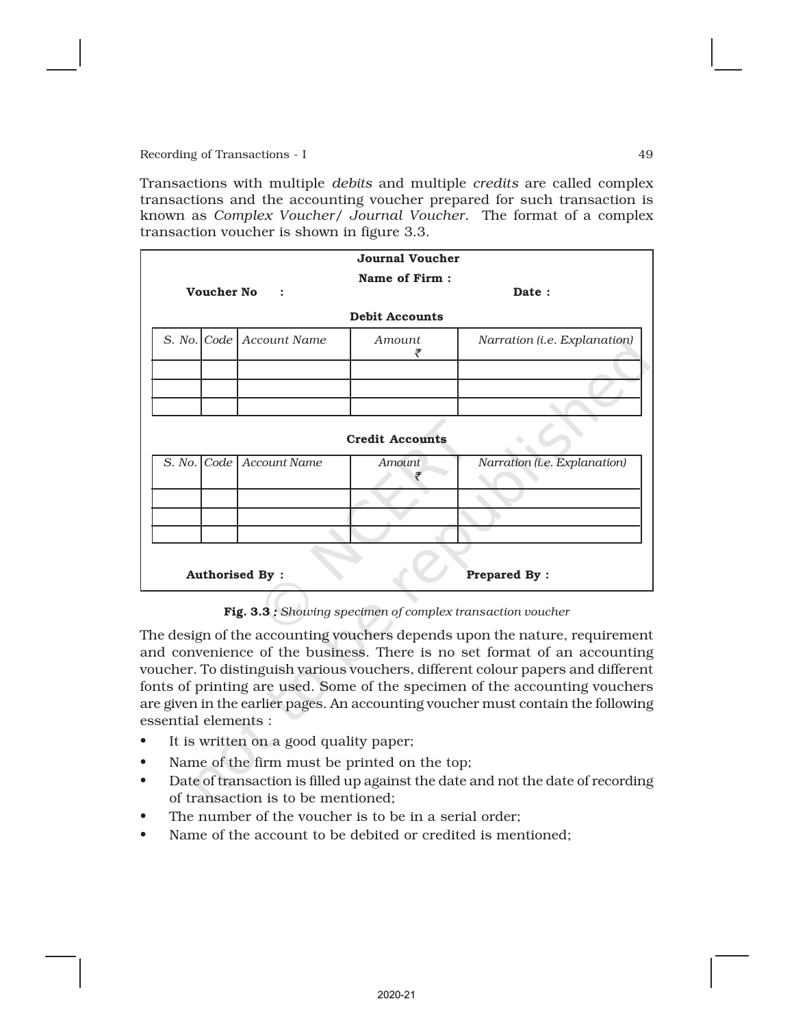Transactions with multiple *debits* and multiple *credits* are called complex transactions and the accounting voucher prepared for such transaction is known as *Complex Voucher/ Journal Voucher.* The format of a complex transaction voucher is shown in figure 3.3.

| <b>Journal Voucher</b>                       |                   |                            |                        |                              |  |  |  |  |  |
|----------------------------------------------|-------------------|----------------------------|------------------------|------------------------------|--|--|--|--|--|
|                                              |                   |                            | Name of Firm:          |                              |  |  |  |  |  |
|                                              | <b>Voucher No</b> | $\ddot{\cdot}$             |                        | Date:                        |  |  |  |  |  |
| <b>Debit Accounts</b>                        |                   |                            |                        |                              |  |  |  |  |  |
|                                              |                   | S. No. Code   Account Name | <i>Amount</i><br>₹     | Narration (i.e. Explanation) |  |  |  |  |  |
|                                              |                   |                            |                        |                              |  |  |  |  |  |
|                                              |                   |                            |                        |                              |  |  |  |  |  |
|                                              |                   |                            |                        |                              |  |  |  |  |  |
|                                              |                   |                            | <b>Credit Accounts</b> |                              |  |  |  |  |  |
|                                              |                   | S. No. Code   Account Name | <b>Amount</b>          | Narration (i.e. Explanation) |  |  |  |  |  |
|                                              |                   |                            |                        |                              |  |  |  |  |  |
|                                              |                   |                            |                        |                              |  |  |  |  |  |
|                                              |                   |                            |                        |                              |  |  |  |  |  |
| <b>Authorised By:</b><br><b>Prepared By:</b> |                   |                            |                        |                              |  |  |  |  |  |

Fig. 3.3 *: Showing specimen of complex transaction voucher*

The design of the accounting vouchers depends upon the nature, requirement and convenience of the business. There is no set format of an accounting voucher. To distinguish various vouchers, different colour papers and different fonts of printing are used. Some of the specimen of the accounting vouchers are given in the earlier pages. An accounting voucher must contain the following essential elements :

- It is written on a good quality paper;
- Name of the firm must be printed on the top;
- Date of transactionis filled up against the date and not the date of recording of transaction is to be mentioned;
- The number of the voucher is to be in a serial order;
- Name of the accountto be debited or credited is mentioned;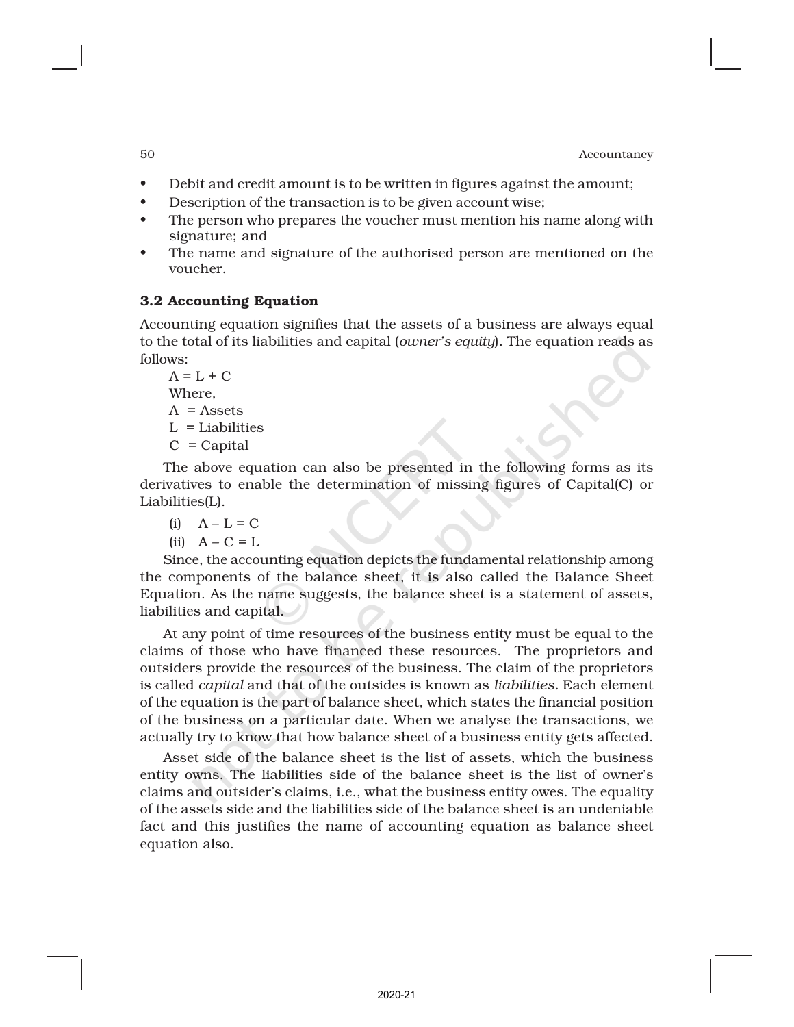- Debit and credit amount is to be written in figures against the amount;
- Description of the transaction is to be given account wise;
- The person who prepares the voucher must mention his name along with signature; and
- The name and signature of the authorised person are mentioned on the voucher.

### 3.2 Accounting Equation

Accounting equation signifies that the assets of a business are always equal to the total of its liabilities and capital (*owner's equity*). The equation reads as follows:

 $A = L + C$ Where,  $A =$ Assets  $L =$ Liabilities  $C = Capital$ 

The above equation can also be presented in the following forms as its derivatives to enable the determination of missing figures of Capital(C) or Liabilities(L).

 $(i)$   $A - L = C$ 

(ii)  $A - C = L$ 

Since, the accounting equation depicts the fundamental relationship among the components of the balance sheet, it is also called the Balance Sheet Equation. As the name suggests, the balance sheet is a statement of assets, liabilities and capital.

At any point of time resources of the business entity must be equal to the claims of those who have financed these resources. The proprietors and outsiders provide the resources of the business. The claim of the proprietors is called *capital* and that of the outsides is known as *liabilities.* Each element of the equation is the part of balance sheet, which states the financial position of the business on a particular date. When we analyse the transactions, we actually try to know that how balance sheet of a business entity gets affected.

Asset side of the balance sheet is the list of assets, which the business entity owns. The liabilities side of the balance sheet is the list of owner's claims and outsider's claims, i.e., what the business entity owes. The equality of the assets side and the liabilities side of the balance sheet is an undeniable fact and this justifies the name of accounting equation as balance sheet equation also.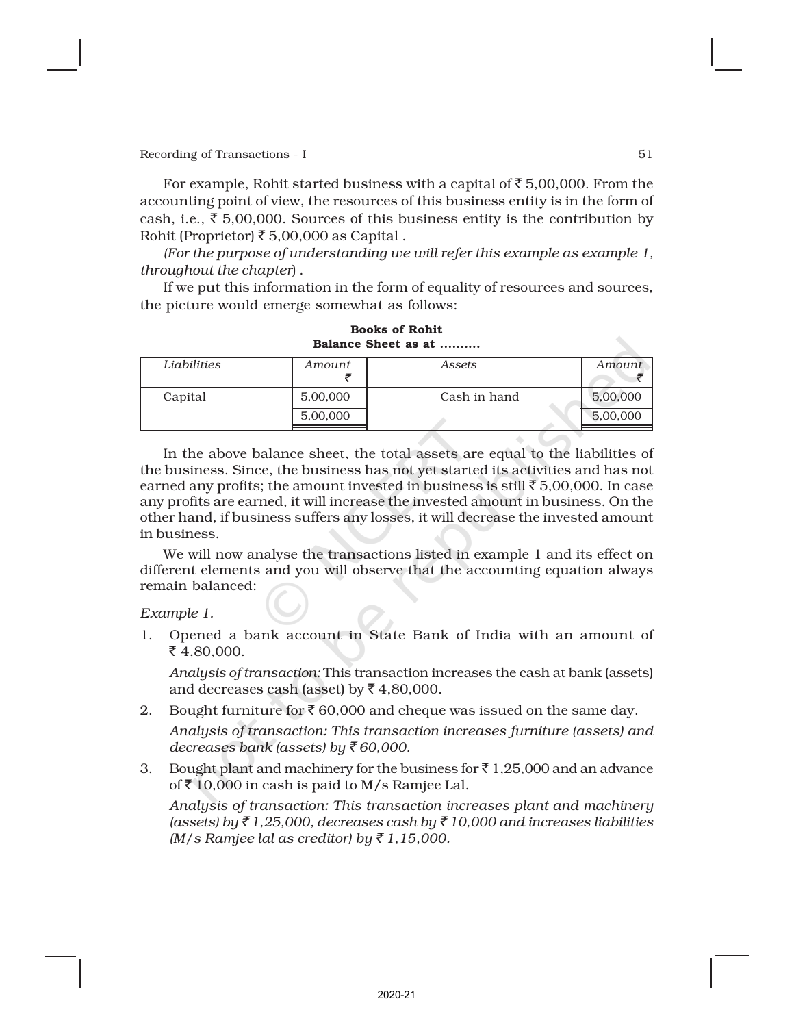For example, Rohit started business with a capital of  $\bar{z}$  5,00,000. From the accounting point of view, the resources of this business entity is in the form of cash, i.e.,  $\bar{\xi}$  5,00,000. Sources of this business entity is the contribution by Rohit (Proprietor) ₹ 5,00,000 as Capital.

*(For the purpose of understanding we will refer this example as example 1, throughout the chapter*) .

If we put this information in the form of equality of resources and sources, the picture would emerge somewhat as follows:

| Liabilities | Amount   | Assets       | Amount   |  |  |  |  |
|-------------|----------|--------------|----------|--|--|--|--|
|             |          |              |          |  |  |  |  |
| Capital     | 5,00,000 | Cash in hand | 5,00,000 |  |  |  |  |
|             | 5,00,000 |              | 5,00,000 |  |  |  |  |
|             |          |              |          |  |  |  |  |

Books of Rohit Balance Sheet as at

In the above balance sheet, the total assets are equal to the liabilities of the business. Since, the business has not yet started its activities and has not earned any profits; the amount invested in business is still  $\bar{\tau}$  5,00,000. In case any profits are earned, it will increase the invested amount in business. On the other hand, if business suffers any losses, it will decrease the invested amount in business.

We will now analyse the transactions listed in example 1 and its effect on different elements and you will observe that the accounting equation always remain balanced:

*Example 1.*

1. Opened a bank account in State Bank of India with an amount of  $\bar{z}$  4,80,000.

*Analysis of transaction:* This transaction increases the cash at bank (assets) and decreases cash (asset) by  $\bar{z}$  4,80,000.

2. Bought furniture for  $\bar{\mathcal{E}}$  60,000 and cheque was issued on the same day.

*Analysis of transaction: This transaction increases furniture (assets) and decreases bank (assets) by* ` *60,000.*

3. Bought plant and machinery for the business for  $\bar{\tau}$  1,25,000 and an advance of  $\bar{z}$  10,000 in cash is paid to M/s Ramjee Lal.

*Analysis of transaction: This transaction increases plant and machinery (assets) by* ` *1,25,000, decreases cash by* ` *10,000 and increases liabilities (M/s Ramjee lal as creditor) by* ` *1,15,000.*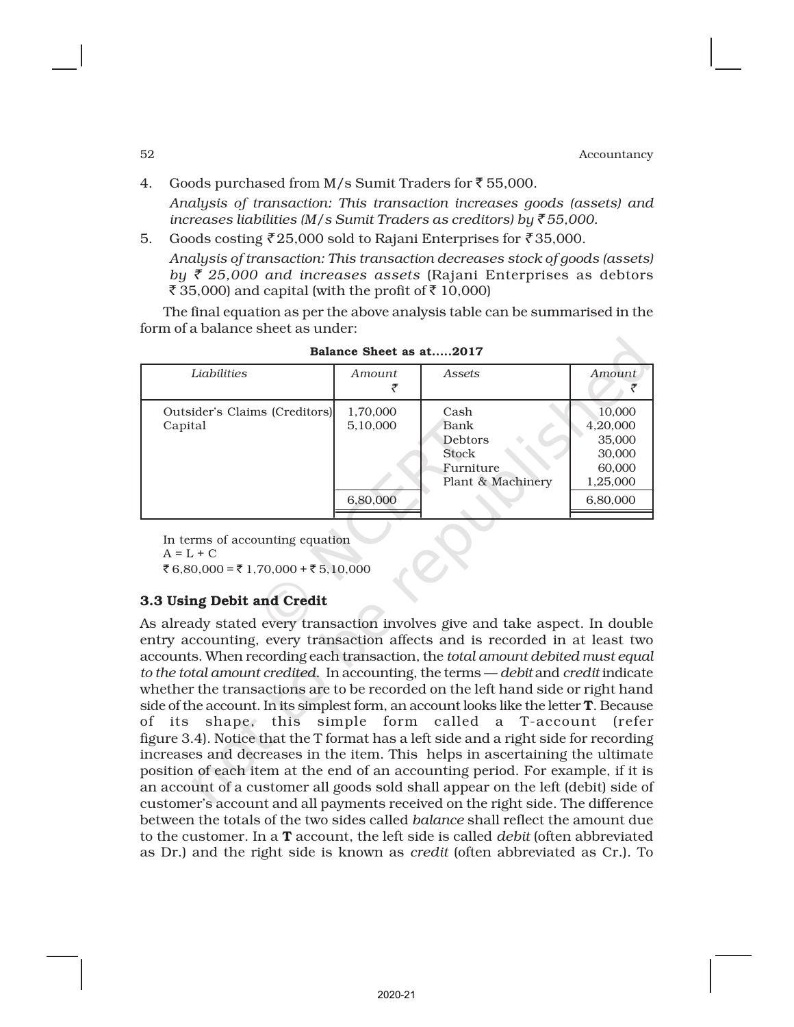4. Goods purchased from M/s Sumit Traders for  $\overline{5}$  55,000.

*Analysis of transaction: This transaction increases goods (assets) and increases liabilities (M/s Sumit Traders as creditors) by* ` *55,000.*

5. Goods costing  $\bar{\tau}$  25,000 sold to Rajani Enterprises for  $\bar{\tau}$  35,000. *Analysis of transaction: This transaction decreases stock of goods (assets) by* ` *25,000 and increases assets* (Rajani Enterprises as debtors ₹ 35,000) and capital (with the profit of  $\bar{z}$  10,000)

The final equation as per the above analysis table can be summarised in the form of a balance sheet as under:

| Liabilities                              | Amount                           | <b>Assets</b>                                                      | Amount                                                                   |
|------------------------------------------|----------------------------------|--------------------------------------------------------------------|--------------------------------------------------------------------------|
| Outsider's Claims (Creditors)<br>Capital | 1,70,000<br>5,10,000<br>6,80,000 | Cash<br>Bank<br>Debtors<br>Stock<br>Furniture<br>Plant & Machinery | 10,000<br>4,20,000<br>35,000<br>30,000<br>60,000<br>1,25,000<br>6,80,000 |

Balance Sheet as at.....2017

In terms of accounting equation  $A = L + C$ ₹ 6,80,000 = ₹ 1,70,000 + ₹ 5,10,000

### 3.3 Using Debit and Credit

As already stated every transaction involves give and take aspect. In double entry accounting, every transaction affects and is recorded in at least two accounts. When recording each transaction, the *total amount debited must equal to the total amount credited.* In accounting, the terms — *debit* and *credit* indicate whether the transactions are to be recorded on the left hand side or right hand side of the account. In its simplest form, an account looks like the letter T. Because of its shape, this simple form called a T-account (refer figure 3.4). Notice that the T format has a left side and a right side for recording increases and decreases in the item. This helps in ascertaining the ultimate position of each item at the end of an accounting period. For example, if it is an account of a customer all goods sold shall appear on the left (debit) side of customer's account and all payments received on the right side. The difference between the totals of the two sides called *balance* shall reflect the amount due to the customer. In a T account, the left side is called *debit* (often abbreviated as Dr.) and the right side is known as *credit* (often abbreviated as Cr.). To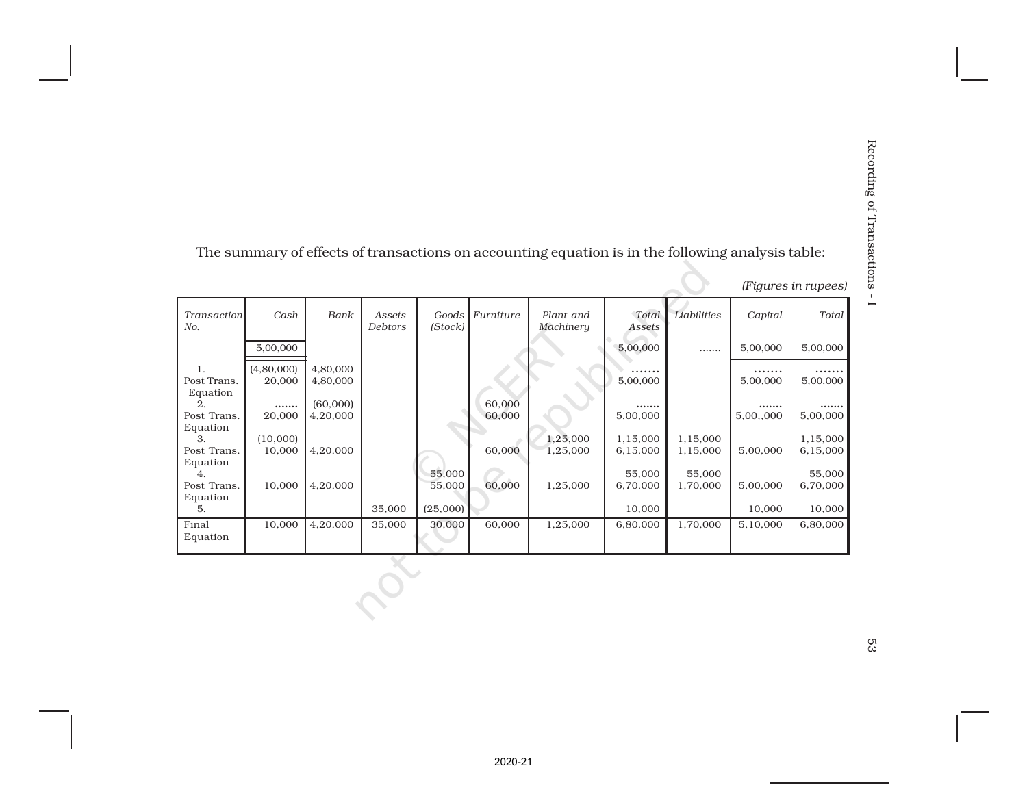|                                 |                      |                      |                          |                  |                  | The summary of effects of transactions on accounting equation is in the following analysis table: |                      |                      |               |                      |
|---------------------------------|----------------------|----------------------|--------------------------|------------------|------------------|---------------------------------------------------------------------------------------------------|----------------------|----------------------|---------------|----------------------|
|                                 |                      |                      |                          |                  |                  |                                                                                                   |                      |                      |               | (Figures in rupees)  |
| Transaction<br>No.              | Cash                 | Bank                 | Assets<br><b>Debtors</b> | Goods<br>(Stock) | Furniture        | Plant and<br>Machinery                                                                            | Total<br>Assets      | Liabilities          | Capital       | Total                |
|                                 | 5,00,000             |                      |                          |                  |                  |                                                                                                   | 5,00,000             | .                    | 5,00,000      | 5,00,000             |
| 1.<br>Post Trans.<br>Equation   | (4,80,000)<br>20,000 | 4,80,000<br>4,80,000 |                          |                  |                  |                                                                                                   | 5,00,000             |                      | 5,00,000      | 5,00,000             |
| $\overline{2}$ .<br>Post Trans. | .<br>20,000          | (60,000)<br>4,20,000 |                          |                  | 60,000<br>60,000 |                                                                                                   | <br>5,00,000         |                      | <br>5,00,,000 | .<br>5,00,000        |
| Equation<br>3.<br>Post Trans.   | (10,000)<br>10,000   | 4,20,000             |                          |                  | 60,000           | 1,25,000<br>1,25,000                                                                              | 1,15,000<br>6,15,000 | 1,15,000<br>1,15,000 | 5,00,000      | 1,15,000<br>6,15,000 |
| Equation<br>4.<br>Post Trans.   | 10,000               | 4,20,000             |                          | 55,000<br>55,000 | 60,000           | 1,25,000                                                                                          | 55,000<br>6,70,000   | 55,000<br>1,70,000   | 5,00,000      | 55,000<br>6,70,000   |
| Equation<br>5.                  |                      |                      | 35,000                   | (25,000)         |                  |                                                                                                   | 10,000               |                      | 10,000        | 10,000               |
| Final<br>Equation               | 10,000               | 4,20,000             | 35,000                   | 30,000           | 60,000           | 1,25,000                                                                                          | 6,80,000             | 1,70,000             | 5,10,000      | 6,80,000             |
|                                 |                      |                      |                          |                  |                  |                                                                                                   |                      |                      |               |                      |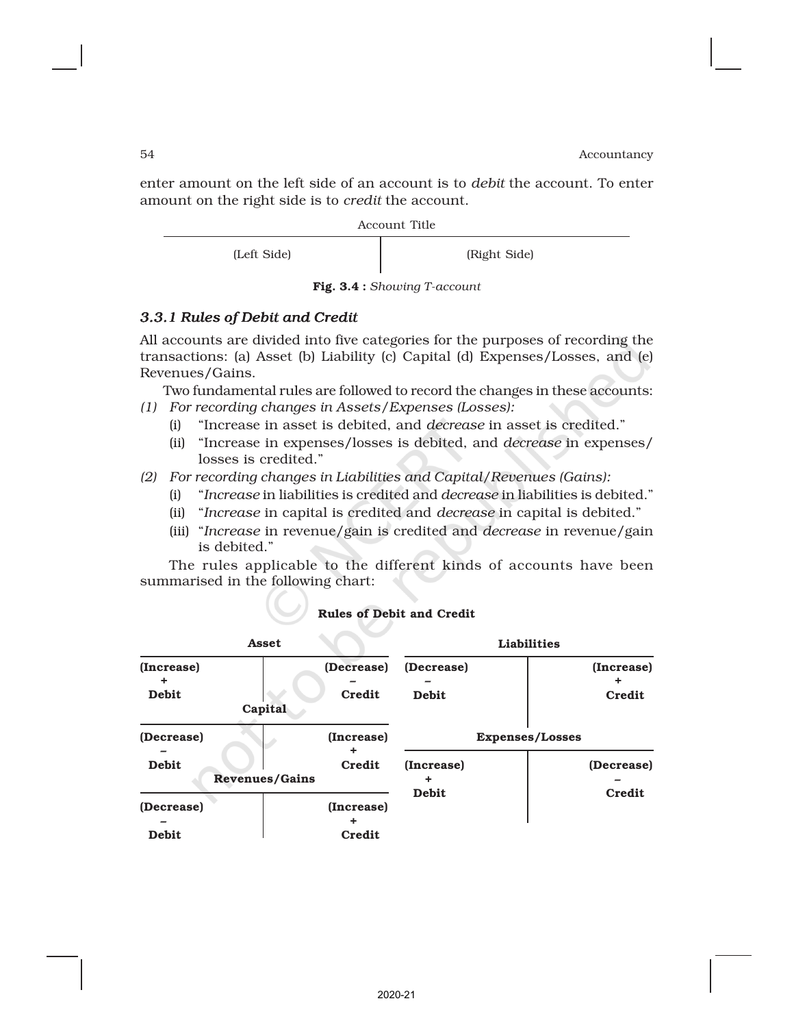enter amount on the left side of an account is to *debit* the account. To enter amount on the right side is to *credit* the account.

Account Title

(Left Side) (Right Side)

Fig. 3.4 : *Showing T-account*

# *3.3.1 Rules of Debit and Credit*

All accounts are divided into five categories for the purposes of recording the transactions: (a) Asset (b) Liability (c) Capital (d) Expenses/Losses, and (e) Revenues/Gains.

Two fundamental rules are followed to record the changes in these accounts: *(1) For recording changes in Assets/Expenses (Losses):*

- (i) "Increase in asset is debited, and *decrease* in asset is credited."
- (ii) "Increase in expenses/losses is debited, and *decrease* in expenses/ losses is credited."
- *(2) For recording changes in Liabilities and Capital/Revenues (Gains):*
	- (i) "*Increase* in liabilities is credited and *decrease* in liabilities is debited."
	- (ii) "*Increase* in capital is credited and *decrease* in capital is debited."
	- (iii) "*Increase* in revenue/gain is credited and *decrease* in revenue/gain is debited."

The rules applicable to the different kinds of accounts have been summarised in the following chart:

| Asset                                               |         |                      | <b>Liabilities</b>         |                                      |  |
|-----------------------------------------------------|---------|----------------------|----------------------------|--------------------------------------|--|
| (Increase)<br><b>Debit</b>                          | Capital | (Decrease)<br>Credit | (Decrease)<br><b>Debit</b> | (Increase)<br>Credit                 |  |
| (Decrease)<br><b>Debit</b><br><b>Revenues/Gains</b> |         | (Increase)<br>Credit | (Increase)                 | <b>Expenses/Losses</b><br>(Decrease) |  |
| (Decrease)<br><b>Debit</b>                          |         | (Increase)<br>Credit | <b>Debit</b>               | Credit                               |  |

# Rules of Debit and Credit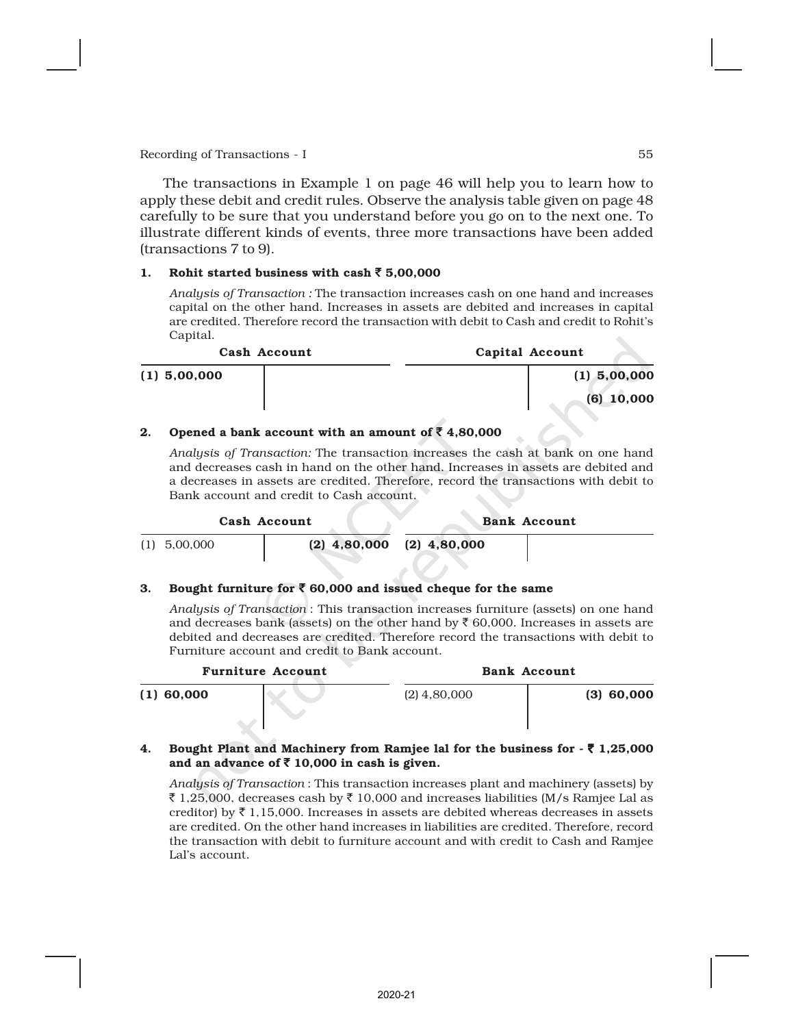The transactions in Example 1 on page 46 will help you to learn how to apply these debit and credit rules. Observe the analysis table given on page 48 carefully to be sure that you understand before you go on to the next one. To illustrate different kinds of events, three more transactions have been added (transactions 7 to 9).

### 1. Rohit started business with cash  $\bar{5}$  5,00,000

*Analysis of Transaction :* The transaction increases cash on one hand and increases capital on the other hand. Increases in assets are debited and increases in capital are credited. Therefore record the transaction with debit to Cash and credit to Rohit's Capital.

| Cash Account   |  | Capital Account |
|----------------|--|-----------------|
| $(1)$ 5,00,000 |  | $(1)$ 5,00,000  |
|                |  | $(6)$ 10,000    |

### 2. Opened a bank account with an amount of  $\bar{z}$  4,80,000

*Analysis of Transaction:* The transaction increases the cash at bank on one hand and decreases cash in hand on the other hand. Increases in assets are debited and a decreases in assets are credited. Therefore, record the transactions with debit to Bank account and credit to Cash account.

|                | Cash Account | <b>Bank Account</b>           |  |  |
|----------------|--------------|-------------------------------|--|--|
| $(1)$ 5,00,000 |              | $(2)$ 4,80,000 $(2)$ 4,80,000 |  |  |

### 3. Bought furniture for  $\bar{\bar{\zeta}}$  60,000 and issued cheque for the same

*Analysis of Transaction* : This transaction increases furniture (assets) on one hand and decreases bank (assets) on the other hand by  $\bar{\tau}$  60,000. Increases in assets are debited and decreases are credited. Therefore record the transactions with debit to Furniture account and credit to Bank account.

| <b>Furniture Account</b> |                | <b>Bank Account</b> |
|--------------------------|----------------|---------------------|
| $(1)$ 60,000             | $(2)$ 4,80,000 | $(3)$ 60,000        |

### 4. Bought Plant and Machinery from Ramjee lal for the business for  $\cdot \bar{\tau}$  1,25,000 and an advance of  $\bar{\tau}$  10,000 in cash is given.

*Analysis of Transaction* : This transaction increases plant and machinery (assets) by ₹ 1,25,000, decreases cash by ₹ 10,000 and increases liabilities (M/s Ramjee Lal as creditor) by  $\bar{\tau}$  1,15,000. Increases in assets are debited whereas decreases in assets are credited. On the other hand increases in liabilities are credited. Therefore, record the transaction with debit to furniture account and with credit to Cash and Ramjee Lal's account.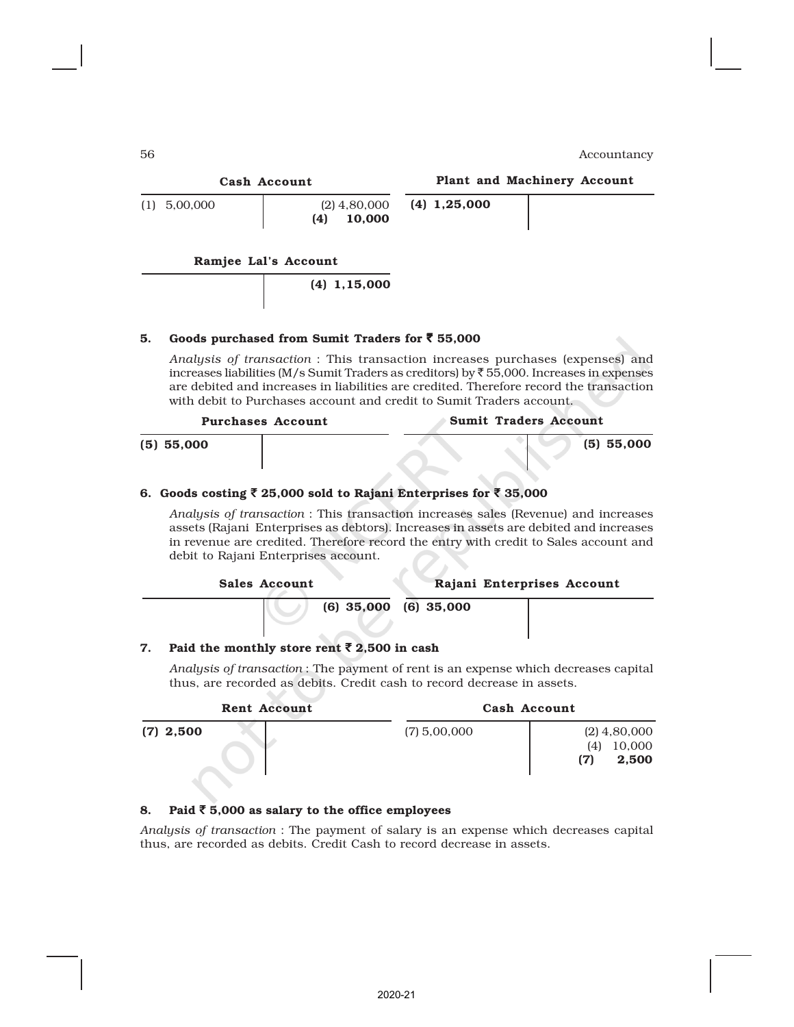| Cash Account         |                                 |                | Plant and Machinery Account |
|----------------------|---------------------------------|----------------|-----------------------------|
| $(1)$ 5,00,000       | $(2)$ 4,80,000<br>10,000<br>(4) | $(4)$ 1,25,000 |                             |
| Ramjee Lal's Account |                                 |                |                             |

(4) 1,15,000

### 5. Goods purchased from Sumit Traders for  $\bar{z}$  55,000

*Analysis of transaction* : This transaction increases purchases (expenses) and increases liabilities (M/s Sumit Traders as creditors) by  $\overline{5}$  55,000. Increases in expenses are debited and increases in liabilities are credited. Therefore record the transaction with debit to Purchases account and credit to Sumit Traders account.

|              | <b>Purchases Account</b> | Sumit Traders Account |              |
|--------------|--------------------------|-----------------------|--------------|
| $(5)$ 55,000 |                          |                       | $(5)$ 55,000 |

### 6. Goods costing  $\bar{z}$  25,000 sold to Rajani Enterprises for  $\bar{z}$  35,000

*Analysis of transaction* : This transaction increases sales (Revenue) and increases assets (Rajani Enterprises as debtors). Increases in assets are debited and increases in revenue are credited. Therefore record the entry with credit to Sales account and debit to Rajani Enterprises account.

| Sales Account             | Rajani Enterprises Account |  |
|---------------------------|----------------------------|--|
| $(6)$ 35,000 $(6)$ 35,000 |                            |  |

### 7. Paid the monthly store rent  $\bar{z}$  2,500 in cash

*Analysis of transaction* : The payment of rent is an expense which decreases capital thus, are recorded as debits. Credit cash to record decrease in assets.

| Rent Account |                | Cash Account                                    |
|--------------|----------------|-------------------------------------------------|
| $(7)$ 2,500  | $(7)$ 5,00,000 | $(2)$ 4,80,000<br>10,000<br>(4)<br>2,500<br>(7) |

### 8. Paid  $\bar{z}$  5,000 as salary to the office employees

*Analysis of transaction* : The payment of salary is an expense which decreases capital thus, are recorded as debits. Credit Cash to record decrease in assets.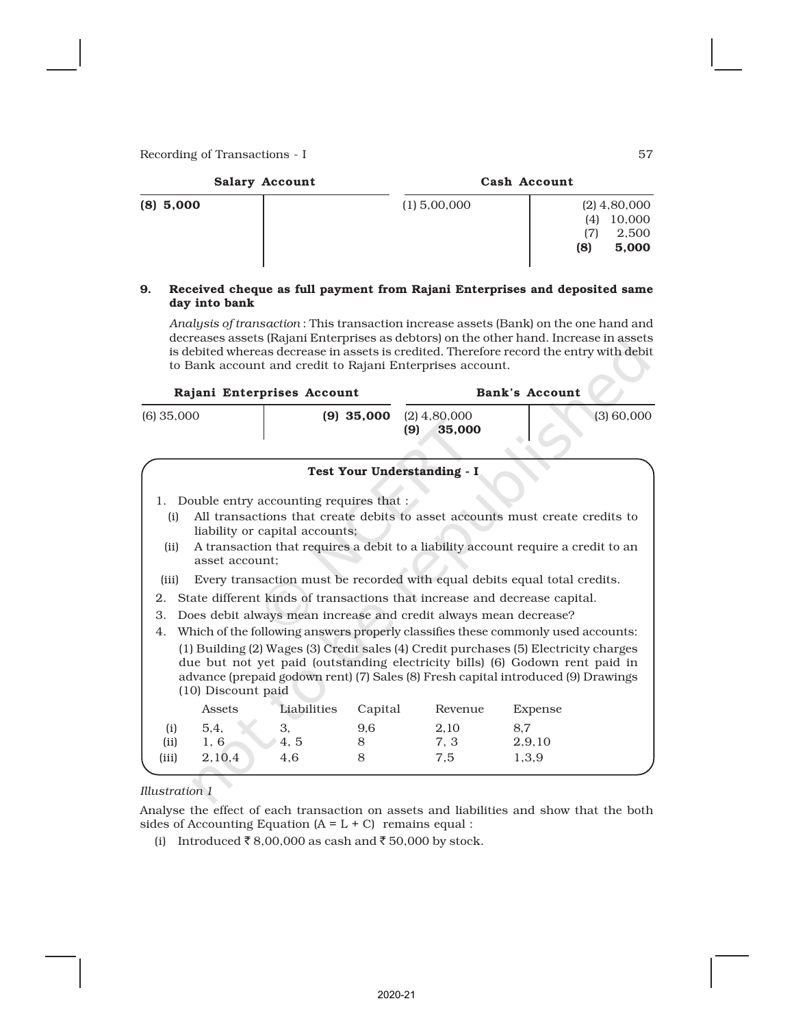| <b>Salary Account</b> | Cash Account                                                               |
|-----------------------|----------------------------------------------------------------------------|
| $(8)$ 5,000           | $(1)$ 5,00,000<br>$(2)$ 4,80,000<br>10,000<br>(4)<br>2,500<br>(8)<br>5,000 |

### 9. Received cheque as full payment from Rajani Enterprises and deposited same day into bank

*Analysis of transaction* : This transaction increase assets (Bank) on the one hand and decreases assets (Rajani Enterprises as debtors) on the other hand. Increase in assets is debited whereas decrease in assets is credited. Therefore record the entry with debit to Bank account and credit to Rajani Enterprises account.

|              | Rajani Enterprises Account |                                                                           | Bank's Account |                                 |                                                                                                                                                                                                                                                           |  |
|--------------|----------------------------|---------------------------------------------------------------------------|----------------|---------------------------------|-----------------------------------------------------------------------------------------------------------------------------------------------------------------------------------------------------------------------------------------------------------|--|
| $(6)$ 35,000 |                            | $(9)$ 35,000                                                              |                | $(2)$ 4,80,000<br>(9)<br>35,000 | (3) 60,000                                                                                                                                                                                                                                                |  |
|              |                            |                                                                           |                | Test Your Understanding - I     |                                                                                                                                                                                                                                                           |  |
| (i)          |                            | 1. Double entry accounting requires that :                                |                |                                 | All transactions that create debits to asset accounts must create credits to                                                                                                                                                                              |  |
| (ii)         | asset account:             | liability or capital accounts;                                            |                |                                 | A transaction that requires a debit to a liability account require a credit to an                                                                                                                                                                         |  |
| (iii)        |                            |                                                                           |                |                                 | Every transaction must be recorded with equal debits equal total credits.                                                                                                                                                                                 |  |
| 2.           |                            | State different kinds of transactions that increase and decrease capital. |                |                                 |                                                                                                                                                                                                                                                           |  |
| 3.           |                            | Does debit always mean increase and credit always mean decrease?          |                |                                 |                                                                                                                                                                                                                                                           |  |
| 4.           |                            |                                                                           |                |                                 | Which of the following answers properly classifies these commonly used accounts:                                                                                                                                                                          |  |
|              | (10) Discount paid         |                                                                           |                |                                 | (1) Building (2) Wages (3) Credit sales (4) Credit purchases (5) Electricity charges<br>due but not yet paid (outstanding electricity bills) (6) Godown rent paid in<br>advance (prepaid godown rent) (7) Sales (8) Fresh capital introduced (9) Drawings |  |
|              | Assets                     | Liabilities                                                               | Capital        | Revenue                         | Expense                                                                                                                                                                                                                                                   |  |
| (i)          | 5.4.                       | 3.                                                                        | 9,6            | 2,10                            | 8.7                                                                                                                                                                                                                                                       |  |
| (ii)         | 1, 6                       | 4.5<br>8                                                                  |                | 7, 3                            | 2,9,10                                                                                                                                                                                                                                                    |  |
| (iii)        | 2,10,4                     | 4.6<br>8                                                                  |                | 7.5                             | 1,3,9                                                                                                                                                                                                                                                     |  |

### *Illustration 1*

Analyse the effect of each transaction on assets and liabilities and show that the both sides of Accounting Equation  $(A = L + C)$  remains equal :

(i) Introduced  $\bar{\tau}$  8,00,000 as cash and  $\bar{\tau}$  50,000 by stock.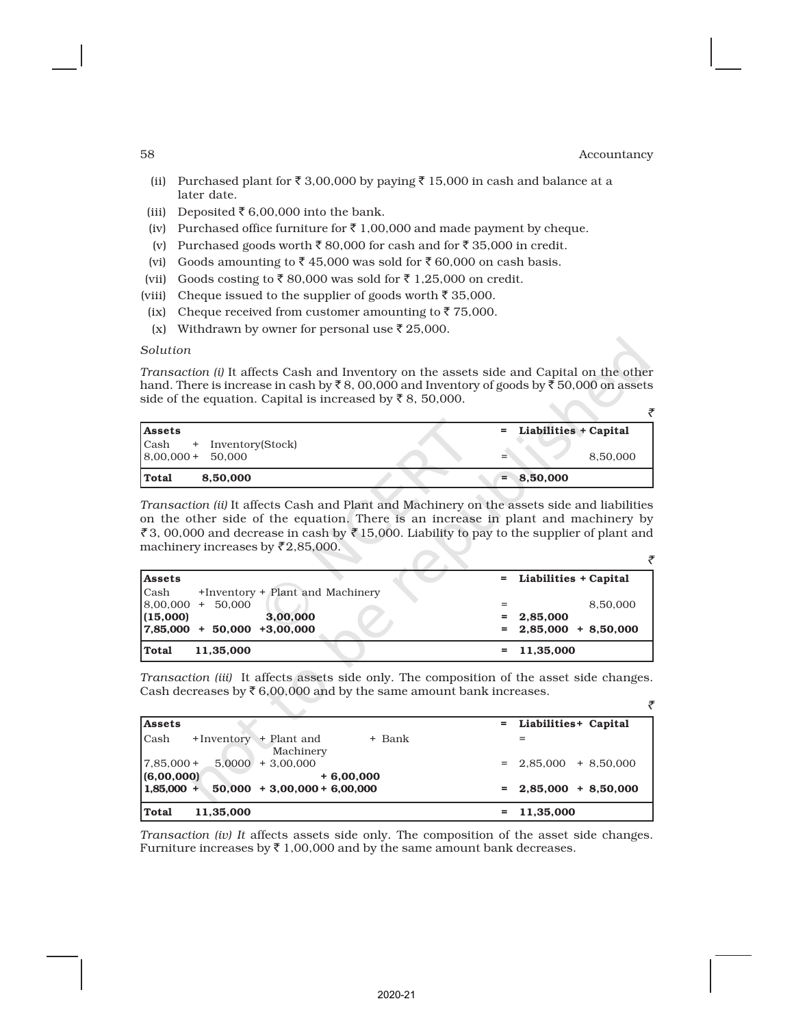$\overline{z}$ 

- (ii) Purchased plant for  $\bar{\tau}$  3,00,000 by paying  $\bar{\tau}$  15,000 in cash and balance at a later date.
- (iii) Deposited  $\bar{\tau}$  6,00,000 into the bank.
- (iv) Purchased office furniture for  $\bar{\tau}$  1,00,000 and made payment by cheque.
- (v) Purchased goods worth  $\bar{\tau}$  80,000 for cash and for  $\bar{\tau}$  35,000 in credit.
- (vi) Goods amounting to  $\bar{\tau}$  45,000 was sold for  $\bar{\tau}$  60,000 on cash basis.
- (vii) Goods costing to  $\bar{\tau}$  80,000 was sold for  $\bar{\tau}$  1,25,000 on credit.
- (viii) Cheque issued to the supplier of goods worth  $\bar{z}$  35,000.
- (ix) Cheque received from customer amounting to  $\bar{z}$  75,000.
- (x) Withdrawn by owner for personal use  $\bar{\tau}$  25,000.

### *Solution*

*Transaction (i)* It affects Cash and Inventory on the assets side and Capital on the other hand. There is increase in cash by  $\bar{\tau}$  8, 00,000 and Inventory of goods by  $\bar{\tau}$  50,000 on assets side of the equation. Capital is increased by  $\bar{z}$  8, 50,000.

| <b>Assets</b>            | = Liabilities + Capital |  |
|--------------------------|-------------------------|--|
| Cash + Inventory(Stock)  |                         |  |
| $8,00,000 + 50,000$      | 8,50,000                |  |
| <b>Total</b><br>8,50,000 | $= 8,50,000$            |  |

*Transaction (ii)* It affects Cash and Plant and Machinery on the assets side and liabilities on the other side of the equation. There is an increase in plant and machinery by ₹3, 00,000 and decrease in cash by ₹15,000. Liability to pay to the supplier of plant and machinery increases by  $\bar{\zeta}$  2,85,000.

| lAssets     |                                    | = Liabilities + Capital |
|-------------|------------------------------------|-------------------------|
| <b>Cash</b> | +Inventory + Plant and Machinery   |                         |
|             | $\left[ 8,00,000 + 50,000 \right]$ | 8.50.000                |
| (15,000)    | 3.00.000                           | $= 2.85,000$            |
|             | $ 7,85,000 + 50,000 + 3,00,000$    | $= 2,85,000 + 8,50,000$ |
| Total       | 11,35,000                          | $= 11,35,000$           |

*Transaction (iii)* It affects assets side only. The composition of the asset side changes. Cash decreases by  $\bar{\tau}$  6,00,000 and by the same amount bank increases.

| Assets                                                  | = Liabilities+ Capital  |
|---------------------------------------------------------|-------------------------|
| l Cash<br>+Inventory + Plant and<br>+ Bank<br>Machinery |                         |
| $17,85,000+$<br>$5,0000 + 3,00,000$                     | $= 2,85,000 + 8,50,000$ |
| (6,00,000)<br>$+6,00,000$                               |                         |
| $1,85,000 +$<br>$50,000 + 3,00,000 + 6,00,000$          | $= 2,85,000 + 8,50,000$ |
| Total<br>11,35,000                                      | $= 11,35,000$           |

*Transaction (iv) It* affects assets side only. The composition of the asset side changes. Furniture increases by  $\bar{\tau}$  1,00,000 and by the same amount bank decreases.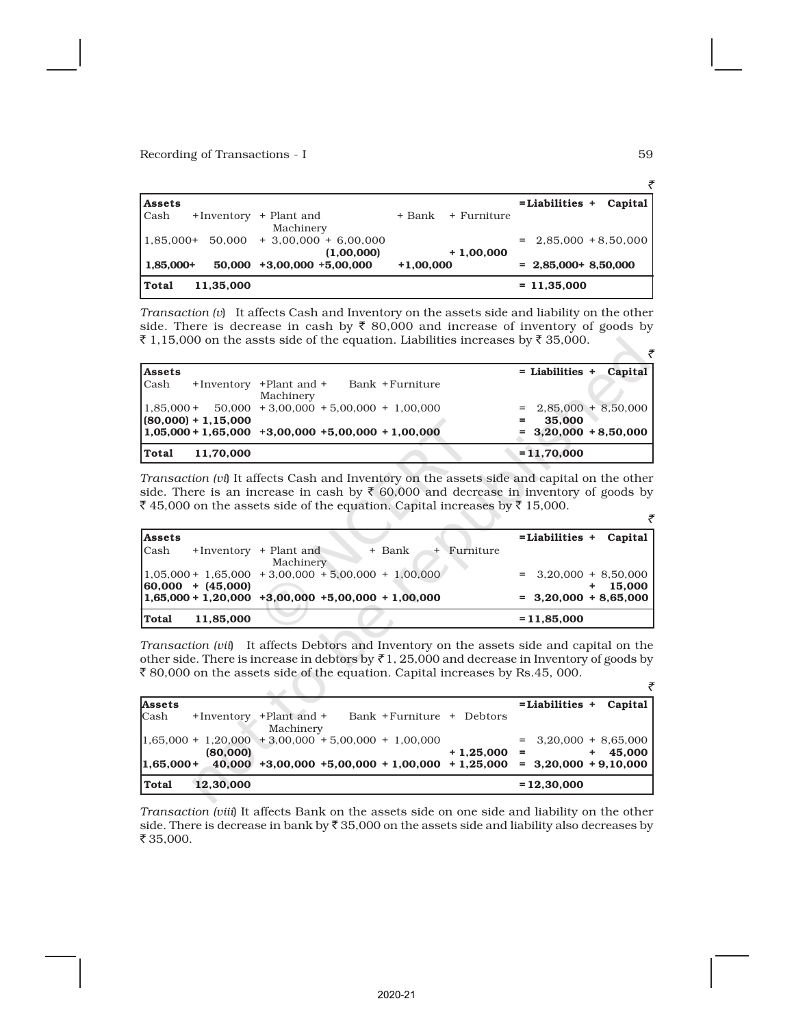| <b>Assets</b> |           |                                      |             |             | $=$ Liabilities $+$     | Capital |
|---------------|-----------|--------------------------------------|-------------|-------------|-------------------------|---------|
| Cash          |           | +Inventory + Plant and<br>Machinery  | + Bank      | + Furniture |                         |         |
| $1,85,000+$   | 50.000    | $+3,00,000 + 6,00,000$<br>(1,00,000) |             | $+1,00,000$ | $= 2,85,000 + 8,50,000$ |         |
| $ 1,85,000+$  |           | $50,000 + 3,00,000 + 5,00,000$       | $+1,00,000$ |             | $= 2,85,000+8,50,000$   |         |
| Total         | 11,35,000 |                                      |             |             | $= 11,35,000$           |         |

*Transaction (v*) It affects Cash and Inventory on the assets side and liability on the other side. There is decrease in cash by  $\bar{\tau}$  80,000 and increase of inventory of goods by ₹ 1,15,000 on the assts side of the equation. Liabilities increases by ₹ 35,000.

| <b>Assets</b> |                       |                                                        | $=$ Liabilities $+$<br>Capital |
|---------------|-----------------------|--------------------------------------------------------|--------------------------------|
| <b>Cash</b>   |                       | +Inventory +Plant and +<br>– Bank +Furniture           |                                |
|               |                       | Machinery                                              |                                |
|               |                       | $1,85,000 + 50,000 + 3,00,000 + 5,00,000 + 1,00,000$   | $= 2,85,000 + 8,50,000$        |
|               | $(80,000) + 1,15,000$ |                                                        | 35,000<br>Ξ.                   |
|               |                       | $1,05,000 + 1,65,000 + 3,00,000 + 5,00,000 + 1,00,000$ | $= 3,20,000 + 8,50,000$        |
| Total         | 11.70.000             |                                                        | $= 11,70,000$                  |

*Transaction (vi*) It affects Cash and Inventory on the assets side and capital on the other side. There is an increase in cash by  $\bar{\tau}$  60,000 and decrease in inventory of goods by ₹45,000 on the assets side of the equation. Capital increases by ₹15,000.

| <b>Assets</b>                                          |                                     |        |               | $=$ Liabilities + Capital |
|--------------------------------------------------------|-------------------------------------|--------|---------------|---------------------------|
| <b>Cash</b>                                            | +Inventory + Plant and<br>Machinery | + Bank | $+$ Furniture |                           |
| $1,05,000 + 1,65,000 + 3,00,000 + 5,00,000 + 1,00,000$ |                                     |        |               | $=$ 3,20,000 + 8,50,000   |
| $ 60,000 + (45,000) $                                  |                                     |        |               | 15.000<br>$+$             |
| $1,65,000 + 1,20,000 + 3,00,000 + 5,00,000 + 1,00,000$ |                                     |        |               | $= 3,20,000 + 8,65,000$   |
| Total<br>11,85,000                                     |                                     |        |               | $= 11,85,000$             |

*Transaction (vii*) It affects Debtors and Inventory on the assets side and capital on the other side. There is increase in debtors by  $\bar{\tau}$  1, 25,000 and decrease in Inventory of goods by  $\bar{\xi}$  80,000 on the assets side of the equation. Capital increases by Rs.45, 000.

| <b>Assets</b> |           |                                                                          |             | $=$ Liabilities + Capital      |              |
|---------------|-----------|--------------------------------------------------------------------------|-------------|--------------------------------|--------------|
| Cash          |           | +Inventory +Plant and +<br>Bank + Furniture + Debtors<br>Machinery       |             |                                |              |
|               | (80,000)  | $1,65,000 + 1,20,000 + 3,00,000 + 5,00,000 + 1,00,000$                   | $+1,25,000$ | $=$ 3,20,000 + 8,65,000<br>$=$ | 45.000<br>÷. |
| $ 1,65,000+$  |           | $40,000$ +3,00,000 +5,00,000 + 1,00,000 + 1,25,000 = 3,20,000 + 9,10,000 |             |                                |              |
| Total         | 12.30.000 |                                                                          |             | $= 12,30,000$                  |              |

*Transaction (viii*) It affects Bank on the assets side on one side and liability on the other side. There is decrease in bank by  $\bar{z}$  35,000 on the assets side and liability also decreases by  $\bar{z}$  35,000.

 $\overline{z}$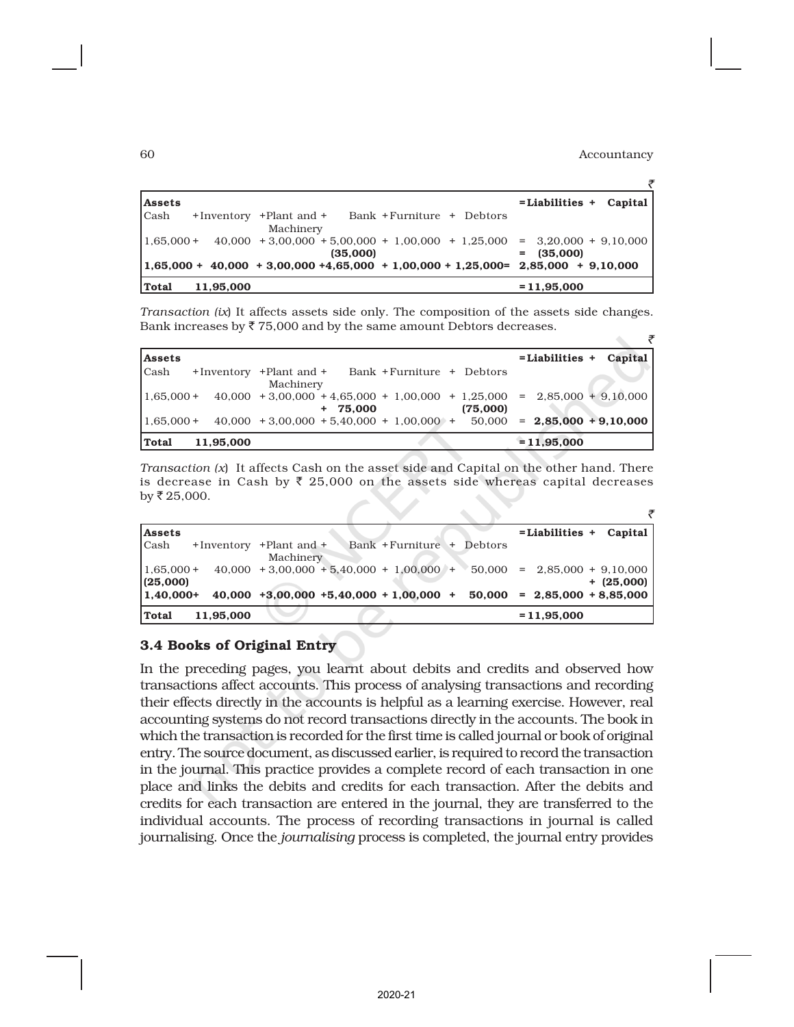| <b>Assets</b>                                                                                         | $=$ Liabilities + Capital |
|-------------------------------------------------------------------------------------------------------|---------------------------|
| <b>Cash</b><br>Bank + Furniture + Debtors<br>+Inventory +Plant and +<br>Machinery                     |                           |
| $40,000 + 3,00,000 + 5,00,000 + 1,00,000 + 1,25,000 = 3,20,000 + 9,10,000$<br>$1.65,000+$<br>(35,000) | $= (35,000)$              |
| $1,65,000 + 40,000 + 3,00,000 + 4,65,000 + 1,00,000 + 1,25,000 = 2,85,000 + 9,10,000$                 |                           |
| Total<br>11,95,000                                                                                    | $= 11,95,000$             |

*Transaction (ix*) It affects assets side only. The composition of the assets side changes. Bank increases by  $\overline{\xi}$  75,000 and by the same amount Debtors decreases.  $\tilde{\mathcal{F}}$ 

| <b>Assets</b> |           |                                                                                          |          | $=$ Liabilities + Capital |  |
|---------------|-----------|------------------------------------------------------------------------------------------|----------|---------------------------|--|
| Cash          |           | +Inventory +Plant and + Bank +Furniture + Debtors<br>Machinery                           |          |                           |  |
| $1.65.000 +$  |           | $40,000 + 3,00,000 + 4,65,000 + 1,00,000 + 1,25,000 = 2,85,000 + 9,10,000$<br>$+ 75.000$ | (75,000) |                           |  |
| $1.65,000+$   |           | $40,000 + 3,00,000 + 5,40,000 + 1,00,000 + 50,000 = 2,85,000 + 9,10,000$                 |          |                           |  |
| Total         | 11.95.000 |                                                                                          |          | $= 11,95,000$             |  |

*Transaction (x*) It affects Cash on the asset side and Capital on the other hand. There is decrease in Cash by  $\bar{\xi}$  25,000 on the assets side whereas capital decreases by  $\bar{z}$  25,000.

| <b>Assets</b>           |                         |           |                                                                          |         | $=$ Liabilities $+$ Capital |              |
|-------------------------|-------------------------|-----------|--------------------------------------------------------------------------|---------|-----------------------------|--------------|
| <b>Cash</b>             | +Inventory +Plant and + | Machinery | Bank + Furniture +                                                       | Debtors |                             |              |
| $1,65,000+$<br>(25,000) |                         |           | $40,000 + 3,00,000 + 5,40,000 + 1,00,000 + 50,000 = 2,85,000 + 9,10,000$ |         |                             | $+$ (25,000) |
| $1.40.000+$             |                         |           | $40,000 + 3,00,000 + 5,40,000 + 1,00,000 + 50,000 = 2,85,000 + 8,85,000$ |         |                             |              |
| Total                   | 11,95,000               |           |                                                                          |         | $= 11,95,000$               |              |

# 3.4 Books of Original Entry

In the preceding pages, you learnt about debits and credits and observed how transactions affect accounts. This process of analysing transactions and recording their effects directly in the accounts is helpful as a learning exercise. However, real accounting systems do not record transactions directly in the accounts. The book in which the transaction is recorded for the first time is called journal or book of original entry. The source document, as discussed earlier, is required to record the transaction in the journal. This practice provides a complete record of each transaction in one place and links the debits and credits for each transaction. After the debits and credits for each transaction are entered in the journal, they are transferred to the individual accounts. The process of recording transactions in journal is called journalising. Once the *journalising* process is completed, the journal entry provides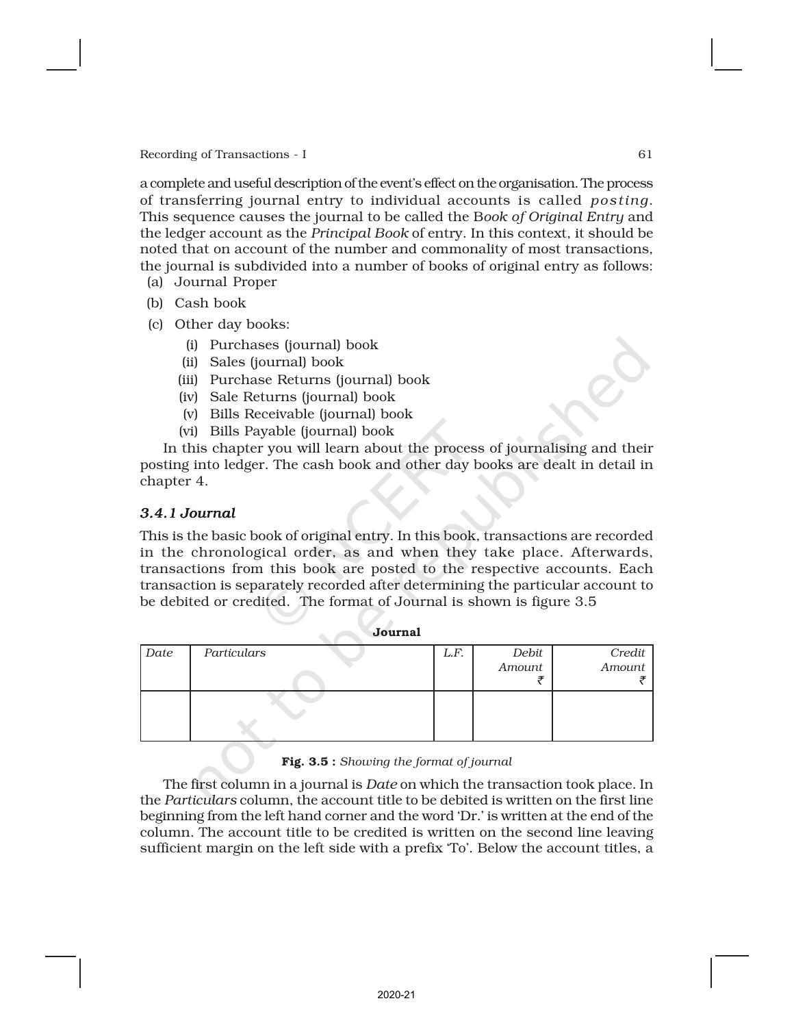a complete and useful description of the event's effect on the organisation. The process of transferring journal entry to individual accounts is called *posting*. This sequence causes the journal to be called the B*ook of Original Entry* and the ledger account as the *Principal Book* of entry. In this context, it should be noted that on account of the number and commonality of most transactions, the journal is subdivided into a number of books of original entry as follows:

- (a) Journal Proper
- (b) Cash book
- (c) Other day books:
	- (i) Purchases (journal) book
	- (ii) Sales (journal) book
	- (iii) Purchase Returns (journal) book
	- (iv) Sale Returns (journal) book
	- (v) Bills Receivable (journal) book
	- (vi) Bills Payable (journal) book

In this chapter you will learn about the process of journalising and their posting into ledger. The cash book and other day books are dealt in detail in chapter 4.

# *3.4.1 Journal*

This is the basic book of original entry. In this book, transactions are recorded in the chronological order, as and when they take place. Afterwards, transactions from this book are posted to the respective accounts. Each transaction is separately recorded after determining the particular account to be debited or credited. The format of Journal is shown is figure 3.5

|      | $\sim$ $\sim$ was assessed to $\sim$ |      |        |        |
|------|--------------------------------------|------|--------|--------|
| Date | Particulars                          | L.F. | Debit  | Credit |
|      |                                      |      | Amount | Amount |
|      |                                      |      |        |        |
|      |                                      |      |        |        |

Journal

Fig. 3.5 : *Showing the format of journal*

The first column in a journal is *Date* on which the transaction took place. In the *Particulars* column, the account title to be debited is written on the first line beginning from the left hand corner and the word 'Dr.' is written at the end of the column. The account title to be credited is written on the second line leaving sufficient margin on the left side with a prefix 'To'. Below the account titles, a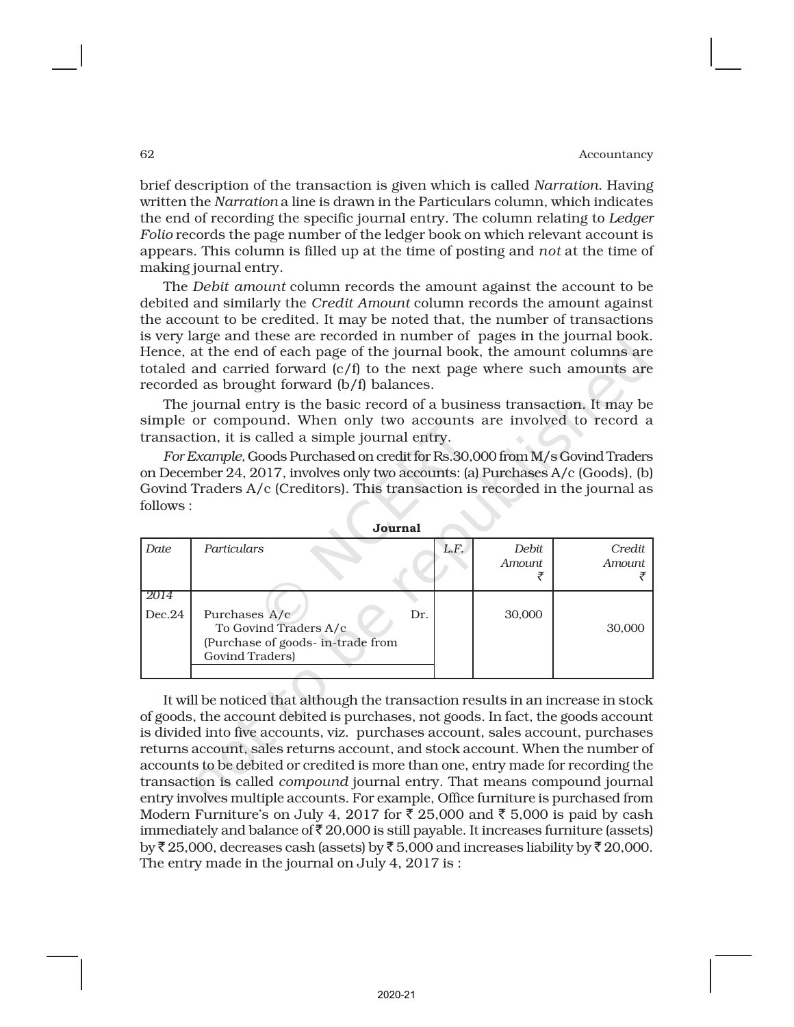brief description of the transaction is given which is called *Narration*. Having written the *Narration* a line is drawn in the Particulars column, which indicates the end of recording the specific journal entry. The column relating to *Ledger Folio* records the page number of the ledger book on which relevant account is appears. This column is filled up at the time of posting and *not* at the time of making journal entry.

The *Debit amount* column records the amount against the account to be debited and similarly the *Credit Amount* column records the amount against the account to be credited. It may be noted that, the number of transactions is very large and these are recorded in number of pages in the journal book. Hence, at the end of each page of the journal book, the amount columns are totaled and carried forward (c/f) to the next page where such amounts are recorded as brought forward (b/f) balances.

The journal entry is the basic record of a business transaction. It may be simple or compound. When only two accounts are involved to record a transaction, it is called a simple journal entry.

*For Example,* Goods Purchased on credit for Rs.30,000 from M/s Govind Traders on December 24, 2017, involves only two accounts: (a) Purchases A/c (Goods), (b) Govind Traders A/c (Creditors). This transaction is recorded in the journal as follows :

|                | ovu.nai                                                                                                |     |      |                 |                  |
|----------------|--------------------------------------------------------------------------------------------------------|-----|------|-----------------|------------------|
| Date           | Particulars                                                                                            |     | L.F. | Debit<br>Amount | Credit<br>Amount |
| 2014<br>Dec.24 | Purchases A/c<br>To Govind Traders A/c<br>(Purchase of goods- in-trade from<br><b>Govind Traders</b> ) | Dr. |      | 30,000          | 30,000           |

|--|

It will be noticed that although the transaction results in an increase in stock of goods, the account debited is purchases, not goods. In fact, the goods account is divided into five accounts, viz. purchases account, sales account, purchases returns account, sales returns account, and stock account. When the number of accounts to be debited or credited is more than one, entry made for recording the transaction is called *compound* journal entry. That means compound journal entry involves multiple accounts. For example, Office furniture is purchased from Modern Furniture's on July 4, 2017 for  $\bar{\tau}$  25,000 and  $\bar{\tau}$  5,000 is paid by cash immediately and balance of  $\bar{\tau}$  20,000 is still payable. It increases furniture (assets) by  $\bar{\tau}$  25,000, decreases cash (assets) by  $\bar{\tau}$  5,000 and increases liability by  $\bar{\tau}$  20,000. The entry made in the journal on July 4, 2017 is :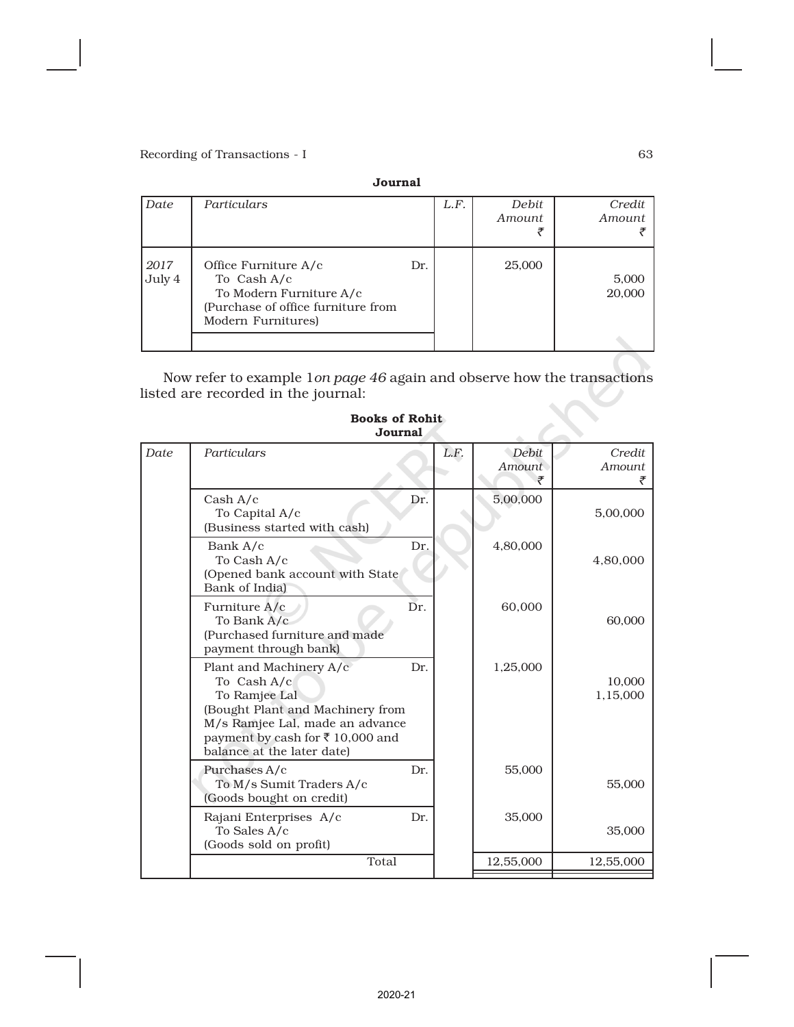|                | Journal                                                                                                                    |     |      |                 |                  |  |  |  |  |
|----------------|----------------------------------------------------------------------------------------------------------------------------|-----|------|-----------------|------------------|--|--|--|--|
| Date           | Particulars                                                                                                                |     | L.F. | Debit<br>Amount | Credit<br>Amount |  |  |  |  |
| 2017<br>July 4 | Office Furniture A/c<br>To Cash A/c<br>To Modern Furniture A/c<br>(Purchase of office furniture from<br>Modern Furnitures) | Dr. |      | 25,000          | 5,000<br>20,000  |  |  |  |  |
|                |                                                                                                                            |     |      |                 |                  |  |  |  |  |

Now refer to example 1*on page 46* again and observe how the transactions listed are recorded in the journal:

| Date | Particulars                                                                                                                                                                                     |     | L.F. | <b>Debit</b> | Credit             |
|------|-------------------------------------------------------------------------------------------------------------------------------------------------------------------------------------------------|-----|------|--------------|--------------------|
|      |                                                                                                                                                                                                 |     |      | Amount       | Amount             |
|      |                                                                                                                                                                                                 |     |      | ₹            |                    |
|      | Cash A/c<br>To Capital A/c<br>(Business started with cash)                                                                                                                                      | Dr. |      | 5,00,000     | 5,00,000           |
|      | Bank A/c<br>To Cash A/c<br>(Opened bank account with State<br>Bank of India)                                                                                                                    | Dr. |      | 4,80,000     | 4,80,000           |
|      | Furniture A/c<br>To Bank A/c<br>(Purchased furniture and made<br>payment through bank)                                                                                                          | Dr. |      | 60,000       | 60,000             |
|      | Plant and Machinery A/c<br>To Cash A/c<br>To Ramjee Lal<br>(Bought Plant and Machinery from<br>M/s Ramjee Lal, made an advance<br>payment by cash for ₹10,000 and<br>balance at the later date) | Dr. |      | 1,25,000     | 10,000<br>1,15,000 |
|      | Purchases A/c<br>To M/s Sumit Traders A/c<br>(Goods bought on credit)                                                                                                                           | Dr. |      | 55,000       | 55,000             |
|      | Rajani Enterprises A/c<br>To Sales A/c<br>(Goods sold on profit)                                                                                                                                | Dr. |      | 35,000       | 35,000             |
|      | Total                                                                                                                                                                                           |     |      | 12,55,000    | 12,55,000          |

### Books of Rohit Journal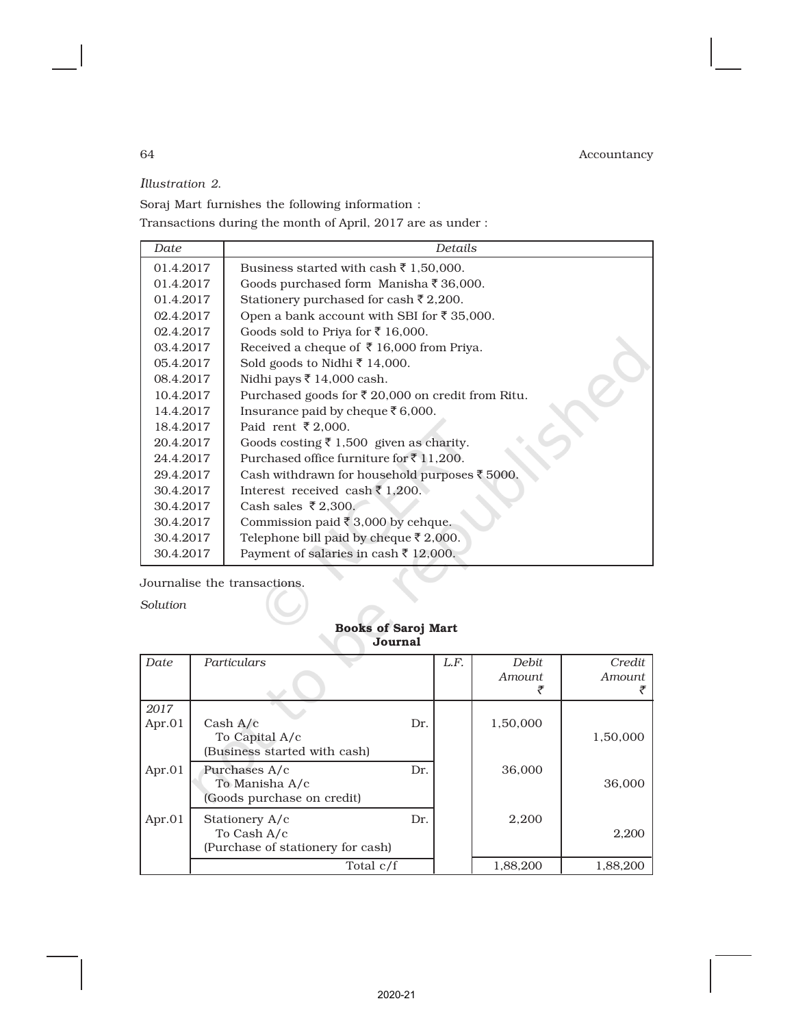*Illustration 2*.

Soraj Mart furnishes the following information :

Transactions during the month of April, 2017 are as under :

| Date      | Details                                                      |
|-----------|--------------------------------------------------------------|
| 01.4.2017 | Business started with cash $\bar{\tau}$ 1,50,000.            |
| 01.4.2017 | Goods purchased form Manisha ₹ 36,000.                       |
| 01.4.2017 | Stationery purchased for cash ₹ 2,200.                       |
| 02.4.2017 | Open a bank account with SBI for ₹ 35,000.                   |
| 02.4.2017 | Goods sold to Priya for ₹ 16,000.                            |
| 03.4.2017 | Received a cheque of ₹16,000 from Priya.                     |
| 05.4.2017 | Sold goods to Nidhi ₹ 14,000.                                |
| 08.4.2017 | Nidhi pays ₹ 14,000 cash.                                    |
| 10.4.2017 | Purchased goods for $\bar{\tau}$ 20,000 on credit from Ritu. |
| 14.4.2017 | Insurance paid by cheque ₹6,000.                             |
| 18.4.2017 | Paid rent ₹2,000.                                            |
| 20.4.2017 | Goods costing $\bar{\tau}$ 1,500 given as charity.           |
| 24.4.2017 | Purchased office furniture for ₹11,200.                      |
| 29.4.2017 | Cash withdrawn for household purposes ₹5000.                 |
| 30.4.2017 | Interest received cash $\bar{\tau}$ 1,200.                   |
| 30.4.2017 | Cash sales $\overline{z}$ 2.300.                             |
| 30.4.2017 | Commission paid $\bar{\xi}$ 3,000 by cehque.                 |
| 30.4.2017 | Telephone bill paid by cheque ₹ 2,000.                       |
| 30.4.2017 | Payment of salaries in cash ₹ 12,000.                        |

Journalise the transactions.

*Solution*

| ovumai |                                                                    |     |      |               |          |  |  |
|--------|--------------------------------------------------------------------|-----|------|---------------|----------|--|--|
| Date   | Particulars                                                        |     | L.F. | <b>Debit</b>  | Credit   |  |  |
|        |                                                                    |     |      | <i>Amount</i> | Amount   |  |  |
| 2017   |                                                                    |     |      |               |          |  |  |
| Apr.01 | Cash A/c<br>To Capital A/c<br>(Business started with cash)         | Dr. |      | 1,50,000      | 1,50,000 |  |  |
| Apr.01 | Purchases A/c<br>To Manisha A/c<br>(Goods purchase on credit)      | Dr. |      | 36,000        | 36,000   |  |  |
| Apr.01 | Stationery A/c<br>To Cash A/c<br>(Purchase of stationery for cash) | Dr. |      | 2,200         | 2,200    |  |  |
|        | Total c/f                                                          |     |      | 1,88,200      | 1,88,200 |  |  |

# Books of Saroj Mart Journal

 $\ddot{\phantom{a}}$ 

2020-21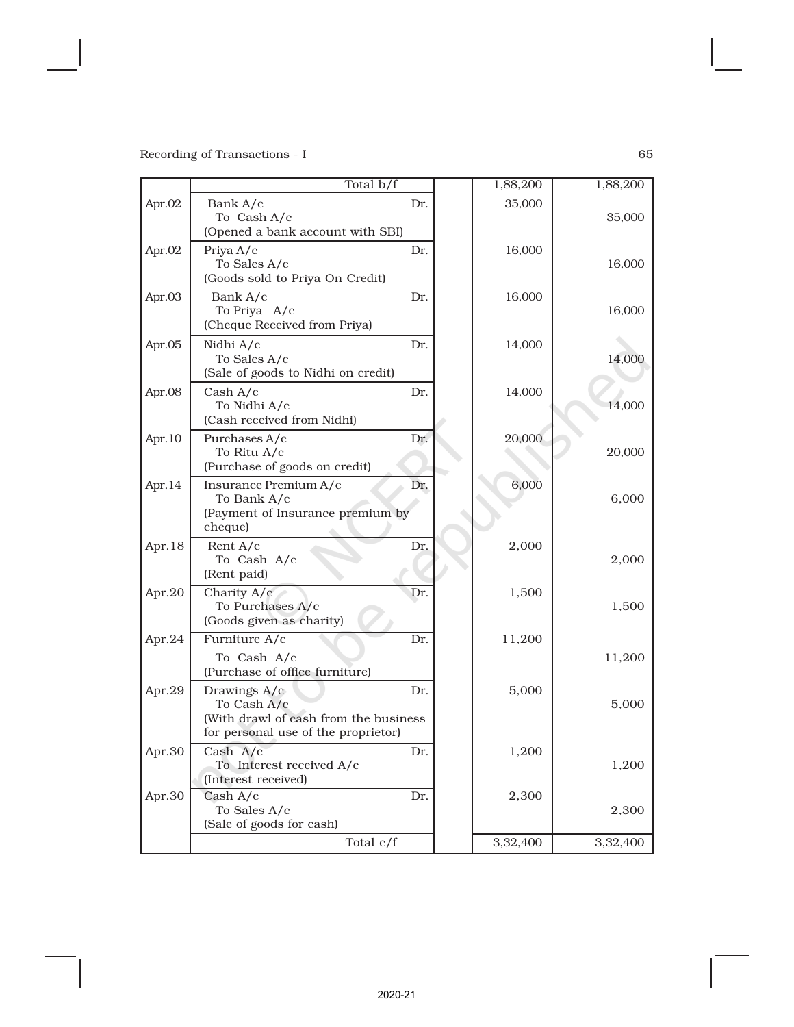|        | Total b/f                                                                                                   |     | 1,88,200 | 1,88,200 |
|--------|-------------------------------------------------------------------------------------------------------------|-----|----------|----------|
| Apr.02 | Bank A/c<br>To Cash A/c<br>(Opened a bank account with SBI)                                                 | Dr. | 35,000   | 35,000   |
| Apr.02 | Priya A/c<br>To Sales A/c<br>(Goods sold to Priya On Credit)                                                | Dr. | 16,000   | 16,000   |
| Apr.03 | Bank A/c<br>To Priya A/c<br>(Cheque Received from Priya)                                                    | Dr. | 16,000   | 16,000   |
| Apr.05 | Nidhi A/c<br>To Sales A/c<br>(Sale of goods to Nidhi on credit)                                             | Dr. | 14,000   | 14,000   |
| Apr.08 | Cash A/c<br>To Nidhi A/c<br>(Cash received from Nidhi)                                                      | Dr. | 14,000   | 14,000   |
| Apr.10 | Purchases A/c<br>To Ritu A/c<br>(Purchase of goods on credit)                                               | Dr. | 20,000   | 20,000   |
| Apr.14 | Insurance Premium A/c<br>To Bank A/c<br>(Payment of Insurance premium by<br>cheque)                         | Dr. | 6,000    | 6,000    |
| Apr.18 | Rent A/c<br>To Cash A/c<br>(Rent paid)                                                                      | Dr. | 2,000    | 2,000    |
| Apr.20 | Charity A/c<br>To Purchases A/c<br>(Goods given as charity)                                                 | Dr. | 1,500    | 1,500    |
| Apr.24 | Furniture A/c<br>To Cash A/c<br>(Purchase of office furniture)                                              | Dr. | 11,200   | 11,200   |
| Apr.29 | Drawings A/c<br>To Cash A/c<br>(With drawl of cash from the business<br>for personal use of the proprietor) | Dr. | 5,000    | 5,000    |
| Apr.30 | Cash A/c<br>To Interest received A/c<br>(Interest received)                                                 | Dr. | 1,200    | 1,200    |
| Apr.30 | Cash $A/c$<br>To Sales A/c<br>(Sale of goods for cash)                                                      | Dr. | 2,300    | 2,300    |
|        | Total c/f                                                                                                   |     | 3,32,400 | 3,32,400 |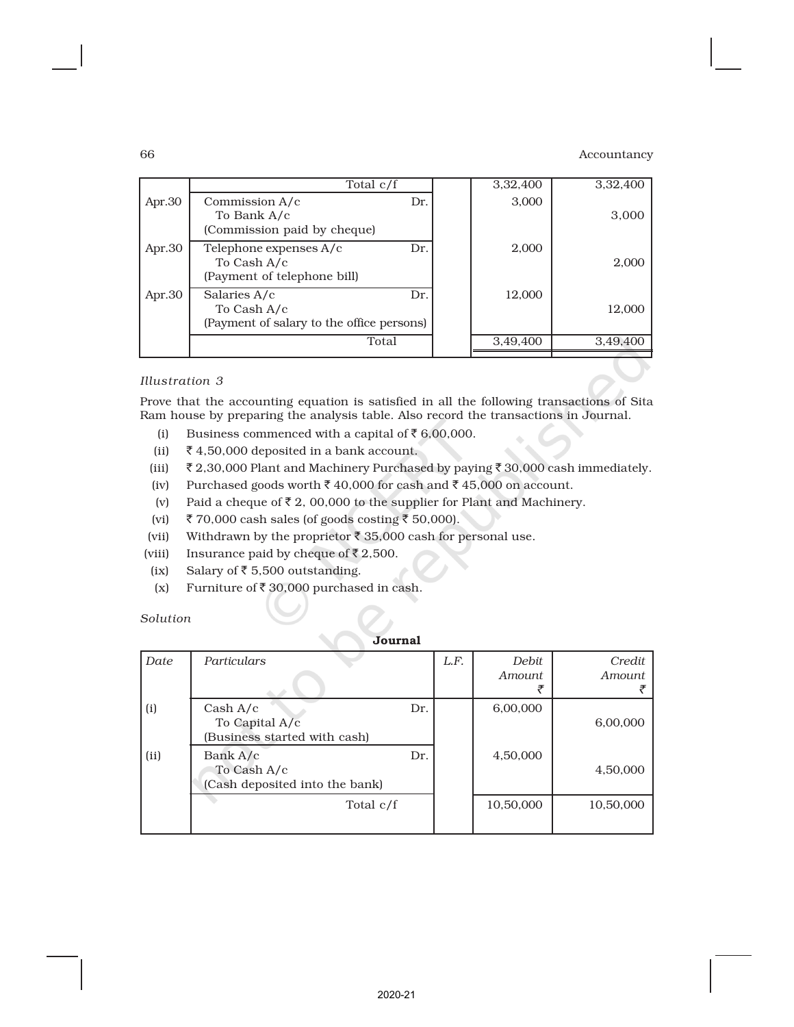| Commission A/c<br>Dr.                                                |                                                         |          |
|----------------------------------------------------------------------|---------------------------------------------------------|----------|
| To Bank A/c<br>(Commission paid by cheque)                           | 3,000                                                   | 3,000    |
| Telephone expenses A/c<br>To Cash A/c<br>(Payment of telephone bill) | 2,000                                                   | 2,000    |
| Salaries A/c<br>To Cash A/c                                          | 12,000                                                  | 12,000   |
| Total                                                                | 3,49,400                                                | 3,49,400 |
|                                                                      | Dr.<br>Dr.<br>(Payment of salary to the office persons) |          |

### *Illustration 3*

Prove that the accounting equation is satisfied in all the following transactions of Sita Ram house by preparing the analysis table. Also record the transactions in Journal.

- (i) Business commenced with a capital of  $\bar{\tau}$  6,00,000.
- (ii)  $\bar{z}$  4,50,000 deposited in a bank account.
- (iii)  $\bar{\xi}$  2,30,000 Plant and Machinery Purchased by paying  $\bar{\xi}$  30,000 cash immediately.
- (iv) Purchased goods worth  $\bar{z}$  40,000 for cash and  $\bar{z}$  45,000 on account.
- (v) Paid a cheque of  $\bar{\tau}$  2, 00,000 to the supplier for Plant and Machinery.
- (vi) ₹ 70,000 cash sales (of goods costing  $\bar{z}$  50,000).
- (vii) Withdrawn by the proprietor  $\bar{\tau}$  35,000 cash for personal use.
- (viii) Insurance paid by cheque of  $\bar{\tau}$  2,500.
- (ix) Salary of  $\bar{\tau}$  5,500 outstanding.
- (x) Furniture of  $\bar{\tau}$  30,000 purchased in cash.

*Solution*

|      | Journal                                                    |     |      |                         |                  |  |  |
|------|------------------------------------------------------------|-----|------|-------------------------|------------------|--|--|
| Date | Particulars                                                |     | L.F. | <b>Debit</b><br>Amount. | Credit<br>Amount |  |  |
| (i)  | Cash A/c<br>To Capital A/c<br>(Business started with cash) | Dr. |      | 6,00,000                | 6,00,000         |  |  |
| (ii) | Bank A/c<br>To Cash A/c<br>(Cash deposited into the bank)  | Dr. |      | 4,50,000                | 4,50,000         |  |  |
|      | Total c/f                                                  |     |      | 10,50,000               | 10,50,000        |  |  |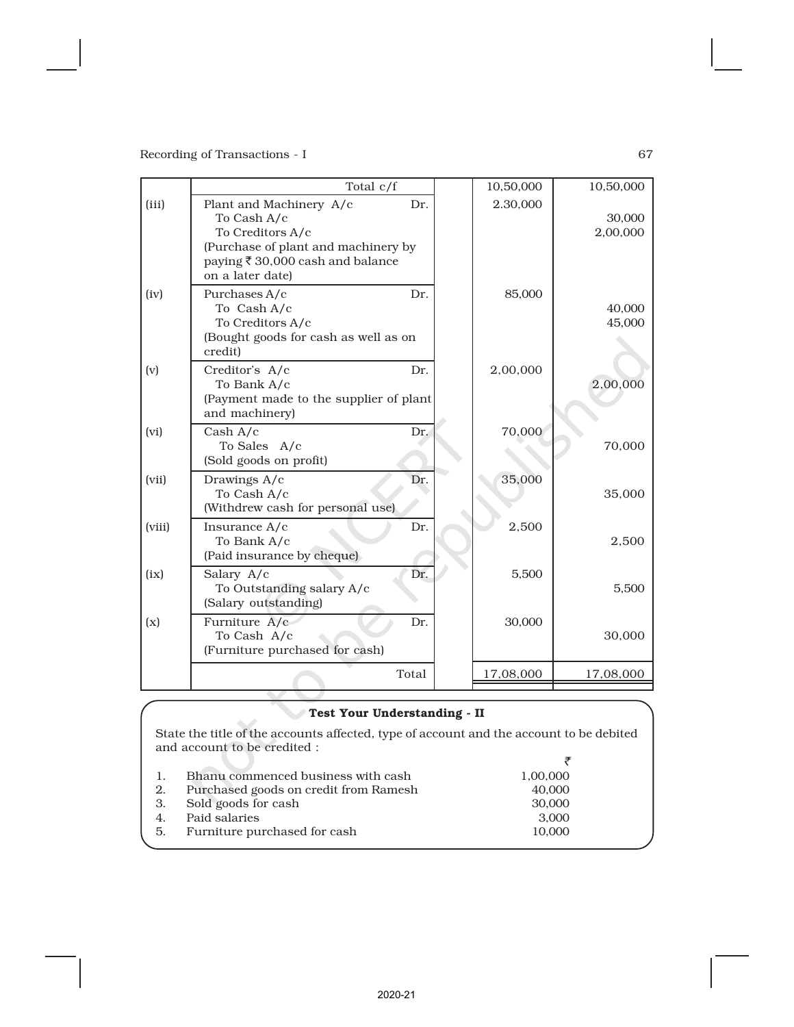|        | Total c/f                                                                                                                                                 |       | 10,50,000 | 10,50,000          |
|--------|-----------------------------------------------------------------------------------------------------------------------------------------------------------|-------|-----------|--------------------|
| (iii)  | Plant and Machinery A/c<br>To Cash A/c<br>To Creditors A/c<br>(Purchase of plant and machinery by<br>paying ₹ 30,000 cash and balance<br>on a later date) | Dr.   | 2.30,000  | 30,000<br>2,00,000 |
| (iv)   | Purchases A/c<br>To Cash A/c<br>To Creditors A/c<br>(Bought goods for cash as well as on<br>credit)                                                       | Dr.   | 85,000    | 40,000<br>45,000   |
| (v)    | Creditor's A/c<br>To Bank A/c<br>(Payment made to the supplier of plant<br>and machinery)                                                                 | Dr.   | 2,00,000  | 2,00,000           |
| (vi)   | Cash $A/c$<br>To Sales A/c<br>(Sold goods on profit)                                                                                                      | Dr.   | 70,000    | 70,000             |
| (vii)  | Drawings A/c<br>To Cash A/c<br>(Withdrew cash for personal use)                                                                                           | Dr.   | 35,000    | 35,000             |
| (viii) | Insurance A/c<br>To Bank A/c<br>(Paid insurance by cheque)                                                                                                | Dr.   | 2,500     | 2,500              |
| (ix)   | Salary A/c<br>To Outstanding salary A/c<br>(Salary outstanding)                                                                                           | Dr.   | 5,500     | 5,500              |
| (x)    | Furniture A/c<br>To Cash A/c<br>(Furniture purchased for cash)                                                                                            | Dr.   | 30,000    | 30,000             |
|        |                                                                                                                                                           | Total | 17,08,000 | 17,08,000          |

### Test Your Understanding - II

State the title of the accounts affected, type of account and the account to be debited and account to be credited :  $\bar{\tau}$ 

|    | 1. Bhanu commenced business with cash | 1,00,000 |
|----|---------------------------------------|----------|
| 2. | Purchased goods on credit from Ramesh | 40,000   |
|    | 3. Sold goods for cash                | 30,000   |
|    | 4. Paid salaries                      | 3.000    |
|    | 5. Furniture purchased for cash       | 10.000   |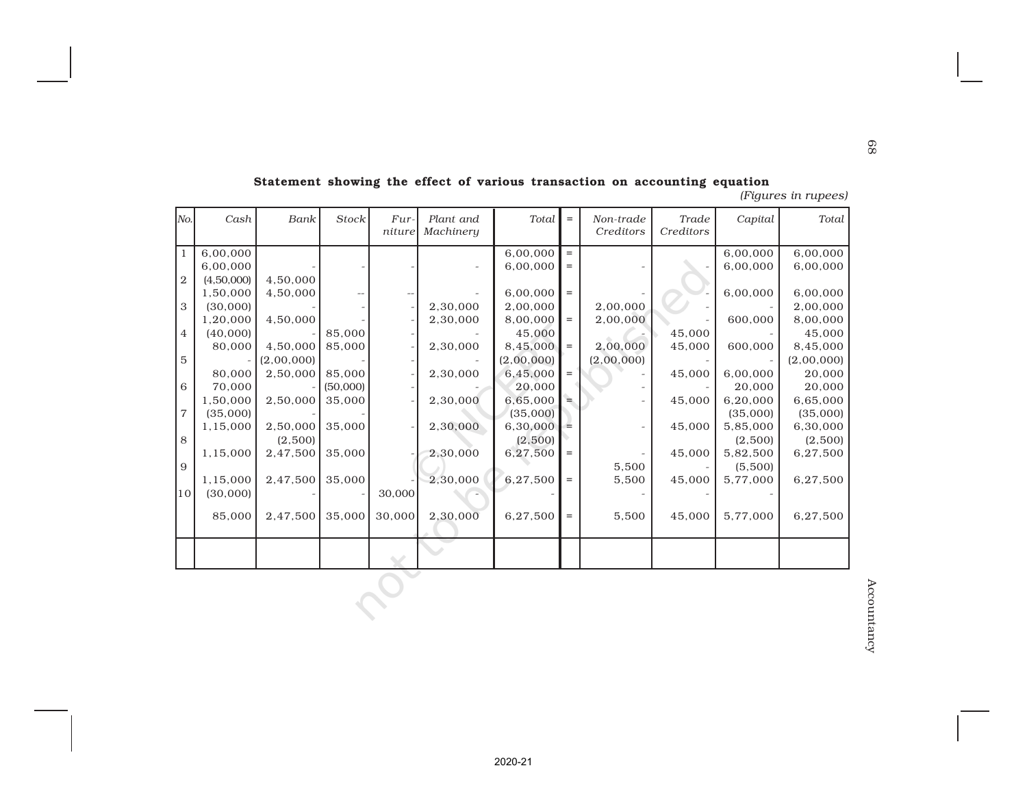| Total      | Capital  | Trade<br>Creditors | Non-trade<br>Creditors | $\equiv$ | Total      | Plant and<br>Machinery | Fur-<br>niture | Stock    | Bank       | Cash       | No.            |
|------------|----------|--------------------|------------------------|----------|------------|------------------------|----------------|----------|------------|------------|----------------|
| 6,00,000   | 6,00,000 |                    |                        | $\equiv$ | 6,00,000   |                        |                |          |            | 6,00,000   | 1              |
| 6,00,000   | 6,00,000 |                    |                        | $=$      | 6,00,000   |                        |                |          |            | 6,00,000   |                |
|            |          |                    |                        |          |            |                        |                |          | 4,50,000   | (4,50,000) | $\mathbf{2}$   |
| 6,00,000   | 6,00,000 |                    |                        | $=$      | 6,00,000   |                        |                |          | 4,50,000   | 1,50,000   |                |
| 2,00,000   |          |                    | 2,00,000               |          | 2,00,000   | 2,30,000               |                |          |            | (30,000)   | 3              |
| 8,00,000   | 600,000  |                    | 2,00,000               | $=$      | 8,00,000   | 2,30,000               |                |          | 4,50,000   | 1,20,000   |                |
| 45,000     |          | 45,000             |                        |          | 45,000     |                        |                | 85,000   |            | (40,000)   | $\overline{4}$ |
| 8,45,000   | 600,000  | 45,000             | 2,00,000               | $=$      | 8,45,000   | 2,30,000               |                | 85,000   | 4,50,000   | 80,000     |                |
| (2,00,000) |          |                    | (2,00,000)             |          | (2,00,000) |                        |                |          | (2,00,000) |            | 5              |
| 20,000     | 6.00.000 | 45,000             |                        | $\,=\,$  | 6,45,000   | 2,30,000               |                | 85,000   | 2,50,000   | 80,000     |                |
| 20,000     | 20,000   |                    |                        |          | 20,000     |                        |                | (50,000) |            | 70,000     | 6              |
| 6,65,000   | 6,20,000 | 45,000             |                        | ∍        | 6,65,000   | 2,30,000               |                | 35,000   | 2,50,000   | 1,50,000   |                |
| (35,000)   | (35,000) |                    |                        |          | (35,000)   |                        |                |          |            | (35,000)   | $\overline{7}$ |
| 6,30,000   | 5,85,000 | 45,000             |                        | $=$      | 6,30,000   | 2,30,000               |                | 35,000   | 2,50,000   | 1,15,000   |                |
| (2,500)    | (2,500)  |                    |                        |          | (2,500)    |                        |                |          | (2,500)    |            | 8              |
| 6,27,500   | 5,82,500 | 45,000             |                        | $=$      | 6,27,500   | 2,30,000               |                | 35,000   | 2,47,500   | 1,15,000   |                |
|            | (5,500)  |                    | 5,500                  |          |            |                        |                |          |            |            | 9              |
| 6,27,500   | 5,77,000 | 45,000             | 5,500                  | $=$      | 6,27,500   | 2,30,000               |                | 35,000   | 2,47,500   | 1,15,000   |                |
|            |          |                    |                        |          |            |                        | 30,000         |          |            | (30,000)   | 10             |
| 6,27,500   | 5,77,000 | 45,000             | 5,500                  | $=$      | 6,27,500   | 2,30,000               | 30,000         | 35,000   | 2,47,500   | 85,000     |                |
|            |          |                    |                        |          |            |                        |                |          |            |            |                |
|            |          |                    |                        |          |            |                        |                |          |            |            |                |

68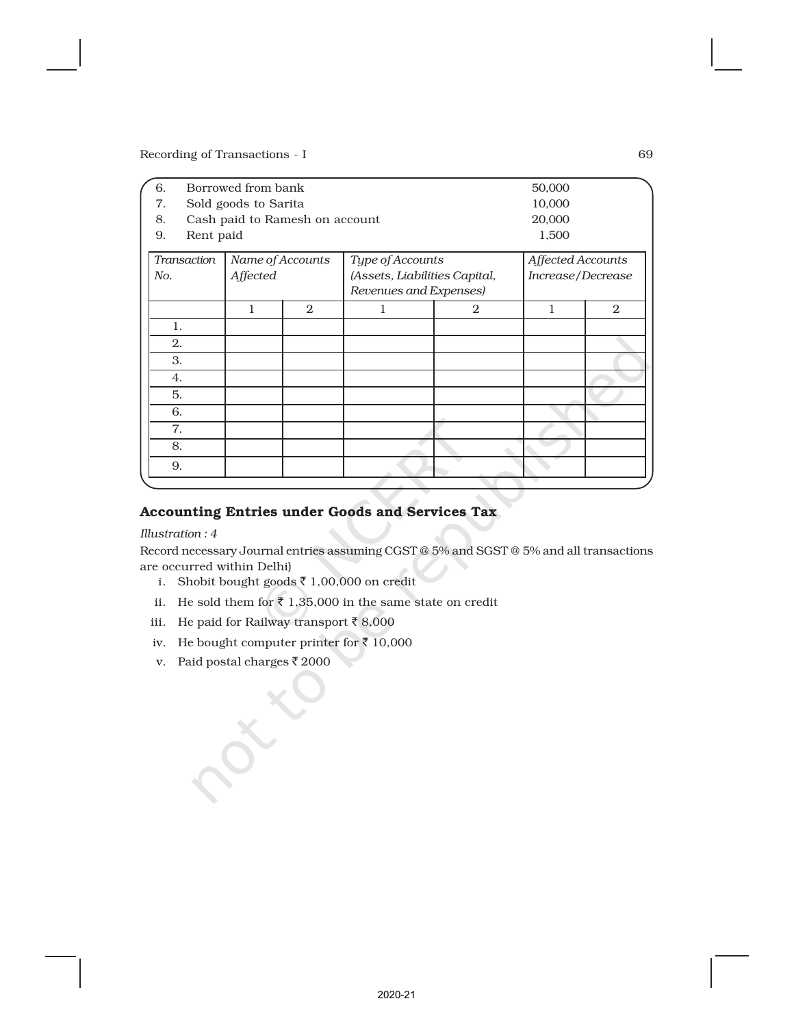| 6.  | Borrowed from bank<br>50,000 |                                |                   |                               |                |                   |                |  |
|-----|------------------------------|--------------------------------|-------------------|-------------------------------|----------------|-------------------|----------------|--|
| 7.  |                              | Sold goods to Sarita           | 10,000            |                               |                |                   |                |  |
| 8.  |                              | Cash paid to Ramesh on account | 20,000            |                               |                |                   |                |  |
| 9.  | Rent paid                    | 1,500                          |                   |                               |                |                   |                |  |
|     | <b>Transaction</b>           |                                | Affected Accounts |                               |                |                   |                |  |
| No. |                              | Affected                       |                   | (Assets, Liabilities Capital, |                | Increase/Decrease |                |  |
|     |                              |                                |                   | Revenues and Expenses)        |                |                   |                |  |
|     |                              | 1                              | $\mathfrak{2}$    | 1                             | $\overline{2}$ | 1                 | $\overline{2}$ |  |
|     | 1.                           |                                |                   |                               |                |                   |                |  |
|     | 2.                           |                                |                   |                               |                |                   |                |  |
|     | 3.                           |                                |                   |                               |                |                   |                |  |
|     | 4.                           |                                |                   |                               |                |                   |                |  |
|     | 5.                           |                                |                   |                               |                |                   |                |  |
|     | 6.                           |                                |                   |                               |                |                   |                |  |
|     | 7.                           |                                |                   |                               |                |                   |                |  |
|     | 8.                           |                                |                   |                               |                |                   |                |  |
|     | 9.                           |                                |                   |                               |                |                   |                |  |
|     |                              |                                |                   |                               |                |                   |                |  |

# Accounting Entries under Goods and Services Tax

*Illustration : 4*

Record necessary Journal entries assuming CGST @ 5% and SGST @ 5% and all transactions are occurred within Delhi)

- i. Shobit bought goods  $\bar{z}$  1,00,000 on credit
- ii. He sold them for  $\bar{\tau}$  1,35,000 in the same state on credit
- iii. He paid for Railway transport  $\bar{z}$  8,000
- iv. He bought computer printer for  $\bar{z}$  10,000
- v. Paid postal charges  $\bar{z}$  2000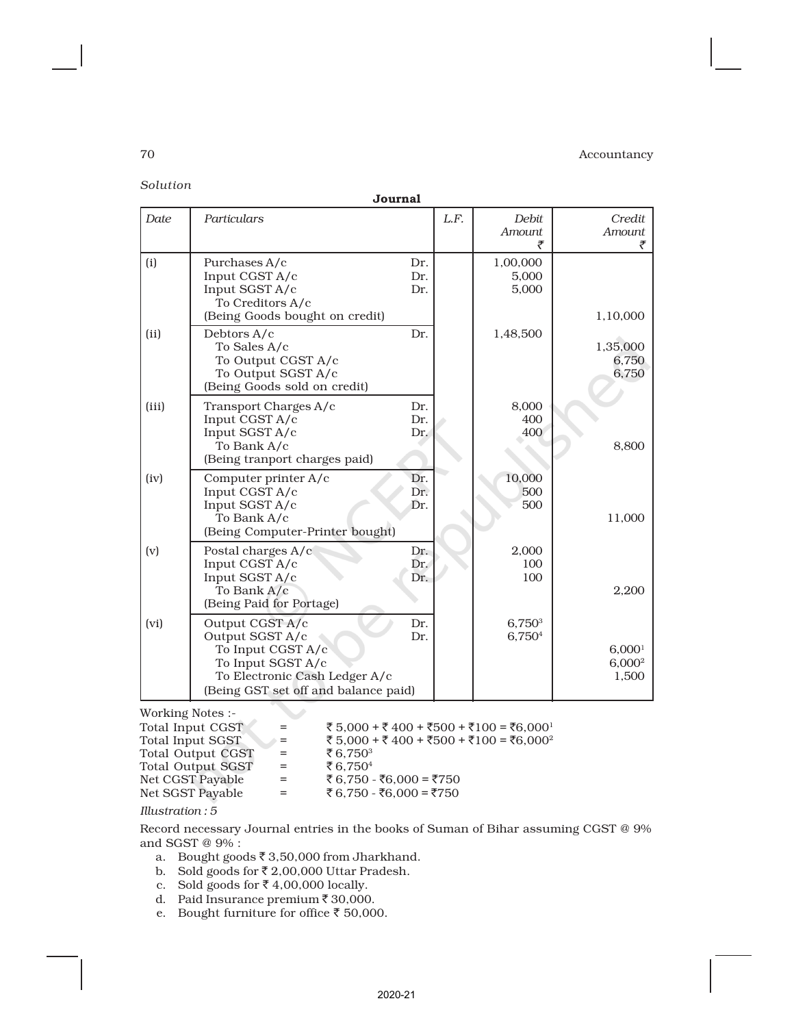*Solution*

|       | Journal                                                                                                                                               |                   |      |                                   |                                          |
|-------|-------------------------------------------------------------------------------------------------------------------------------------------------------|-------------------|------|-----------------------------------|------------------------------------------|
| Date  | Particulars                                                                                                                                           |                   | L.F. | Debit<br>Amount                   | Credit<br>Amount<br>₹                    |
| (i)   | Purchases A/c<br>Input CGST A/c<br>Input SGST A/c<br>To Creditors A/c<br>(Being Goods bought on credit)                                               | Dr.<br>Dr.<br>Dr. |      | 1,00,000<br>5,000<br>5,000        | 1,10,000                                 |
| (ii)  | Debtors A/c<br>To Sales A/c<br>To Output CGST A/c<br>To Output SGST A/c<br>(Being Goods sold on credit)                                               | Dr.               |      | 1,48,500                          | 1,35,000<br>6,750<br>6,750               |
| (iii) | Transport Charges A/c<br>Input CGST A/c<br>Input SGST A/c<br>To Bank A/c<br>(Being tranport charges paid)                                             | Dr.<br>Dr.<br>Dr. |      | 8,000<br>400<br>400               | 8,800                                    |
| (iv)  | Computer printer A/c<br>Input CGST A/c<br>Input SGST A/c<br>To Bank A/c<br>(Being Computer-Printer bought)                                            | Dr.<br>Dr.<br>Dr. |      | 10,000<br>500<br>500              | 11,000                                   |
| (v)   | Postal charges A/c<br>Input CGST A/c<br>Input SGST A/c<br>To Bank A/c<br>(Being Paid for Portage)                                                     | Dr.<br>Dr.<br>Dr. |      | 2,000<br>100<br>100               | 2,200                                    |
| (vi)  | Output CGST A/c<br>Output SGST A/c<br>To Input CGST A/c<br>To Input SGST A/c<br>To Electronic Cash Ledger A/c<br>(Being GST set off and balance paid) | Dr.<br>Dr.        |      | 6.750 <sup>3</sup><br>$6,750^{4}$ | 6,000 <sup>1</sup><br>$6,000^2$<br>1,500 |

Working Notes :-

| $=$ | ₹ 5.000 + ₹ 400 + ₹500 + ₹100 = ₹6.000 <sup>1</sup> |
|-----|-----------------------------------------------------|
| $=$ | ₹ 5,000 + ₹ 400 + ₹500 + ₹100 = ₹6,000 <sup>2</sup> |
| $=$ | ₹6.750 <sup>3</sup>                                 |
| $=$ | ₹6.750 <sup>4</sup>                                 |
| $=$ | ₹ 6.750 - ₹6.000 = ₹750                             |
| $=$ | ₹ 6.750 - ₹6.000 = ₹750                             |
|     |                                                     |

*Illustration : 5*

Record necessary Journal entries in the books of Suman of Bihar assuming CGST @ 9% and SGST @ 9% :

a. Bought goods  $\bar{z}$  3,50,000 from Jharkhand.

b. Sold goods for  $\bar{\tau}$  2,00,000 Uttar Pradesh.

c. Sold goods for  $\overline{\zeta}$  4,00,000 locally.

d. Paid Insurance premium  $\bar{z}$  30,000.

e. Bought furniture for office  $\bar{\tau}$  50,000.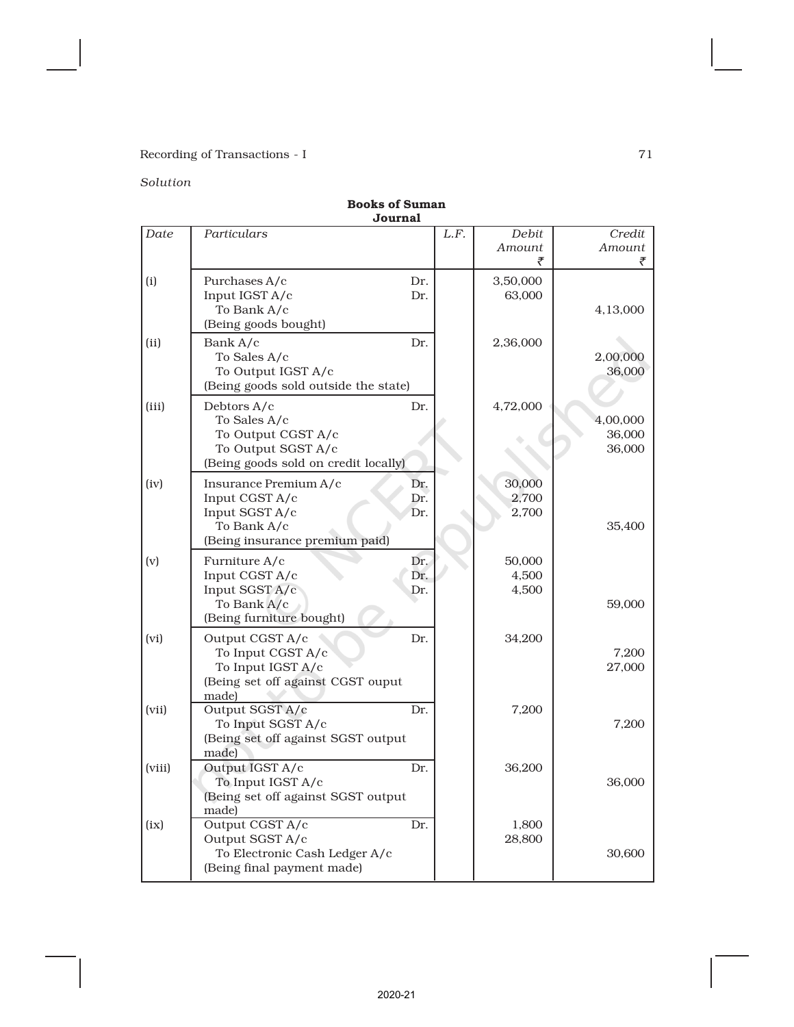# *Solution*

|        | Journal                                                                                                         |                   |                          |                              |
|--------|-----------------------------------------------------------------------------------------------------------------|-------------------|--------------------------|------------------------------|
| Date   | Particulars                                                                                                     | L.F.              | Debit<br>Amount          | Credit<br>Amount<br>₹        |
| (i)    | Purchases A/c<br>Input IGST A/c<br>To Bank A/c<br>(Being goods bought)                                          | Dr.<br>Dr.        | 3,50,000<br>63,000       | 4,13,000                     |
| (ii)   | Bank A/c<br>To Sales A/c<br>To Output IGST A/c<br>(Being goods sold outside the state)                          | Dr.               | 2,36,000                 | 2,00,000<br>36,000           |
| (iii)  | Debtors A/c<br>To Sales A/c<br>To Output CGST A/c<br>To Output SGST A/c<br>(Being goods sold on credit locally) | Dr.               | 4,72,000                 | 4,00,000<br>36,000<br>36,000 |
| (iv)   | Insurance Premium A/c<br>Input CGST A/c<br>Input SGST A/c<br>To Bank A/c<br>(Being insurance premium paid)      | Dr.<br>Dr.<br>Dr. | 30,000<br>2,700<br>2,700 | 35,400                       |
| (v)    | Furniture A/c<br>Input CGST A/c<br>Input SGST A/c<br>To Bank A/c<br>(Being furniture bought)                    | Dr.<br>Dr.<br>Dr. | 50,000<br>4,500<br>4,500 | 59,000                       |
| (vi)   | Output CGST A/c<br>To Input CGST A/c<br>To Input IGST A/c<br>(Being set off against CGST ouput<br>made)         | Dr.               | 34,200                   | 7,200<br>27,000              |
| (vii)  | Output SGST A/c<br>To Input SGST A/c<br>(Being set off against SGST output<br>made)                             | Dr.               | 7,200                    | 7,200                        |
| (viii) | Output IGST A/c<br>To Input IGST A/c<br>(Being set off against SGST output<br>made)                             | Dr.               | 36,200                   | 36,000                       |
| (ix)   | Output CGST A/c<br>Output SGST A/c<br>To Electronic Cash Ledger A/c<br>(Being final payment made)               | Dr.               | 1,800<br>28,800          | 30,600                       |

# Books of Suman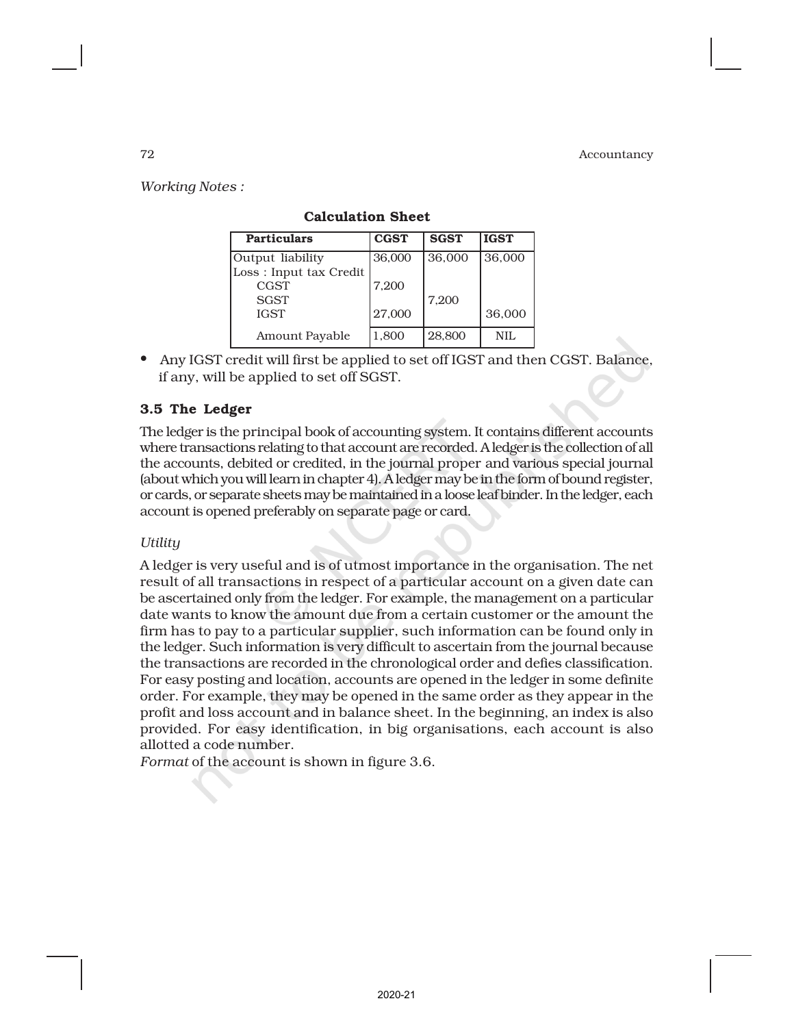*Working Notes :*

| <b>Particulars</b>     | <b>CGST</b> | <b>SGST</b> | <b>IGST</b> |
|------------------------|-------------|-------------|-------------|
| Output liability       | 36,000      | 36,000      | 36,000      |
| Loss: Input tax Credit |             |             |             |
| CGST                   | 7,200       |             |             |
| <b>SGST</b>            |             | 7,200       |             |
| <b>IGST</b>            | 27,000      |             | 36,000      |
| Amount Payable         | 1,800       | 28,800      | NIL         |

### Calculation Sheet

• Any IGST credit will first be applied to set off IGST and then CGST. Balance, if any, will be applied to set off SGST.

# 3.5 The Ledger

The ledger is the principal book of accounting system. It contains different accounts where transactions relating to that account are recorded. A ledger is the collection of all the accounts, debited or credited, in the journal proper and various special journal (about which you will learn in chapter 4). A ledger may be in the form of bound register, or cards, or separate sheets may be maintained in a loose leaf binder. In the ledger, each account is opened preferably on separate page or card.

### *Utility*

A ledger is very useful and is of utmost importance in the organisation. The net result of all transactions in respect of a particular account on a given date can be ascertained only from the ledger. For example, the management on a particular date wants to know the amount due from a certain customer or the amount the firm has to pay to a particular supplier, such information can be found only in the ledger. Such information is very difficult to ascertain from the journal because the transactions are recorded in the chronological order and defies classification. For easy posting and location, accounts are opened in the ledger in some definite order. For example, they may be opened in the same order as they appear in the profit and loss account and in balance sheet. In the beginning, an index is also provided. For easy identification, in big organisations, each account is also allotted a code number.

*Format* of the account is shown in figure 3.6.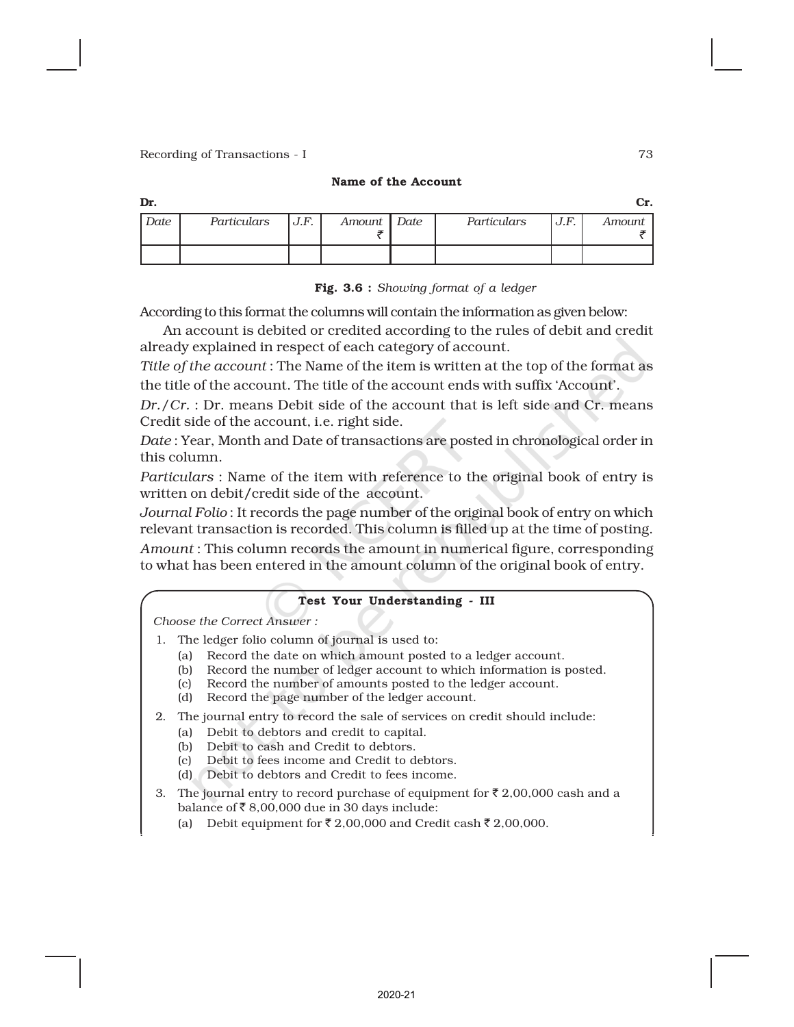### Name of the Account

| Dr.  |             |      |             |             |      | Сr.    |
|------|-------------|------|-------------|-------------|------|--------|
| Date | Particulars | J.F. | Amount Date | Particulars | J.F. | Amount |
|      |             |      |             |             |      |        |

### Fig. 3.6 : *Showing format of a ledger*

According to this format the columns will contain the information as given below:

An account is debited or credited according to the rules of debit and credit already explained in respect of each category of account.

*Title of the account* : The Name of the item is written at the top of the format as the title of the account. The title of the account ends with suffix 'Account'.

*Dr./Cr.* : Dr. means Debit side of the account that is left side and Cr. means Credit side of the account, i.e. right side.

*Date* : Year, Month and Date of transactions are posted in chronological order in this column.

*Particulars* : Name of the item with reference to the original book of entry is written on debit/credit side of the account.

*Journal Folio* : It records the page number of the original book of entry on which relevant transaction is recorded. This column is filled up at the time of posting.

*Amount* : This column records the amount in numerical figure, corresponding to what has been entered in the amount column of the original book of entry.

### Test Your Understanding - III

*Choose the Correct Answer :*

- 1. The ledger folio column of journal is used to:
	- (a) Record the date on which amount posted to a ledger account.
	- (b) Record the number of ledger account to which information is posted.
	- (c) Record the number of amounts posted to the ledger account.
	- (d) Record the page number of the ledger account.
- 2. The journal entry to record the sale of services on credit should include:
	- (a) Debit to debtors and credit to capital.
	- (b) Debit to cash and Credit to debtors.
	- (c) Debit to fees income and Credit to debtors.
	- (d) Debit to debtors and Credit to fees income.
- 3. The journal entry to record purchase of equipment for  $\bar{\tau}$  2,00,000 cash and a balance of  $\bar{\bar{\xi}}$  8,00,000 due in 30 days include:
	- (a) Debit equipment for  $\bar{\tau}$  2,00,000 and Credit cash  $\bar{\tau}$  2,00,000.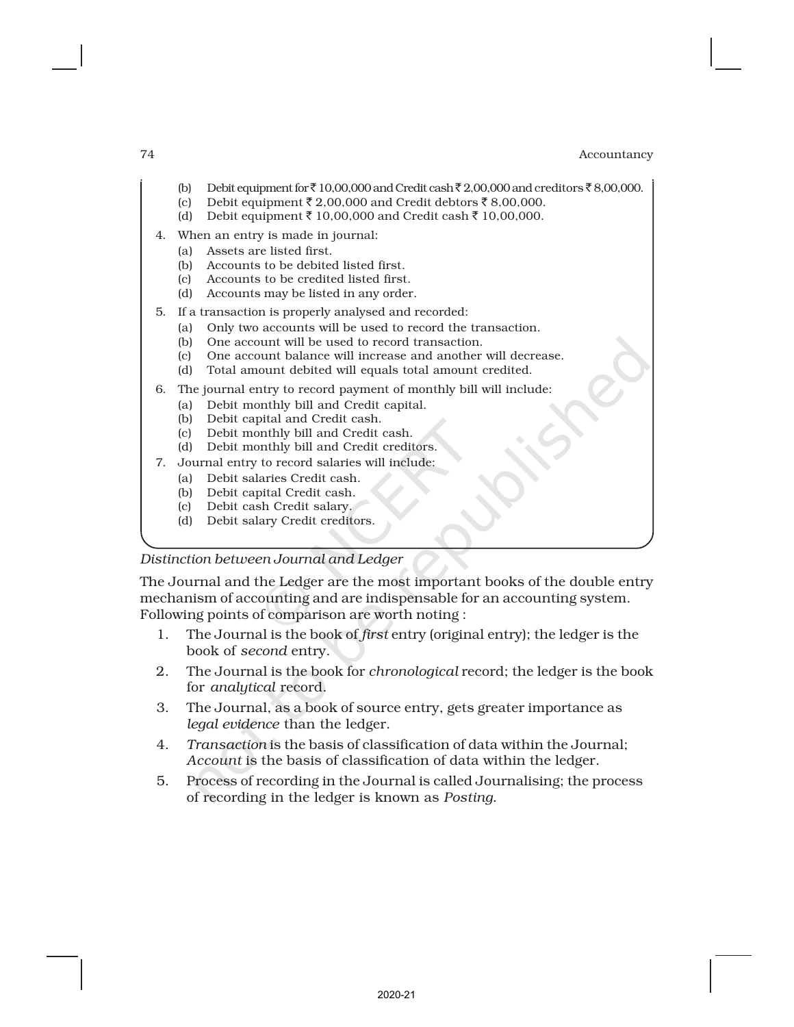- (b) Debit equipment for  $\bar{\zeta}$  10,00,000 and Credit cash  $\bar{\zeta}$  2,00,000 and creditors  $\bar{\zeta}$  8,00,000.
- (c) Debit equipment  $\bar{\tau}$  2,00,000 and Credit debtors  $\bar{\tau}$  8,00,000.
- (d) Debit equipment ₹ 10,00,000 and Credit cash ₹ 10,00,000.
- 4. When an entry is made in journal:
	- (a) Assets are listed first.
	- (b) Accounts to be debited listed first.
	- (c) Accounts to be credited listed first.
	- (d) Accounts may be listed in any order.
- 5. If a transaction is properly analysed and recorded:
	- (a) Only two accounts will be used to record the transaction.
	- (b) One account will be used to record transaction.
	- (c) One account balance will increase and another will decrease.
	- (d) Total amount debited will equals total amount credited.
- 6. The journal entry to record payment of monthly bill will include:
	- (a) Debit monthly bill and Credit capital.
	- (b) Debit capital and Credit cash.
	- (c) Debit monthly bill and Credit cash.
	- (d) Debit monthly bill and Credit creditors.
- 7. Journal entry to record salaries will include:
	- (a) Debit salaries Credit cash.
	- (b) Debit capital Credit cash.
	- (c) Debit cash Credit salary.
	- (d) Debit salary Credit creditors.

# *Distinction between Journal and Ledger*

The Journal and the Ledger are the most important books of the double entry mechanism of accounting and are indispensable for an accounting system. Following points of comparison are worth noting :

- 1. The Journal is the book of *first* entry (original entry); the ledger is the book of *second* entry.
- 2. The Journal is the book for *chronological* record; the ledger is the book for *analytical* record.
- 3. The Journal, as a book of source entry, gets greater importance as *legal evidence* than the ledger.
- 4. *Transaction* is the basis of classification of data within the Journal; *Account* is the basis of classification of data within the ledger.
- 5. Process of recording in the Journal is called Journalising; the process of recording in the ledger is known as *Posting*.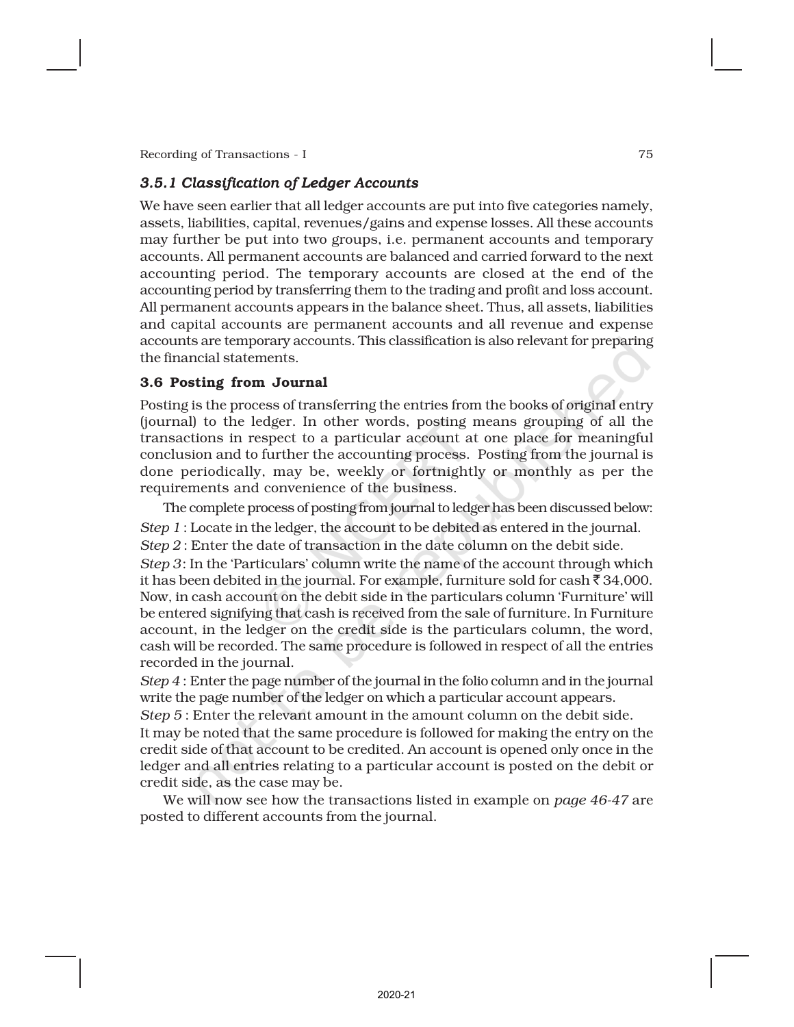# *3.5.1 Classification of Ledger Accounts*

We have seen earlier that all ledger accounts are put into five categories namely, assets, liabilities, capital, revenues/gains and expense losses. All these accounts may further be put into two groups, i.e. permanent accounts and temporary accounts. All permanent accounts are balanced and carried forward to the next accounting period. The temporary accounts are closed at the end of the accounting period by transferring them to the trading and profit and loss account. All permanent accounts appears in the balance sheet. Thus, all assets, liabilities and capital accounts are permanent accounts and all revenue and expense accounts are temporary accounts. This classification is also relevant for preparing the financial statements.

### 3.6 Posting from Journal

Posting is the process of transferring the entries from the books of original entry (journal) to the ledger. In other words, posting means grouping of all the transactions in respect to a particular account at one place for meaningful conclusion and to further the accounting process. Posting from the journal is done periodically, may be, weekly or fortnightly or monthly as per the requirements and convenience of the business.

The complete process of posting from journal to ledger has been discussed below: *Step 1* : Locate in the ledger, the account to be debited as entered in the journal. *Step 2* : Enter the date of transaction in the date column on the debit side. *Step 3*: In the 'Particulars' column write the name of the account through which it has been debited in the journal. For example, furniture sold for cash  $\bar{\tau}$  34,000. Now, in cash account on the debit side in the particulars column 'Furniture' will be entered signifying that cash is received from the sale of furniture. In Furniture account, in the ledger on the credit side is the particulars column, the word, cash will be recorded. The same procedure is followed in respect of all the entries recorded in the journal.

*Step 4* : Enter the page number of the journal in the folio column and in the journal write the page number of the ledger on which a particular account appears.

*Step 5* : Enter the relevant amount in the amount column on the debit side.

It may be noted that the same procedure is followed for making the entry on the credit side of that account to be credited. An account is opened only once in the ledger and all entries relating to a particular account is posted on the debit or credit side, as the case may be.

We will now see how the transactions listed in example on *page 46-47* are posted to different accounts from the journal.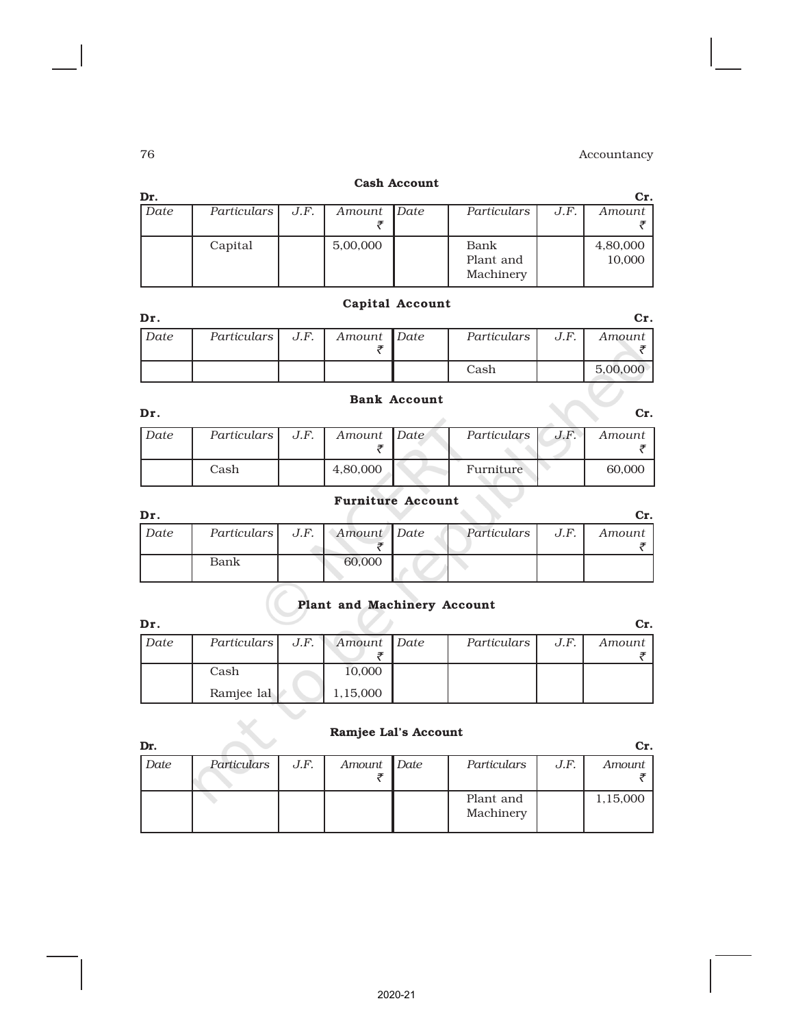### Cash Account

| Dr.  |             |      |             |             |      | Cr.      |
|------|-------------|------|-------------|-------------|------|----------|
| Date | Particulars | J.F. | Amount Date | Particulars | J.F. | Amount   |
|      |             |      |             |             |      |          |
|      | Capital     |      | 5,00,000    | Bank        |      | 4,80,000 |
|      |             |      |             | Plant and   |      | 10,000   |
|      |             |      |             | Machinery   |      |          |

# Capital Account

| Dr.  |                    |             |             |      |          |
|------|--------------------|-------------|-------------|------|----------|
| Date | Particulars   J.F. | Amount Date | Particulars | J.F. | Amount   |
|      |                    |             | Cash        |      | 5.00.000 |

# Bank Account

| Dr.  |               |      |             |             |      | Cr.    |
|------|---------------|------|-------------|-------------|------|--------|
| Date | Particulars I | J.F. | Amount Date | Particulars | J.F. | Amount |
|      | Cash          |      | 4,80,000    | Furniture   |      | 60,000 |

# Furniture Account

| Dr.  |                                  |        |             |      |        |
|------|----------------------------------|--------|-------------|------|--------|
| Date | Particulars   J.F.   Amount Date |        | Particulars | J.F. | Amount |
|      | Bank                             | 60,000 |             |      |        |

# Plant and Machinery Account

| Dr.  |                    |             |             |      | Cr.    |
|------|--------------------|-------------|-------------|------|--------|
| Date | Particulars   J.F. | Amount Date | Particulars | J.F. | Amount |
|      |                    |             |             |      |        |
|      | Cash               | 10,000      |             |      |        |
|      | Ramjee lal         | 1,15,000    |             |      |        |

# Ramjee Lal's Account

| Dr.  |             |      |             |                        |      |          |
|------|-------------|------|-------------|------------------------|------|----------|
| Date | Particulars | J.F. | Amount Date | Particulars            | J.F. | Amount   |
|      |             |      |             | Plant and<br>Machinery |      | 1,15,000 |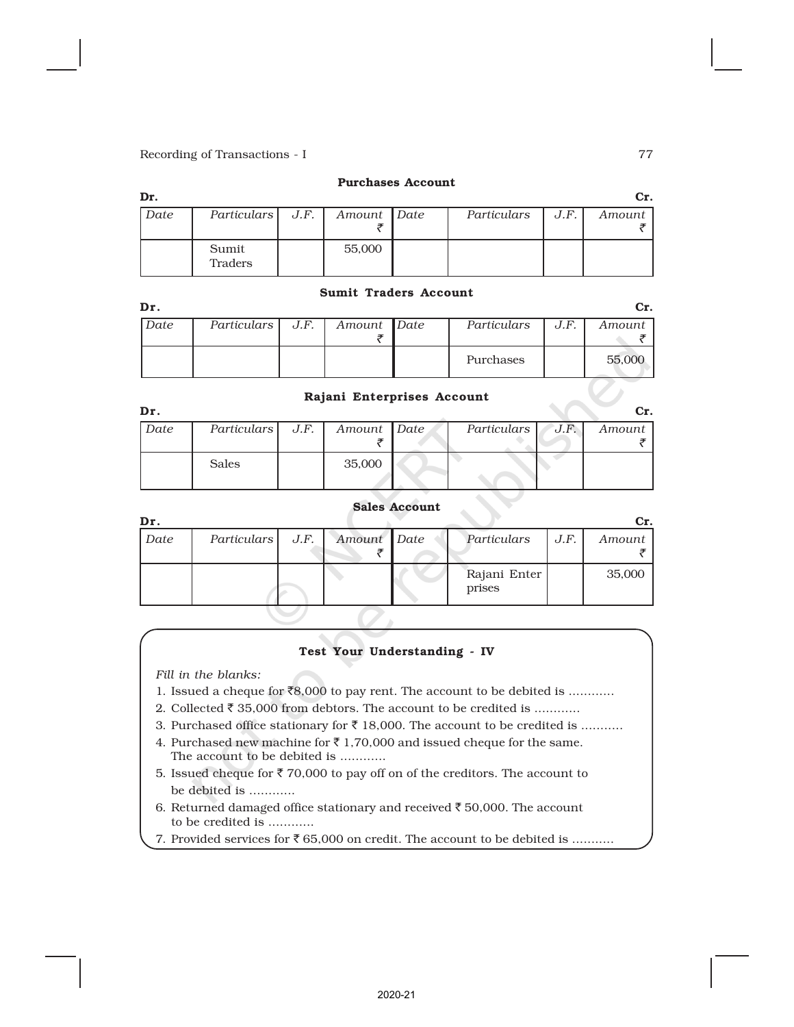### Purchases Account

| Dr.  |                    |             |             |      | Cr.    |
|------|--------------------|-------------|-------------|------|--------|
| Date | Particulars   J.F. | Amount Date | Particulars | J.F. | Amount |
|      |                    |             |             |      |        |
|      | Sumit<br>Traders   | 55,000      |             |      |        |

### Sumit Traders Account

| Dr   |                    |             |             |      |        |
|------|--------------------|-------------|-------------|------|--------|
| Date | Particulars   J.F. | Amount Date | Particulars | J.F. | Amount |
|      |                    |             |             |      |        |
|      |                    |             | Purchases   |      | 55,000 |

### Rajani Enterprises Account

| Dr.  |                    |             |             |      | Cr.    |
|------|--------------------|-------------|-------------|------|--------|
| Date | Particulars   J.F. | Amount Date | Particulars | J.F. | Amount |
|      |                    |             |             |      |        |
|      | Sales              | 35,000      |             |      |        |
|      |                    |             |             |      |        |

### Sales Account

| Dr.  |                    |             |                        |      | cr.    |
|------|--------------------|-------------|------------------------|------|--------|
| Date | Particulars   J.F. | Amount Date | Particulars            | J.F. | Amount |
|      |                    |             | Rajani Enter<br>prises |      | 35,000 |

### Test Your Understanding - IV

*Fill in the blanks:*

- 1. Issued a cheque for  $\bar{8}8,000$  to pay rent. The account to be debited is ...........
- 2. Collected  $\bar{\tau}$  35,000 from debtors. The account to be credited is ...........
- 3. Purchased office stationary for  $\bar{\tau}$  18,000. The account to be credited is ..........
- 4. Purchased new machine for  $\bar{\tau}$  1,70,000 and issued cheque for the same. The account to be debited is ............
- 5. Issued cheque for  $\bar{\tau}$  70,000 to pay off on of the creditors. The account to be debited is ............
- 6. Returned damaged office stationary and received  $\bar{\tau}$  50,000. The account to be credited is ............
- 7. Provided services for  $\bar{\mathfrak{e}}$  65,000 on credit. The account to be debited is ..........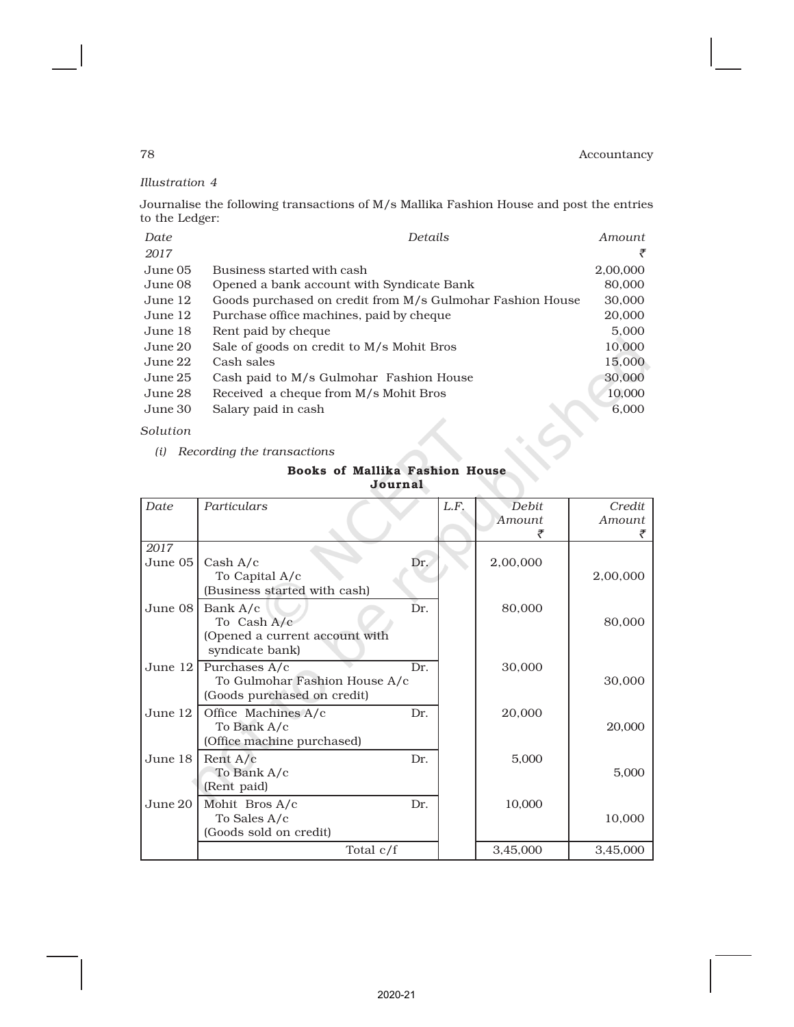*Illustration 4*

Journalise the following transactions of M/s Mallika Fashion House and post the entries to the Ledger:

| Date    | Details                                                   | Amount   |
|---------|-----------------------------------------------------------|----------|
| 2017    |                                                           | ₹        |
| June 05 | Business started with cash                                | 2,00,000 |
| June 08 | Opened a bank account with Syndicate Bank                 | 80,000   |
| June 12 | Goods purchased on credit from M/s Gulmohar Fashion House | 30,000   |
| June 12 | Purchase office machines, paid by cheque                  | 20,000   |
| June 18 | Rent paid by cheque                                       | 5,000    |
| June 20 | Sale of goods on credit to M/s Mohit Bros                 | 10,000   |
| June 22 | Cash sales                                                | 15,000   |
| June 25 | Cash paid to M/s Gulmohar Fashion House                   | 30,000   |
| June 28 | Received a cheque from M/s Mohit Bros                     | 10,000   |
| June 30 | Salary paid in cash                                       | 6,000    |
|         |                                                           |          |

*Solution*

*(i) Recording the transactions*

### Books of Mallika Fashion House Journal

|                 | Journal                                                                       |      |                        |                  |  |  |  |  |  |  |  |
|-----------------|-------------------------------------------------------------------------------|------|------------------------|------------------|--|--|--|--|--|--|--|
| <b>Date</b>     | Particulars                                                                   | L.F. | <b>Debit</b><br>Amount | Credit<br>Amount |  |  |  |  |  |  |  |
| 2017<br>June 05 | Cash A/c<br>To Capital A/c<br>(Business started with cash)                    | Dr.  | 2,00,000               | 2,00,000         |  |  |  |  |  |  |  |
| June 08         | Bank A/c<br>To Cash A/c<br>(Opened a current account with<br>syndicate bank)  | Dr.  | 80,000                 | 80,000           |  |  |  |  |  |  |  |
| June $121$      | Purchases A/c<br>To Gulmohar Fashion House A/c<br>(Goods purchased on credit) | Dr.  | 30,000                 | 30,000           |  |  |  |  |  |  |  |
| June $12$       | Office Machines A/c<br>To Bank A/c<br>(Office machine purchased)              | Dr.  | 20,000                 | 20,000           |  |  |  |  |  |  |  |
| June 18         | Rent $A/c$<br>To Bank A/c<br>(Rent paid)                                      | Dr.  | 5,000                  | 5,000            |  |  |  |  |  |  |  |
| June 20         | Mohit Bros A/c<br>To Sales A/c<br>(Goods sold on credit)                      | Dr.  | 10,000                 | 10,000           |  |  |  |  |  |  |  |
|                 | Total $c/f$                                                                   |      | 3,45,000               | 3,45,000         |  |  |  |  |  |  |  |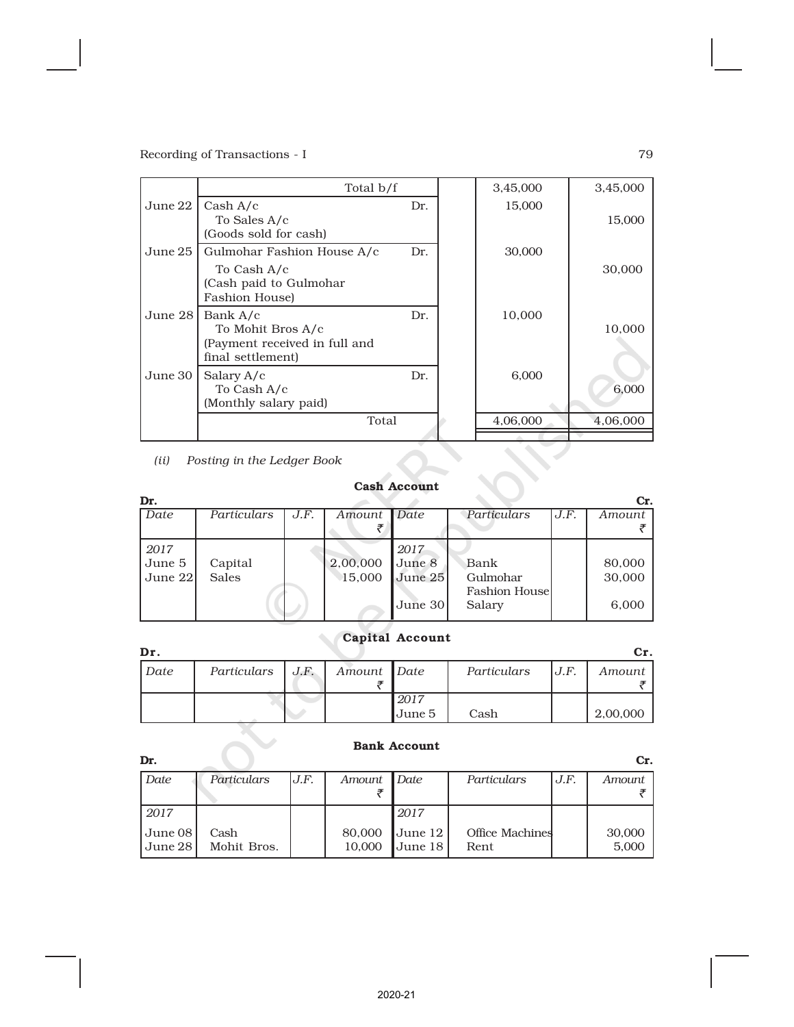|         | Total b/f                                                                                    |     | 3,45,000 | 3,45,000 |
|---------|----------------------------------------------------------------------------------------------|-----|----------|----------|
| June 22 | Cash A/c<br>To Sales A/c<br>(Goods sold for cash)                                            | Dr. | 15,000   | 15,000   |
| June 25 | Gulmohar Fashion House A/c<br>To Cash A/c<br>(Cash paid to Gulmohar<br><b>Fashion House)</b> | Dr. | 30,000   | 30,000   |
| June 28 | Bank A/c<br>To Mohit Bros A/c<br>(Payment received in full and<br>final settlement)          | Dr. | 10,000   | 10,000   |
| June 30 | Salary A/c<br>To Cash A/c<br>(Monthly salary paid)                                           | Dr. | 6,000    | 6,000    |
|         | Total                                                                                        |     | 4,06,000 | 4,06,000 |
| (ii)    | Posting in the Ledger Book                                                                   |     |          |          |

*(ii) Posting in the Ledger Book*

# Cash Account

| Dr.     |              |      |          |           |                       |      | Cr.    |
|---------|--------------|------|----------|-----------|-----------------------|------|--------|
| Date    | Particulars  | J.F. | Amount   | Date      | Particulars           | J.F. | Amount |
|         |              |      |          |           |                       |      |        |
| 2017    |              |      |          | 2017      |                       |      |        |
| June 5  | Capital      |      | 2,00,000 | June 8    | Bank                  |      | 80,000 |
| June 22 | <b>Sales</b> |      | 15,000   | June $25$ | Gulmohar              |      | 30,000 |
|         |              |      |          |           | <b>Fashion Housel</b> |      |        |
|         |              |      |          | June 30   | Salary                |      | 6,000  |

# Capital Account

| Dr.  |             |      |             |                |             |      | Cr.      |
|------|-------------|------|-------------|----------------|-------------|------|----------|
| Date | Particulars | J.F. | Amount Date |                | Particulars | J.F. | Amount   |
|      |             |      |             | 2017<br>June 5 | Cash        |      | 2,00,000 |

|                    |                     |      |                  | <b>Bank Account</b> |                                |      |                 |
|--------------------|---------------------|------|------------------|---------------------|--------------------------------|------|-----------------|
| Dr.                |                     |      |                  |                     |                                |      | Cr.             |
| Date               | Particulars         | J.F. | Amount           | Date                | Particulars                    | J.F. | Amount          |
| 2017               |                     |      |                  | 2017                |                                |      |                 |
| June 08<br>June 28 | Cash<br>Mohit Bros. |      | 80,000<br>10,000 | June 12<br>June 18  | <b>Office Machines</b><br>Rent |      | 30,000<br>5,000 |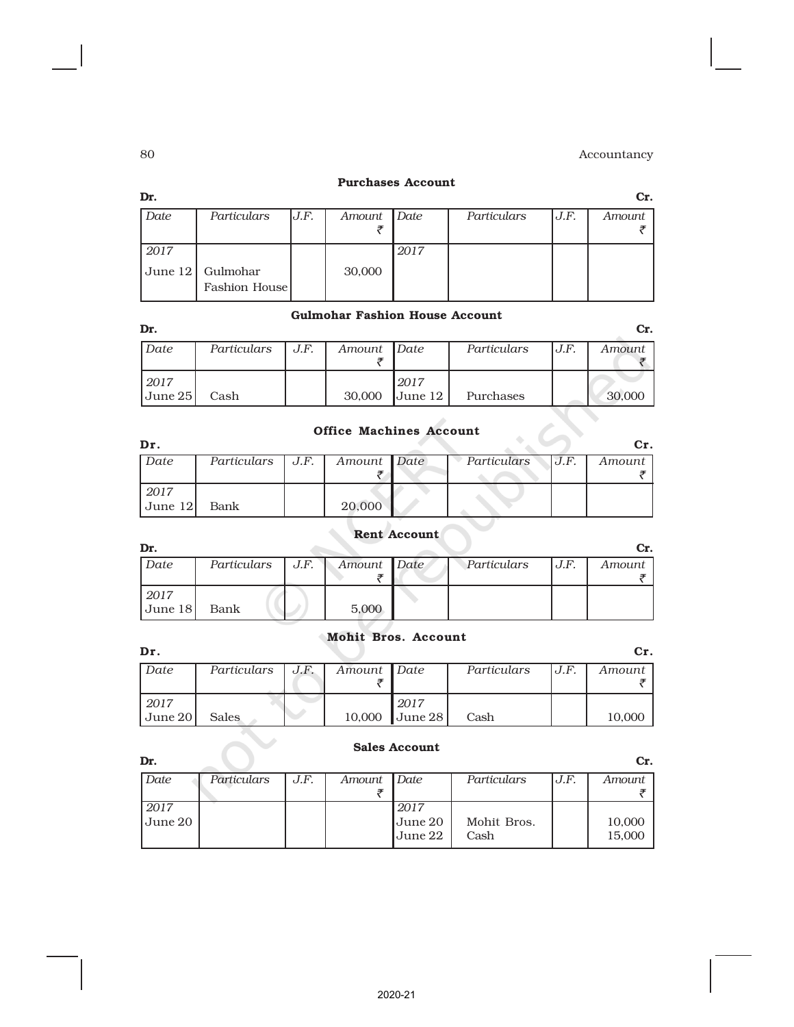### Purchases Account

| Dr.         |                           |      |        |      |             |      | Cr.    |
|-------------|---------------------------|------|--------|------|-------------|------|--------|
| Date        | Particulars               | J.F. | Amount | Date | Particulars | J.F. | Amount |
| 2017        |                           |      |        | 2017 |             |      |        |
| $ $ June 12 | Gulmohar<br>Fashion House |      | 30,000 |      |             |      |        |

### Gulmohar Fashion House Account

| Dr.                     |             |      |             |           |             |      | Cr.    |
|-------------------------|-------------|------|-------------|-----------|-------------|------|--------|
| Date                    | Particulars | J.F. | Amount Date |           | Particulars | J.F. | Amount |
|                         |             |      |             |           |             |      |        |
| i 2017                  |             |      |             | 2017      |             |      |        |
| $\vert$ June 25 $\vert$ | Cash        |      | 30,000      | June $12$ | Purchases   |      | 30,000 |

# Office Machines Account

| Dr.     |                                  |             |             |      | Сr.      |
|---------|----------------------------------|-------------|-------------|------|----------|
| Date    | Particulars $\vert$ J.F. $\vert$ | Amount Date | Particulars | U.F. | Amount 1 |
|         |                                  |             |             |      |          |
| 2017    |                                  |             |             |      |          |
| June 12 | Bank                             | 20,000      |             |      |          |

# Rent Account

| Dr.                     |                    |             |             |       | Cr.    |
|-------------------------|--------------------|-------------|-------------|-------|--------|
| Date                    | Particulars   J.F. | Amount Date | Particulars | IJ.F. | Amount |
|                         |                    |             |             |       |        |
| 2017                    |                    |             |             |       |        |
| $\vert$ June 18 $\vert$ | Bank               | 5,000       |             |       |        |
|                         |                    |             |             |       |        |

# Mohit Bros. Account

| Dr.         |                    |             |                         |             |      | Cr.    |
|-------------|--------------------|-------------|-------------------------|-------------|------|--------|
| Date        | Particulars $J.F.$ | Amount Date |                         | Particulars | U.F. | Amount |
|             |                    |             |                         |             |      |        |
| 2017        |                    |             | 2017                    |             |      |        |
| l June 20 l | <b>Sales</b>       | 10,000      | $\vert$ June 28 $\vert$ | Cash        |      | 10,000 |

### Sales Account

| Dr.     |             |      |             |                |             |      | Cr.    |
|---------|-------------|------|-------------|----------------|-------------|------|--------|
| Date    | Particulars | J.F. | Amount Date |                | Particulars | J.F. | Amount |
|         |             |      |             |                |             |      |        |
| 2017    |             |      |             | 2017           |             |      |        |
| June 20 |             |      |             | June 20        | Mohit Bros. |      | 10,000 |
|         |             |      |             | <b>June 22</b> | Cash        |      | 15,000 |
|         |             |      |             |                |             |      |        |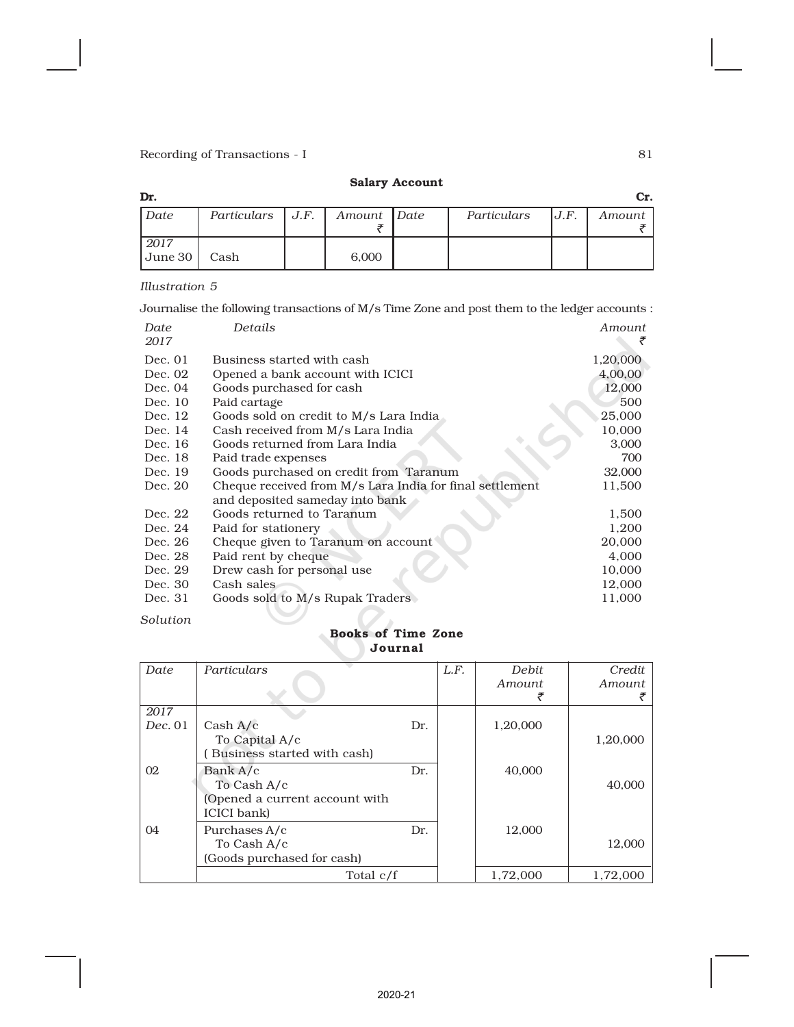# Salary Account

| Dr.                     |                    |             |             |      | Cr.    |
|-------------------------|--------------------|-------------|-------------|------|--------|
| Date                    | Particulars $J.F.$ | Amount Date | Particulars | U.F. | Amount |
|                         |                    |             |             |      |        |
| 2017                    |                    |             |             |      |        |
| $\vert$ June 30 $\vert$ | Cash               | 6,000       |             |      |        |

### *Illustration 5*

Journalise the following transactions of M/s Time Zone and post them to the ledger accounts :

| Date<br>2017 | Details                                                  | Amount   |
|--------------|----------------------------------------------------------|----------|
| Dec. 01      | Business started with cash                               | 1,20,000 |
| Dec. 02      | Opened a bank account with ICICI                         | 4,00,00  |
| Dec. 04      | Goods purchased for cash                                 | 12,000   |
| Dec. 10      | Paid cartage                                             | 500      |
| Dec. 12      | Goods sold on credit to M/s Lara India                   | 25,000   |
| Dec. 14      | Cash received from M/s Lara India                        | 10,000   |
| Dec. 16      | Goods returned from Lara India                           | 3,000    |
| Dec. 18      | Paid trade expenses                                      | 700      |
| Dec. 19      | Goods purchased on credit from Taranum                   | 32,000   |
| Dec. 20      | Cheque received from M/s Lara India for final settlement | 11,500   |
|              | and deposited sameday into bank                          |          |
| Dec. 22      | Goods returned to Taranum                                | 1,500    |
| Dec. 24      | Paid for stationery                                      | 1,200    |
| Dec. 26      | Cheque given to Taranum on account                       | 20,000   |
| Dec. 28      | Paid rent by cheque                                      | 4,000    |
| Dec. 29      | Drew cash for personal use                               | 10,000   |
| Dec. 30      | Cash sales                                               | 12,000   |
| Dec. 31      | Goods sold to M/s Rupak Traders                          | 11,000   |

### *Solution*

### Books of Time Zone Journal

| Date    | Particulars                    |     | L.F. | Debit    | Credit   |
|---------|--------------------------------|-----|------|----------|----------|
|         |                                |     |      | Amount   | Amount   |
|         |                                |     |      |          |          |
| 2017    |                                |     |      |          |          |
| Dec. 01 | Cash A/c                       | Dr. |      | 1,20,000 |          |
|         | To Capital A/c                 |     |      |          | 1,20,000 |
|         | Business started with cash)    |     |      |          |          |
| 02      | Bank A/c                       | Dr. |      | 40,000   |          |
|         | To Cash A/c                    |     |      |          | 40,000   |
|         | (Opened a current account with |     |      |          |          |
|         | ICICI bank)                    |     |      |          |          |
| 04      | Purchases A/c                  | Dr. |      | 12.000   |          |
|         | To Cash A/c                    |     |      |          | 12,000   |
|         | (Goods purchased for cash)     |     |      |          |          |
|         | Total c/f                      |     |      | 1.72.000 | 1.72.000 |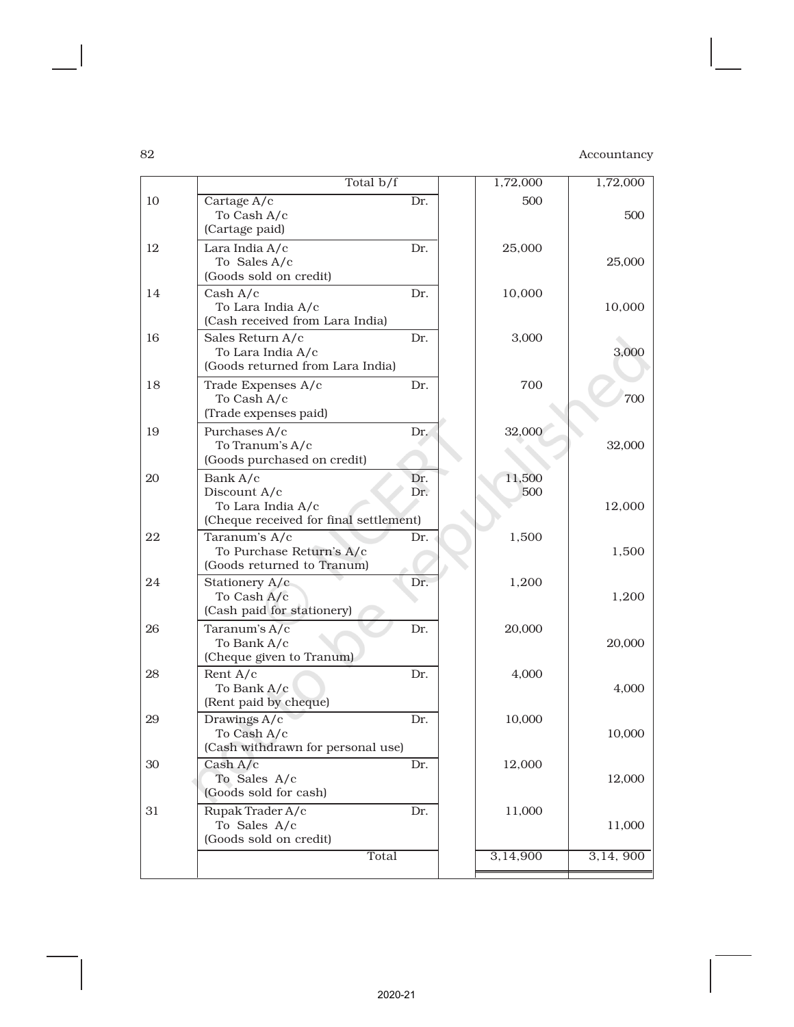| 10<br>Cartage A/c<br>Dr.<br>500<br>To Cash A/c<br>(Cartage paid)<br>12<br>Lara India A/c<br>Dr.<br>25,000<br>To Sales A/c<br>(Goods sold on credit)<br>14<br>Dr.<br>Cash A/c<br>10,000<br>To Lara India A/c<br>(Cash received from Lara India)<br>Sales Return A/c<br>16<br>Dr.<br>3,000<br>To Lara India A/c<br>(Goods returned from Lara India)<br>Trade Expenses A/c<br>700<br>18<br>Dr.<br>To Cash A/c | Total $b/f$           | 1,72,000 | 1,72,000 |
|------------------------------------------------------------------------------------------------------------------------------------------------------------------------------------------------------------------------------------------------------------------------------------------------------------------------------------------------------------------------------------------------------------|-----------------------|----------|----------|
|                                                                                                                                                                                                                                                                                                                                                                                                            |                       |          | 500      |
|                                                                                                                                                                                                                                                                                                                                                                                                            |                       |          | 25,000   |
|                                                                                                                                                                                                                                                                                                                                                                                                            |                       |          | 10,000   |
|                                                                                                                                                                                                                                                                                                                                                                                                            |                       |          | 3,000    |
|                                                                                                                                                                                                                                                                                                                                                                                                            | (Trade expenses paid) |          | 700      |
| Purchases A/c<br>Dr.<br>32,000<br>19<br>To Tranum's A/c<br>(Goods purchased on credit)                                                                                                                                                                                                                                                                                                                     |                       |          | 32,000   |
| Bank A/c<br>Dr.<br>11,500<br>20<br>Dr.<br>Discount A/c<br>500<br>To Lara India A/c<br>(Cheque received for final settlement)                                                                                                                                                                                                                                                                               |                       |          | 12,000   |
| 22<br>Taranum's A/c<br>Dr.<br>1,500<br>To Purchase Return's A/c<br>(Goods returned to Tranum)                                                                                                                                                                                                                                                                                                              |                       |          | 1,500    |
| Stationery A/c<br>Dr.<br>24<br>1,200<br>To Cash A/c<br>(Cash paid for stationery)                                                                                                                                                                                                                                                                                                                          |                       |          | 1,200    |
| Dr.<br>26<br>Taranum's A/c<br>20,000<br>To Bank A/c<br>(Cheque given to Tranum)                                                                                                                                                                                                                                                                                                                            |                       |          | 20,000   |
| Rent $A/c$<br>Dr.<br>28<br>4,000<br>To Bank A/c<br>(Rent paid by cheque)                                                                                                                                                                                                                                                                                                                                   |                       |          | 4,000    |
| 29<br>Drawings A/c<br>10,000<br>Dr.<br>To Cash A/c<br>(Cash withdrawn for personal use)                                                                                                                                                                                                                                                                                                                    |                       |          | 10,000   |
| Cash A/c<br>30<br>12,000<br>Dr.<br>To Sales A/c<br>(Goods sold for cash)                                                                                                                                                                                                                                                                                                                                   |                       |          | 12,000   |
| Rupak Trader A/c<br>31<br>Dr.<br>11,000<br>To Sales A/c<br>(Goods sold on credit)                                                                                                                                                                                                                                                                                                                          |                       |          | 11,000   |
| Total<br>3,14,900                                                                                                                                                                                                                                                                                                                                                                                          |                       |          | 3,14,900 |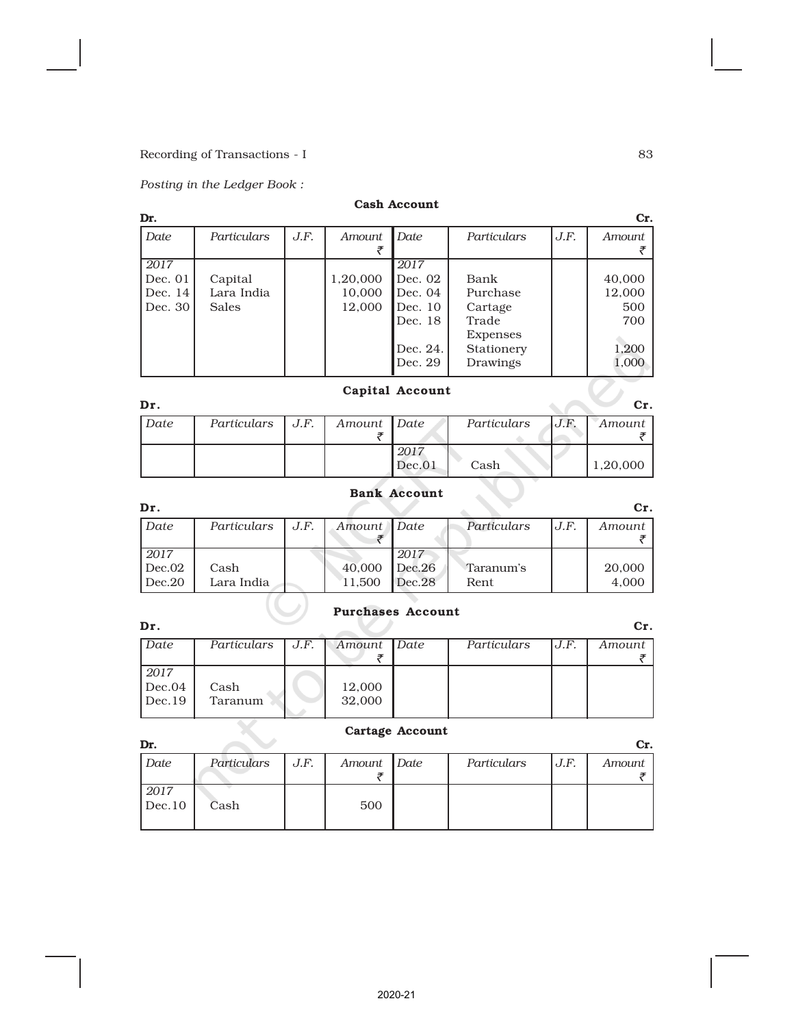# *Posting in the Ledger Book :*

# Cash Account

| Dr.     |              |      |          |          |             |      | Cr.           |
|---------|--------------|------|----------|----------|-------------|------|---------------|
| Date    | Particulars  | J.F. | Amount   | Date     | Particulars | J.F. | <b>Amount</b> |
|         |              |      |          |          |             |      |               |
| 2017    |              |      |          | 2017     |             |      |               |
| Dec. 01 | Capital      |      | 1,20,000 | Dec. 02  | Bank        |      | 40,000        |
| Dec. 14 | Lara India   |      | 10,000   | Dec. 04  | Purchase    |      | 12,000        |
| Dec. 30 | <b>Sales</b> |      | 12.000   | Dec. 10  | Cartage     |      | 500           |
|         |              |      |          | Dec. 18  | Trade       |      | 700           |
|         |              |      |          |          | Expenses    |      |               |
|         |              |      |          | Dec. 24. | Stationery  |      | 1,200         |
|         |              |      |          | Dec. 29  | Drawings    |      | 1,000         |
|         |              |      |          |          |             |      |               |

# Capital Account

| Dr.  |                          |             |        |             |      | Cr.      |
|------|--------------------------|-------------|--------|-------------|------|----------|
| Date | Particulars $\vert$ J.F. | Amount Date |        | Particulars | J.F. | Amount   |
|      |                          |             |        |             |      |          |
|      |                          |             | .2017  |             |      |          |
|      |                          |             | Dec.01 | Cash        |      | 1,20,000 |

# Bank Account

| Dr.    |             |      |             |        |             |      | Cr.    |
|--------|-------------|------|-------------|--------|-------------|------|--------|
| Date   | Particulars | J.F. | Amount Date |        | Particulars | U.F. | Amount |
|        |             |      |             |        |             |      |        |
| 2017   |             |      |             | 2017   |             |      |        |
| Dec.02 | Cash        |      | 40,000      | Dec.26 | Taranum's   |      | 20,000 |
| Dec.20 | Lara India  |      | 11.500      | Dec.28 | Rent        |      | 4,000  |

# Purchases Account

| Dr.    |             |      |             |             |      | Cr.    |
|--------|-------------|------|-------------|-------------|------|--------|
| Date   | Particulars | J.F. | Amount Date | Particulars | J.F. | Amount |
|        |             |      |             |             |      |        |
| 2017   |             |      |             |             |      |        |
| Dec.04 | Cash        |      | 12,000      |             |      |        |
| Dec.19 | Taranum     |      | 32,000      |             |      |        |
|        |             |      |             |             |      |        |

# Cartage Account

| Dr.            |             |      |             |             |      | Cr.    |
|----------------|-------------|------|-------------|-------------|------|--------|
| Date           | Particulars | J.F. | Amount Date | Particulars | J.F. | Amount |
| 2017<br>Dec.10 | Cash        |      | 500         |             |      |        |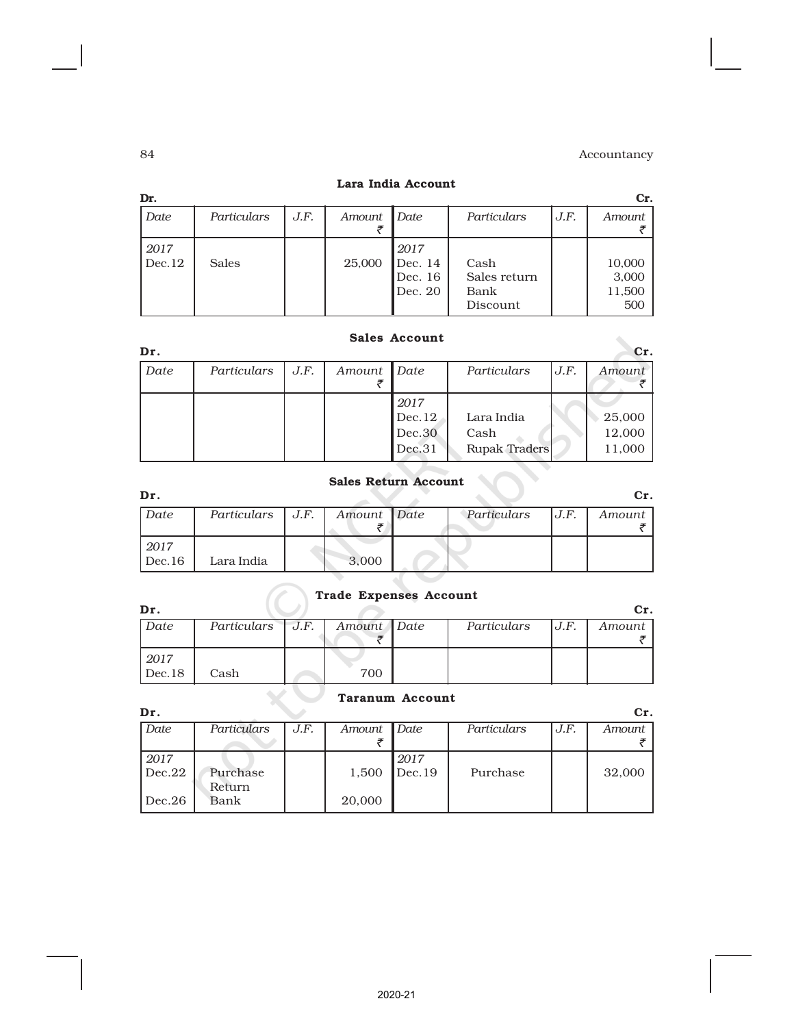| Dr.            |              |      |        |                                       |                                          |      | Cr.                              |
|----------------|--------------|------|--------|---------------------------------------|------------------------------------------|------|----------------------------------|
| Date           | Particulars  | J.F. | Amount | Date                                  | Particulars                              | J.F. | Amount                           |
| 2017<br>Dec.12 | <b>Sales</b> |      | 25,000 | 2017<br>Dec. 14<br>Dec. 16<br>Dec. 20 | Cash<br>Sales return<br>Bank<br>Discount |      | 10,000<br>3,000<br>11,500<br>500 |

# Lara India Account

|  | <b>Sales Account</b> |
|--|----------------------|
|--|----------------------|

| Dr.  |             |      |             |                                    |                                            |      | Cr.                        |
|------|-------------|------|-------------|------------------------------------|--------------------------------------------|------|----------------------------|
| Date | Particulars | J.F. | Amount Date |                                    | Particulars                                | J.F. | Amount                     |
|      |             |      |             | 2017<br>Dec.12<br>Dec.30<br>Dec.31 | Lara India<br>Cash<br><b>Rupak Traders</b> |      | 25,000<br>12,000<br>11,000 |

# Sales Return Account

| Dr.    |                    |             |             |      | Cr.    |
|--------|--------------------|-------------|-------------|------|--------|
| Date   | Particulars $J.F.$ | Amount Date | Particulars | J.F. | Amount |
|        |                    |             |             |      |        |
| 2017   |                    |             |             |      |        |
| Dec.16 | Lara India         | 3,000       |             |      |        |

# Trade Expenses Account

| Dr     |                  |             |             |      | Сr.    |
|--------|------------------|-------------|-------------|------|--------|
| Date   | Particulars J.F. | Amount Date | Particulars | J.F. | Amount |
|        |                  |             |             |      |        |
| 2017   |                  |             |             |      |        |
| Dec.18 | Cash             | 700         |             |      |        |

# Taranum Account

| Dr.            |             |      |        |        |             |      | Cr.    |
|----------------|-------------|------|--------|--------|-------------|------|--------|
| Date           | Particulars | J.F. | Amount | Date   | Particulars | J.F. | Amount |
|                |             |      |        |        |             |      |        |
| 2017           |             |      |        | 2017   |             |      |        |
| $\vert$ Dec.22 | Purchase    |      | 1,500  | Dec.19 | Purchase    |      | 32,000 |
|                | Return      |      |        |        |             |      |        |
| Dec.26         | Bank        |      | 20,000 |        |             |      |        |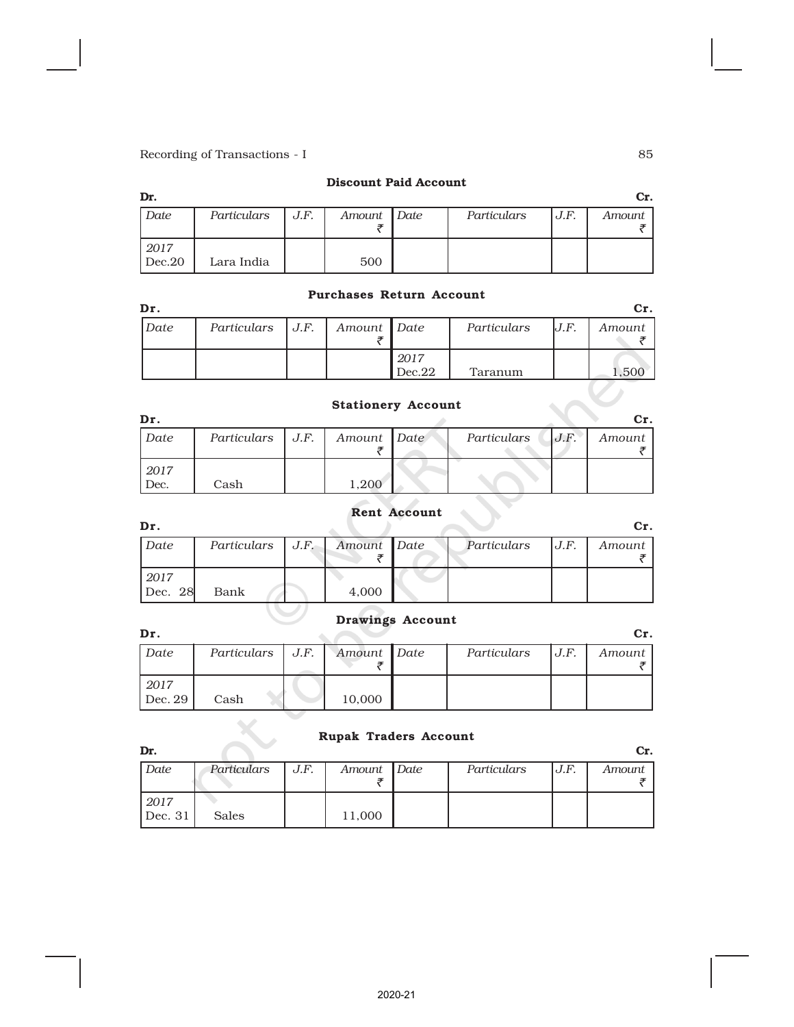### Discount Paid Account

| Dr.            |             |      |             |             |      | Cr.    |
|----------------|-------------|------|-------------|-------------|------|--------|
| Date           | Particulars | J.F. | Amount Date | Particulars | J.F. | Amount |
|                |             |      |             |             |      |        |
| 2017<br>Dec.20 | Lara India  |      | 500         |             |      |        |

### Purchases Return Account

| Dr.         |                    |             |                |             |      | Cr.    |
|-------------|--------------------|-------------|----------------|-------------|------|--------|
| <i>Date</i> | Particulars   J.F. | Amount Date |                | Particulars | lJ.F | Amount |
|             |                    |             | 2017<br>Dec.22 | Taranum     |      | .50C   |

# Stationery Account

| Dr.          |                    |             |             |      | Cr.    |
|--------------|--------------------|-------------|-------------|------|--------|
| Date         | Particulars   J.F. | Amount Date | Particulars | J.F. | Amount |
| 2017<br>Dec. | Cash               | 1,200       |             |      |        |

# Rent Account

| Dr.             |                    |             |             |      | Cr.    |
|-----------------|--------------------|-------------|-------------|------|--------|
| Date            | Particulars $J.F.$ | Amount Date | Particulars | J.F. | Amount |
| 2017<br>Dec. 28 | Bank               | 4,000       |             |      |        |

# Drawings Account

| Dr.             |                    |             |             |      | Cr.    |
|-----------------|--------------------|-------------|-------------|------|--------|
| Date            | Particulars $J.F.$ | Amount Date | Particulars | J.F. | Amount |
| 2017<br>Dec. 29 | Cash               | 10,000      |             |      |        |

# Rupak Traders Account

| Dr.     |              |      |             |             |      | Cr.    |
|---------|--------------|------|-------------|-------------|------|--------|
| Date    | Particulars  | J.F. | Amount Date | Particulars | J.F. | Amount |
|         |              |      |             |             |      |        |
| 2017    |              |      |             |             |      |        |
| Dec. 31 | <b>Sales</b> |      | 11,000      |             |      |        |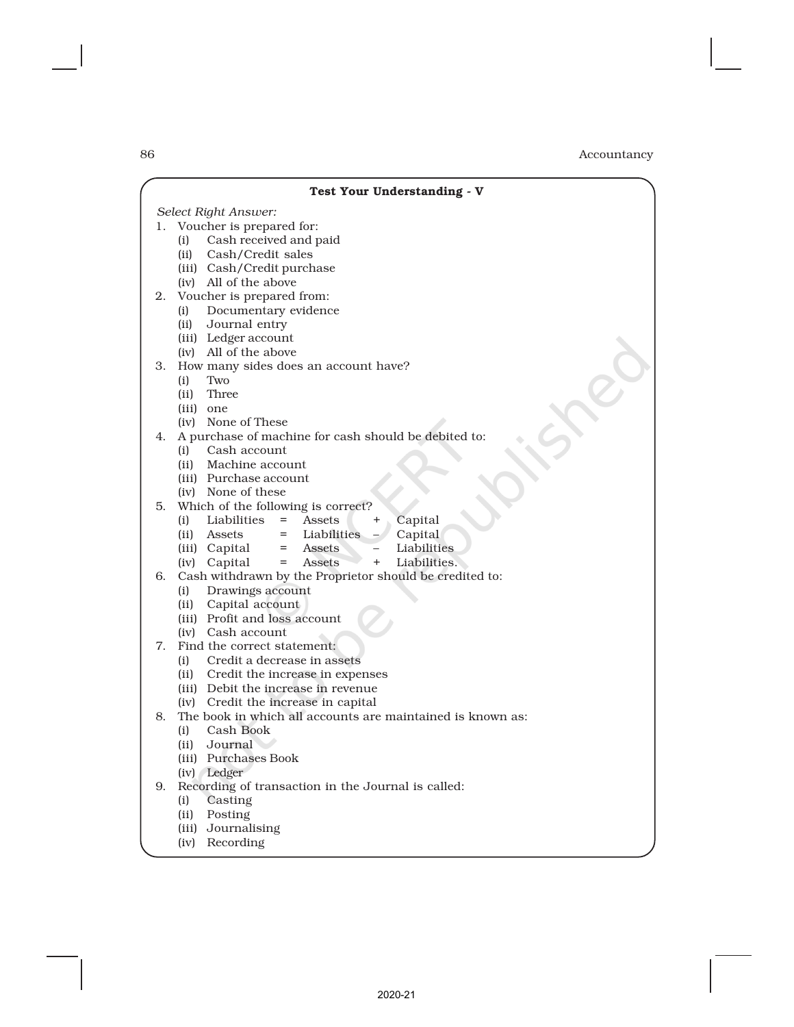|    | Test Your Understanding - V                                           |
|----|-----------------------------------------------------------------------|
|    | Select Right Answer:                                                  |
| 1. | Voucher is prepared for:                                              |
|    | Cash received and paid<br>(i)                                         |
|    | (ii) Cash/Credit sales                                                |
|    | (iii) Cash/Credit purchase                                            |
|    | (iv) All of the above                                                 |
| 2. | Voucher is prepared from:                                             |
|    | Documentary evidence<br>(i)                                           |
|    | Journal entry<br>(ii)                                                 |
|    | (iii) Ledger account                                                  |
|    | (iv) All of the above                                                 |
| 3. | How many sides does an account have?                                  |
|    | Two<br>(i)                                                            |
|    | (ii) Three                                                            |
|    | (iii) one                                                             |
|    | (iv) None of These                                                    |
| 4. | A purchase of machine for cash should be debited to:                  |
|    | Cash account<br>(i)                                                   |
|    | (ii) Machine account                                                  |
|    | (iii) Purchase account                                                |
|    | (iv) None of these                                                    |
| 5. | Which of the following is correct?<br>$=$                             |
|    | Capital<br>(i) Liabilities<br>Assets<br>$^{+}$<br>$=$                 |
|    | Liabilities<br>Capital<br>(ii) Assets<br>Liabilities<br>Assets<br>$=$ |
|    | (iii) Capital<br>$+$<br>(iv) Capital<br>Liabilities.<br>Assets<br>$=$ |
| 6. | Cash withdrawn by the Proprietor should be credited to:               |
|    | (i) Drawings account                                                  |
|    | (ii) Capital account                                                  |
|    | (iii) Profit and loss account                                         |
|    | (iv) Cash account                                                     |
| 7. | Find the correct statement:                                           |
|    | Credit a decrease in assets<br>(i)                                    |
|    | (ii) Credit the increase in expenses                                  |
|    | (iii) Debit the increase in revenue                                   |
|    | (iv) Credit the increase in capital                                   |
| 8. | The book in which all accounts are maintained is known as:            |
|    | Cash Book<br>(i)                                                      |
|    | (ii) Journal                                                          |
|    | (iii) Purchases Book                                                  |
|    | (iv) Ledger                                                           |
| 9. | Recording of transaction in the Journal is called:                    |
|    | Casting<br>(i)                                                        |
|    | Posting<br>(ii)                                                       |
|    | (iii) Journalising                                                    |
|    | Recording<br>(iv)                                                     |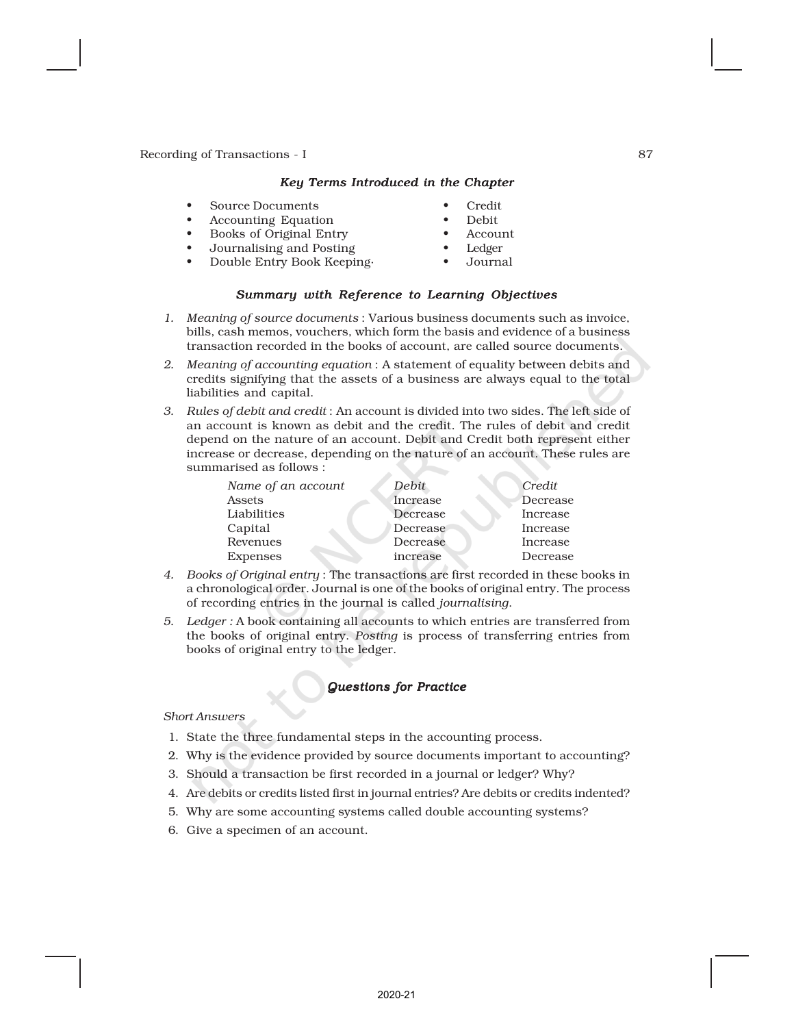### *Key Terms Introduced in the Chapter*

- Source Documents Credit
- Accounting Equation Debit
- Books of Original Entry Account
- Journalising and Posting Ledger
- -
	- Double Entry Book Keeping· Journal

### *Summary with Reference to Learning Objectives*

- *1. Meaning of source documents* : Various business documents such as invoice, bills, cash memos, vouchers, which form the basis and evidence of a business transaction recorded in the books of account, are called source documents.
- *2. Meaning of accounting equation* : A statement of equality between debits and credits signifying that the assets of a business are always equal to the total liabilities and capital.
- *3. Rules of debit and credit* : An account is divided into two sides. The left side of an account is known as debit and the credit. The rules of debit and credit depend on the nature of an account. Debit and Credit both represent either increase or decrease, depending on the nature of an account. These rules are summarised as follows :

| Name of an account | Debit    | Credit   |
|--------------------|----------|----------|
| Assets             | Increase | Decrease |
| Liabilities        | Decrease | Increase |
| Capital            | Decrease | Increase |
| Revenues           | Decrease | Increase |
| <b>Expenses</b>    | increase | Decrease |

- *4. Books of Original entry* : The transactions are first recorded in these books in a chronological order. Journal is one of the books of original entry. The process of recording entries in the journal is called *journalising*.
- *5. Ledger :* A book containing all accounts to which entries are transferred from the books of original entry. *Posting* is process of transferring entries from books of original entry to the ledger.

### *Questions for Practice*

### *Short Answers*

- 1. State the three fundamental steps in the accounting process.
- 2. Why is the evidence provided by source documents important to accounting?
- 3. Should a transaction be first recorded in a journal or ledger? Why?
- 4. Are debits or credits listed first in journal entries? Are debits or credits indented?
- 5. Why are some accounting systems called double accounting systems?
- 6. Give a specimen of an account.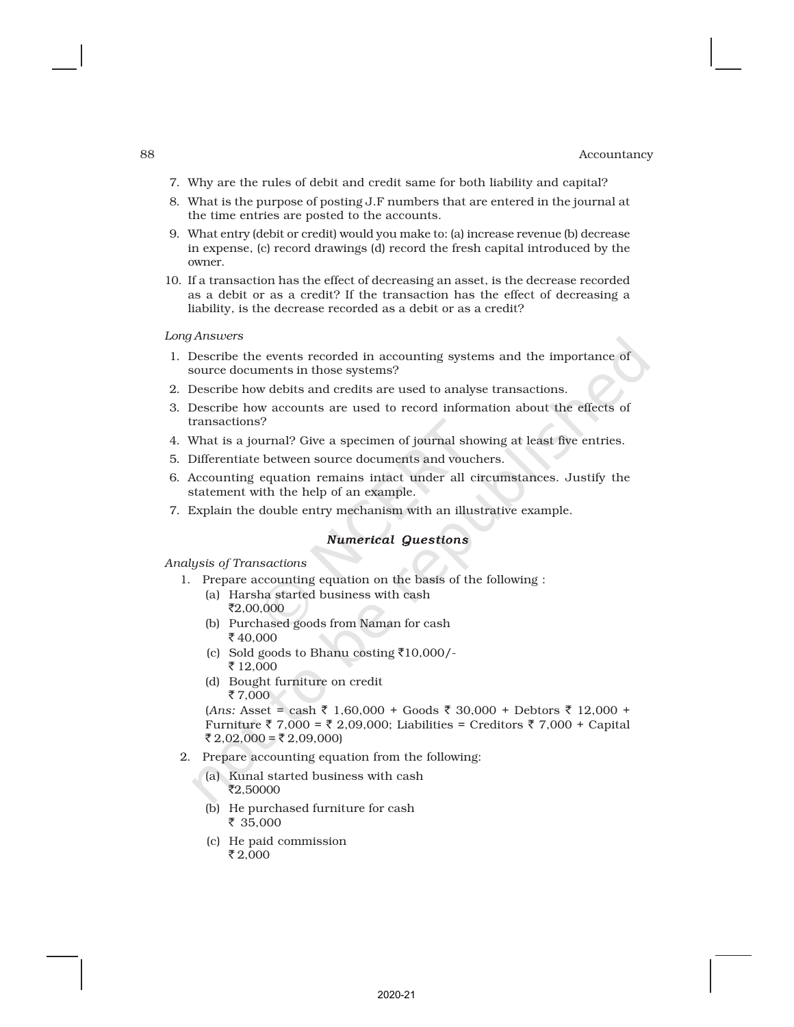- 7. Why are the rules of debit and credit same for both liability and capital?
- 8. What is the purpose of posting J.F numbers that are entered in the journal at the time entries are posted to the accounts.
- 9. What entry (debit or credit) would you make to: (a) increase revenue (b) decrease in expense, (c) record drawings (d) record the fresh capital introduced by the owner.
- 10. If a transaction has the effect of decreasing an asset, is the decrease recorded as a debit or as a credit? If the transaction has the effect of decreasing a liability, is the decrease recorded as a debit or as a credit?

### *Long Answers*

- 1. Describe the events recorded in accounting systems and the importance of source documents in those systems?
- 2. Describe how debits and credits are used to analyse transactions.
- 3. Describe how accounts are used to record information about the effects of transactions?
- 4. What is a journal? Give a specimen of journal showing at least five entries.
- 5. Differentiate between source documents and vouchers.
- 6. Accounting equation remains intact under all circumstances. Justify the statement with the help of an example.
- 7. Explain the double entry mechanism with an illustrative example.

### *Numerical Questions*

*Analysis of Transactions*

- 1. Prepare accounting equation on the basis of the following :
	- (a) Harsha started business with cash ₹2,00,000
	- (b) Purchased goods from Naman for cash ₹40,000
	- (c) Sold goods to Bhanu costing  $\overline{510,000}$ /-₹ 12,000
	- (d) Bought furniture on credit  $\bar{z}$  7,000

 $(Ans: Asset = cash ₹ 1,60,000 + Good5 30,000 + Debtors ₹ 12,000 +$ Furniture ₹ 7,000 = ₹ 2,09,000; Liabilities = Creditors ₹ 7,000 + Capital ₹ 2,02,000 = ₹ 2,09,000)

- 2. Prepare accounting equation from the following:
	- (a) Kunal started business with cash ₹2,50000
	- (b) He purchased furniture for cash ₹ 35,000
	- (c) He paid commission ₹2,000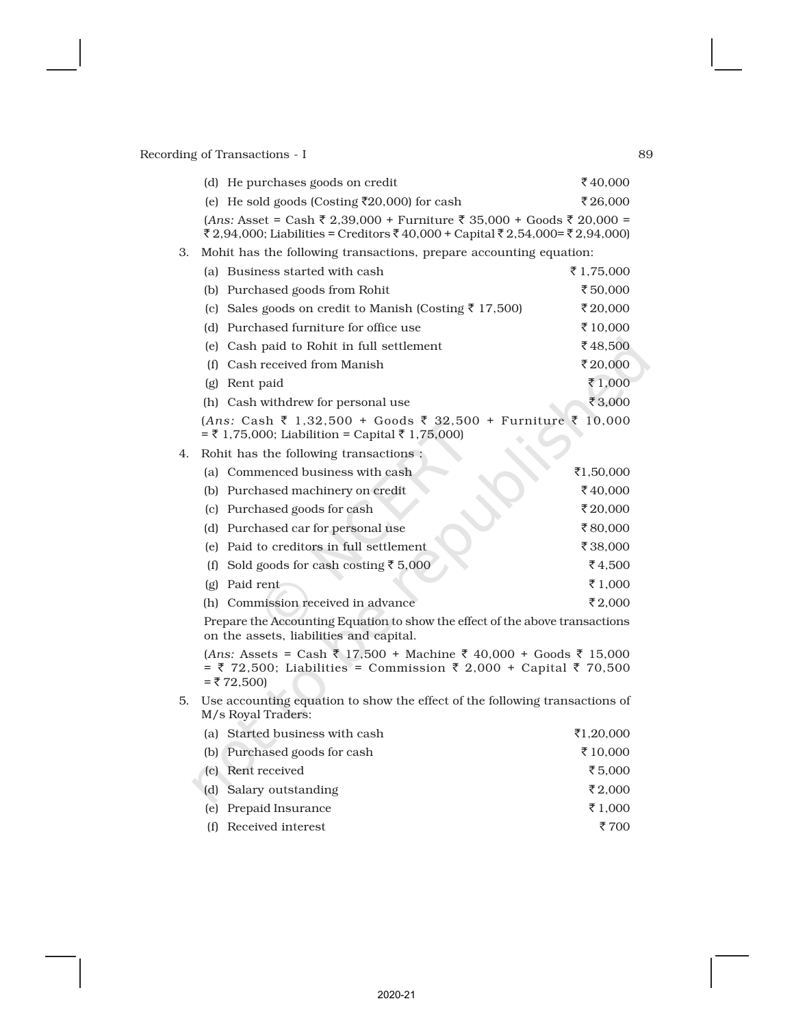|    | (d) He purchases goods on credit                                                                                                                             | ₹40,000    |
|----|--------------------------------------------------------------------------------------------------------------------------------------------------------------|------------|
|    | (e) He sold goods (Costing ₹20,000) for cash                                                                                                                 | ₹26,000    |
|    | $(Ans: Asset = Cash ₹ 2,39,000 + Furthermore ₹ 35,000 + Goods ₹ 20,000 =$<br>₹ 2,94,000; Liabilities = Creditors ₹ 40,000 + Capital ₹ 2,54,000 = ₹ 2,94,000) |            |
| З. | Mohit has the following transactions, prepare accounting equation:                                                                                           |            |
|    | (a) Business started with cash                                                                                                                               | ₹ 1,75,000 |
|    | (b) Purchased goods from Rohit                                                                                                                               | ₹50,000    |
|    | (c) Sales goods on credit to Manish (Costing ₹ 17,500)                                                                                                       | ₹20,000    |
|    | (d) Purchased furniture for office use                                                                                                                       | ₹10,000    |
|    | (e) Cash paid to Rohit in full settlement                                                                                                                    | ₹48,500    |
|    | (f) Cash received from Manish                                                                                                                                | ₹20,000    |
|    | (g) Rent paid                                                                                                                                                | ₹1,000     |
|    | (h) Cash withdrew for personal use                                                                                                                           | ₹3,000     |
|    | $(Ans: Cash \t{5} 1,32,500 + Goods \t{5} 32,500 + Furniture \t{5} 10,000$<br>$= ₹ 1,75,000$ ; Liabilition = Capital ₹ 1,75,000)                              |            |
| 4. | Rohit has the following transactions:                                                                                                                        |            |
|    | (a) Commenced business with cash                                                                                                                             | ₹1,50,000  |
|    | (b) Purchased machinery on credit                                                                                                                            | ₹40.000    |
|    | (c) Purchased goods for cash                                                                                                                                 | ₹20,000    |
|    | (d) Purchased car for personal use                                                                                                                           | ₹80,000    |
|    | (e) Paid to creditors in full settlement                                                                                                                     | ₹38,000    |
|    | (f) Sold goods for cash costing ₹ 5,000                                                                                                                      | ₹4,500     |
|    | (g) Paid rent                                                                                                                                                | ₹ 1,000    |
|    | (h) Commission received in advance                                                                                                                           | ₹2.000     |
|    | Prepare the Accounting Equation to show the effect of the above transactions<br>on the assets, liabilities and capital.                                      |            |
|    | $(Ans: Assets = Cash ₹ 17,500 + Machine ₹ 40,000 + Goods ₹ 15,000$<br>= ₹ 72,500; Liabilities = Commission ₹ 2,000 + Capital ₹ 70,500<br>$=$ ₹ 72,500)       |            |
|    | $\overline{5}$ I Lee accounting equation to show the effect of the following transactions of                                                                 |            |

5. Use accounting equation to show the effect of the following transactions of M/s Royal Traders:

| (a) Started business with cash | ₹1,20,000 |
|--------------------------------|-----------|
| (b) Purchased goods for cash   | ₹ 10,000  |
| (c) Rent received              | ₹5.000    |
| (d) Salary outstanding         | ₹2,000    |
| (e) Prepaid Insurance          | ₹ 1,000   |
| (f) Received interest          | ₹ 700     |
|                                |           |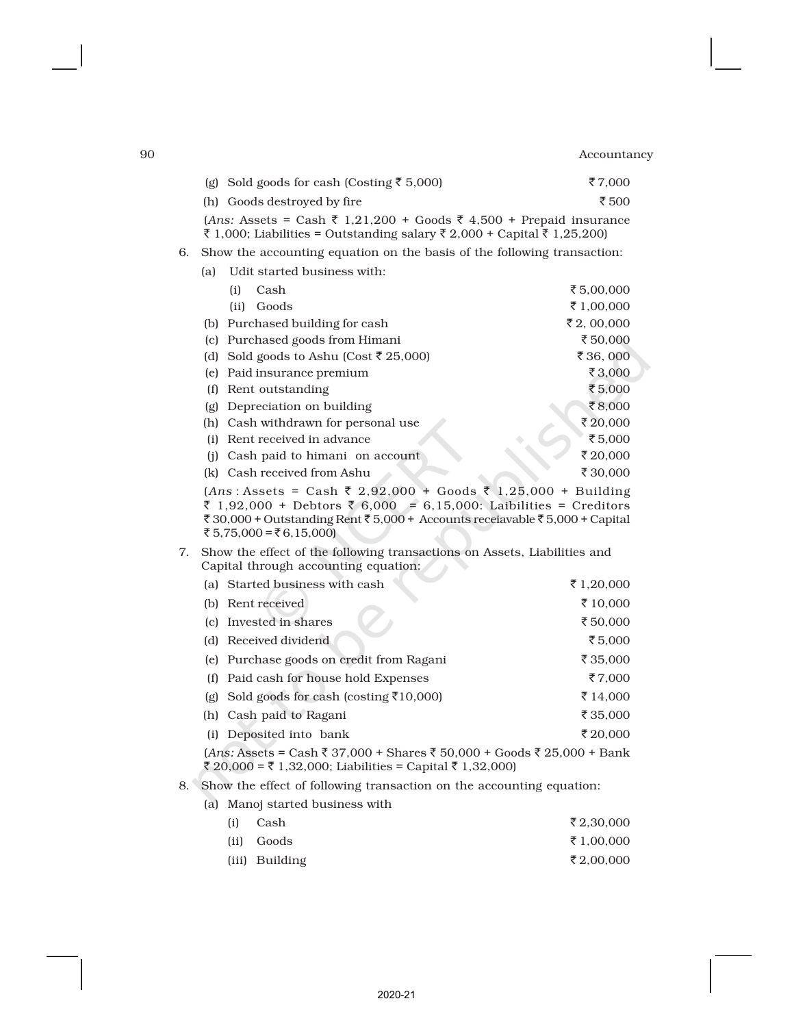|    |     | (g) Sold goods for cash (Costing ₹ 5,000)                                                                                                                                                                                                      | ₹7,000     |
|----|-----|------------------------------------------------------------------------------------------------------------------------------------------------------------------------------------------------------------------------------------------------|------------|
|    |     | (h) Goods destroyed by fire                                                                                                                                                                                                                    | ₹500       |
|    |     | $(Ans: Assets = Cash ₹ 1,21,200 + Goods ₹ 4,500 + Prepaid insurance)$<br>₹ 1,000; Liabilities = Outstanding salary ₹ 2,000 + Capital ₹ 1,25,200)                                                                                               |            |
| 6. |     | Show the accounting equation on the basis of the following transaction:                                                                                                                                                                        |            |
|    | (a) | Udit started business with:                                                                                                                                                                                                                    |            |
|    |     | (i)<br>Cash                                                                                                                                                                                                                                    | ₹5,00,000  |
|    |     | Goods<br>(ii)                                                                                                                                                                                                                                  | ₹1,00,000  |
|    |     | (b) Purchased building for cash                                                                                                                                                                                                                | ₹2,00,000  |
|    |     | (c) Purchased goods from Himani                                                                                                                                                                                                                | ₹50,000    |
|    |     | (d) Sold goods to Ashu (Cost ₹ 25,000)                                                                                                                                                                                                         | ₹36,000    |
|    |     | (e) Paid insurance premium                                                                                                                                                                                                                     | ₹3,000     |
|    |     | (f) Rent outstanding                                                                                                                                                                                                                           | ₹5,000     |
|    | (g) | Depreciation on building                                                                                                                                                                                                                       | ₹8,000     |
|    |     | (h) Cash withdrawn for personal use                                                                                                                                                                                                            | ₹20,000    |
|    |     | (i) Rent received in advance                                                                                                                                                                                                                   | ₹5,000     |
|    |     | (j) Cash paid to himani on account                                                                                                                                                                                                             | ₹20,000    |
|    |     | (k) Cash received from Ashu                                                                                                                                                                                                                    | ₹30,000    |
|    |     | $(Ans: Assets = Cash ₹ 2,92,000 + Goods ₹ 1,25,000 + Building$<br>₹ 1,92,000 + Debtors ₹ 6,000 = 6,15,000: Laibilities = Creditors<br>₹ 30,000 + Outstanding Rent ₹ 5,000 + Accounts receiavable ₹ 5,000 + Capital<br>₹ 5,75,000 = ₹ 6,15,000) |            |
| 7. |     | Show the effect of the following transactions on Assets, Liabilities and<br>Capital through accounting equation:                                                                                                                               |            |
|    |     | (a) Started business with cash                                                                                                                                                                                                                 | ₹ 1,20,000 |
|    |     | (b) Rent received                                                                                                                                                                                                                              | ₹10,000    |
|    |     | (c) Invested in shares                                                                                                                                                                                                                         | ₹50,000    |
|    |     | (d) Received dividend                                                                                                                                                                                                                          | ₹5,000     |
|    |     | (e) Purchase goods on credit from Ragani                                                                                                                                                                                                       | ₹ 35,000   |
|    | (f) | Paid cash for house hold Expenses                                                                                                                                                                                                              | ₹7,000     |

(g) Sold goods for cash (costing  $\overline{\tau}$ 10,000)  $\overline{\tau}$  14,000 (h) Cash paid to Ragani  $\bar{\tau}$  35,000 (i) Deposited into bank  $$\bar{2}20,000$$ 

 $(Ans: {\rm Assets} = {\rm Cash}$  ₹ 37,000 + Shares ₹ 50,000 + Goods ₹ 25,000 + Bank ₹ 20,000 = ₹ 1,32,000; Liabilities = Capital ₹ 1,32,000)

# 8. Show the effect of following transaction on the accounting equation:

(a) Manoj started business with

| (i) | Cash           | ₹2,30,000  |
|-----|----------------|------------|
|     | (ii) Goods     | ₹ 1,00,000 |
|     | (iii) Building | ₹2,00,000  |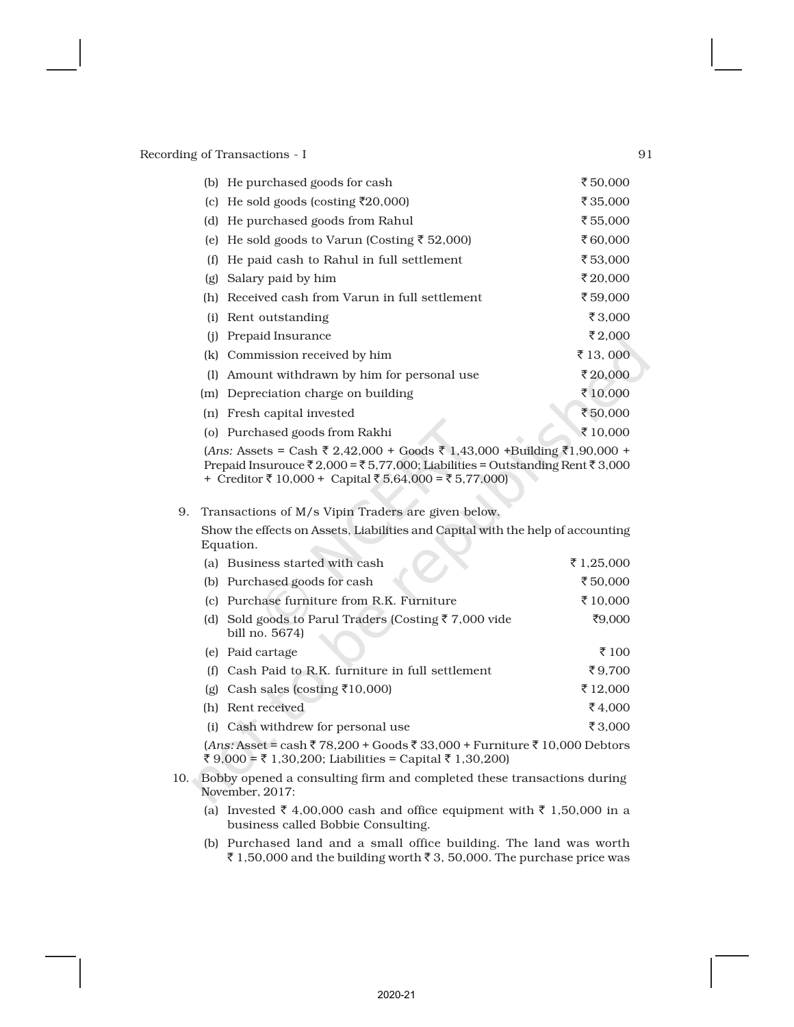| (b) | He purchased goods for cash                              | ₹50,000           |  |
|-----|----------------------------------------------------------|-------------------|--|
| (c) | He sold goods (costing ₹20,000)                          | ₹35,000           |  |
| (d) | He purchased goods from Rahul                            | ₹55,000           |  |
| (e) | He sold goods to Varun (Costing $\bar{\tau}$ 52,000)     | ₹60,000           |  |
| (f) | He paid cash to Rahul in full settlement                 | ₹53,000           |  |
| (g) | Salary paid by him                                       | ₹20,000           |  |
| (h) | Received cash from Varun in full settlement              | ₹59,000           |  |
| (i) | Rent outstanding                                         | ₹3,000            |  |
| (i) | Prepaid Insurance                                        | ₹2,000            |  |
| (k) | Commission received by him                               | $\bar{z}$ 13, 000 |  |
| (1) | Amount withdrawn by him for personal use                 | ₹20,000           |  |
|     | (m) Depreciation charge on building                      | ₹10,000           |  |
| (n) | Fresh capital invested                                   | ₹50,000           |  |
|     | (o) Purchased goods from Rakhi                           | ₹10,000           |  |
|     | $(1nc, 1ac)^{2} = C^{2} + 7^{2} + 9^{2} + 0^{2} + C^{2}$ |                   |  |

 $(Ans: Assets = Cash ₹ 2,42,000 + Goods ₹ 1,43,000 +Building ₹1,90,000 +$ Prepaid Insurouce  $\bar{\tau}$  2,000 =  $\bar{\tau}$  5,77,000; Liabilities = Outstanding Rent  $\bar{\tau}$  3,000 + Creditor  $\bar{z}$  10,000 + Capital  $\bar{z}$  5,64,000 =  $\bar{z}$  5,77,000)

# 9. Transactions of M/s Vipin Traders are given below.

Show the effects on Assets, Liabilities and Capital with the help of accounting Equation.

| (a) Business started with cash                                                     | ₹ 1,25,000 |
|------------------------------------------------------------------------------------|------------|
| (b) Purchased goods for cash                                                       | ₹50,000    |
| (c) Purchase furniture from R.K. Furniture                                         | ₹10,000    |
| (d) Sold goods to Parul Traders (Costing $\bar{\tau}$ 7,000 vide<br>bill no. 5674) | ₹9,000     |
| (e) Paid cartage                                                                   | ₹ 100      |
| (f) Cash Paid to R.K. furniture in full settlement                                 | ₹9.700     |
| (g) Cash sales (costing $\overline{\xi}$ 10,000)                                   | ₹12,000    |
| (h) Rent received                                                                  | ₹4.000     |
| (i) Cash withdrew for personal use                                                 | ₹3.000     |
| $(Ans: Asset = cash$ ₹ 78,200 + Goods ₹ 33,000 + Furniture ₹ 10,000 Debtors        |            |

₹ 9,000 = ₹ 1,30,200; Liabilities = Capital ₹ 1,30,200)

- 10. Bobby opened a consulting firm and completed these transactions during November, 2017:
	- (a) Invested  $\bar{\tau}$  4,00,000 cash and office equipment with  $\bar{\tau}$  1,50,000 in a business called Bobbie Consulting.
	- (b) Purchased land and a small office building. The land was worth ₹ 1,50,000 and the building worth ₹ 3, 50,000. The purchase price was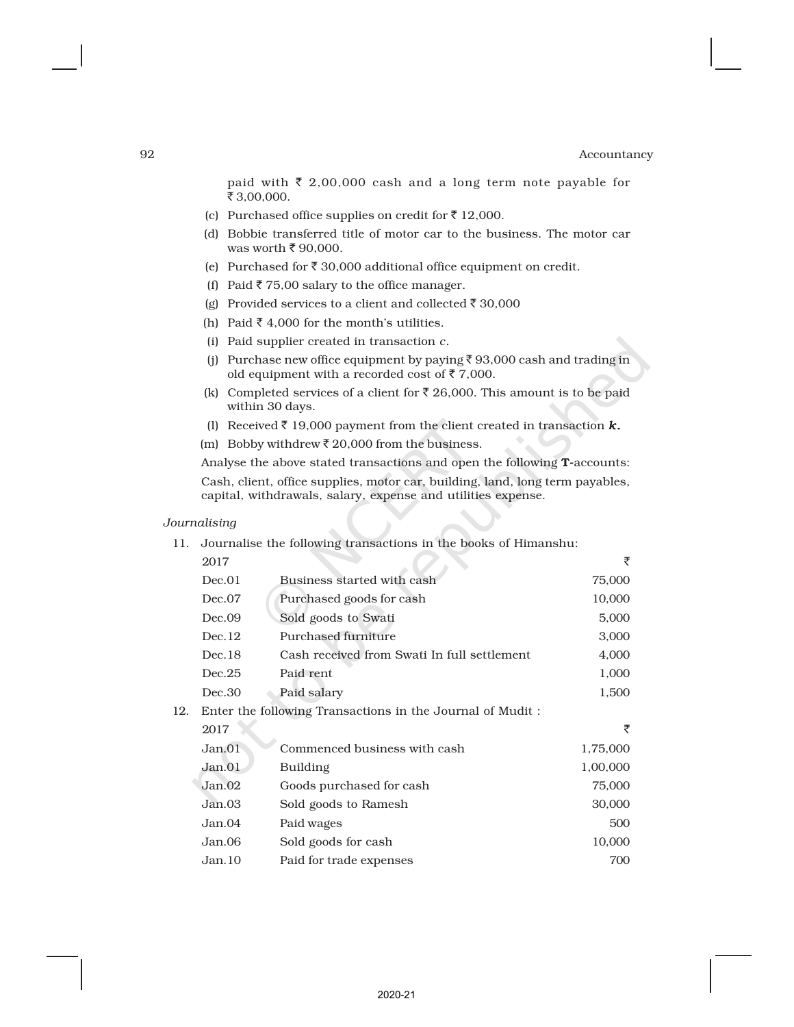paid with  $\bar{\tau}$  2,00,000 cash and a long term note payable for  $\frac{1}{5}$  3,00,000.

- (c) Purchased office supplies on credit for  $\bar{\tau}$  12,000.
- (d) Bobbie transferred title of motor car to the business. The motor car was worth  $\bar{\tau}$  90,000.
- (e) Purchased for  $\bar{\tau}$  30,000 additional office equipment on credit.
- (f) Paid  $\bar{z}$  75,00 salary to the office manager.
- (g) Provided services to a client and collected  $\bar{\tau}$  30,000
- (h) Paid  $\bar{\tau}$  4,000 for the month's utilities.
- (i) Paid supplier created in transaction *c.*
- (i) Purchase new office equipment by paying  $\bar{\tau}$  93,000 cash and trading in old equipment with a recorded cost of  $\bar{z}$  7,000.
- (k) Completed services of a client for  $\bar{\tau}$  26,000. This amount is to be paid within 30 days.
- (l) Received  $\bar{\tau}$  19,000 payment from the client created in transaction  $\kappa$ .
- (m) Bobby withdrew  $\bar{z}$  20,000 from the business.

Analyse the above stated transactions and open the following T-accounts: Cash, client, office supplies, motor car, building, land, long term payables, capital, withdrawals, salary, expense and utilities expense.

### *Journalising*

11. Journalise the following transactions in the books of Himanshu:

|     | 2017                                                      |                                             | ₹        |  |  |  |
|-----|-----------------------------------------------------------|---------------------------------------------|----------|--|--|--|
|     | Dec.01                                                    | Business started with cash                  | 75,000   |  |  |  |
|     | Dec.07                                                    | Purchased goods for cash                    | 10,000   |  |  |  |
|     | Dec.09                                                    | Sold goods to Swati                         | 5,000    |  |  |  |
|     | Dec.12                                                    | Purchased furniture                         | 3,000    |  |  |  |
|     | Dec.18                                                    | Cash received from Swati In full settlement | 4,000    |  |  |  |
|     | Dec.25                                                    | Paid rent                                   | 1,000    |  |  |  |
|     | Dec.30                                                    | Paid salary                                 | 1,500    |  |  |  |
| 12. | Enter the following Transactions in the Journal of Mudit: |                                             |          |  |  |  |
|     | 2017                                                      |                                             | ₹        |  |  |  |
|     | Jan.01                                                    | Commenced business with cash                | 1,75,000 |  |  |  |
|     | Jan.01                                                    | Building                                    | 1,00,000 |  |  |  |
|     | Jan.02                                                    | Goods purchased for cash                    | 75,000   |  |  |  |
|     | Jan.03                                                    | Sold goods to Ramesh                        | 30,000   |  |  |  |
|     | Jan.04                                                    | Paid wages                                  | 500      |  |  |  |
|     | Jan.06                                                    | Sold goods for cash                         | 10,000   |  |  |  |
|     | Jan.10                                                    | Paid for trade expenses                     | 700      |  |  |  |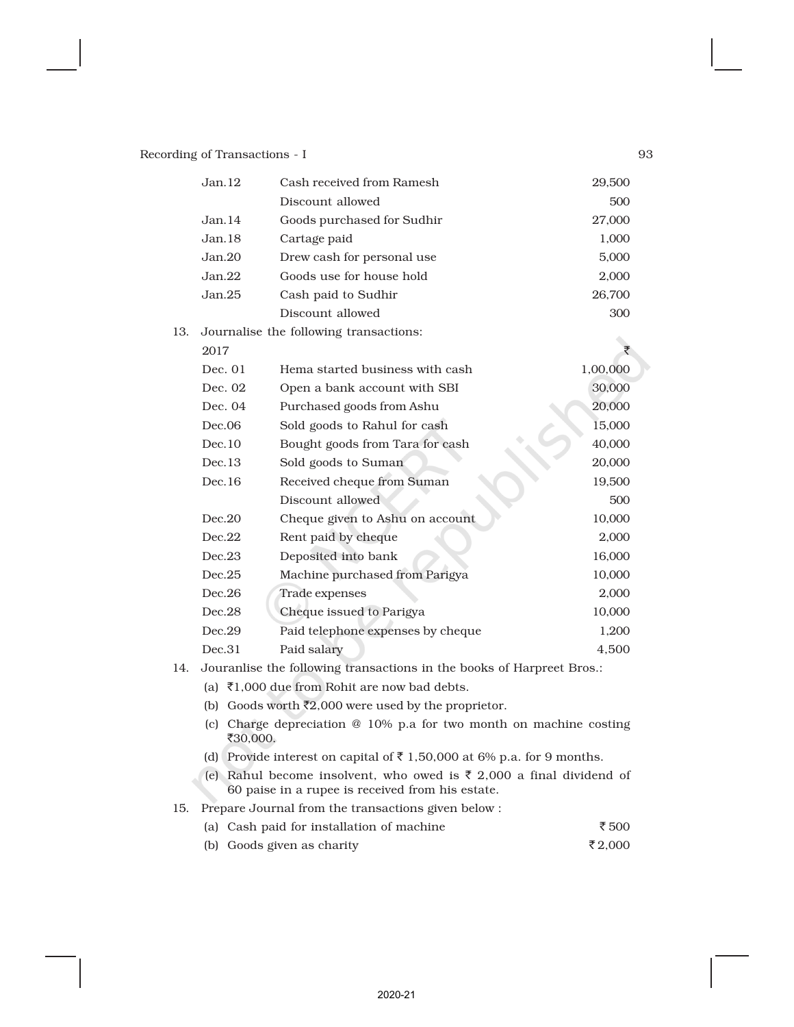|     | Jan.12                                                                 | Cash received from Ramesh              | 29,500   |  |  |  |
|-----|------------------------------------------------------------------------|----------------------------------------|----------|--|--|--|
|     |                                                                        | Discount allowed                       | 500      |  |  |  |
|     | Jan.14                                                                 | Goods purchased for Sudhir             | 27,000   |  |  |  |
|     | Jan.18                                                                 | Cartage paid                           | 1,000    |  |  |  |
|     | Jan.20<br>Drew cash for personal use                                   |                                        |          |  |  |  |
|     | Jan.22                                                                 | Goods use for house hold               | 2,000    |  |  |  |
|     | Jan.25                                                                 | Cash paid to Sudhir                    | 26,700   |  |  |  |
|     |                                                                        | Discount allowed                       | 300      |  |  |  |
| 13. |                                                                        | Journalise the following transactions: |          |  |  |  |
|     | 2017                                                                   |                                        | ₹        |  |  |  |
|     | Dec. 01                                                                | Hema started business with cash        | 1,00,000 |  |  |  |
|     | Dec. 02                                                                | Open a bank account with SBI           | 30,000   |  |  |  |
|     | Dec. 04                                                                | Purchased goods from Ashu              | 20,000   |  |  |  |
|     | Dec.06                                                                 | Sold goods to Rahul for cash           | 15,000   |  |  |  |
|     | Dec.10                                                                 | Bought goods from Tara for cash        | 40,000   |  |  |  |
|     | Dec.13                                                                 | Sold goods to Suman                    | 20,000   |  |  |  |
|     | Dec.16                                                                 | Received cheque from Suman             | 19,500   |  |  |  |
|     |                                                                        | Discount allowed                       | 500      |  |  |  |
|     | Dec.20                                                                 | Cheque given to Ashu on account        | 10,000   |  |  |  |
|     | Dec.22                                                                 | Rent paid by cheque                    | 2,000    |  |  |  |
|     | Dec.23                                                                 | Deposited into bank                    | 16,000   |  |  |  |
|     | Dec.25<br>Machine purchased from Parigya                               |                                        | 10,000   |  |  |  |
|     | Dec.26                                                                 | Trade expenses                         | 2,000    |  |  |  |
|     | Dec.28                                                                 | Cheque issued to Parigya               | 10,000   |  |  |  |
|     | Dec.29                                                                 | Paid telephone expenses by cheque      | 1,200    |  |  |  |
|     | Dec.31                                                                 | Paid salary                            | 4,500    |  |  |  |
| 14. | Jouranlise the following transactions in the books of Harpreet Bros.:  |                                        |          |  |  |  |
|     | (a) ₹1,000 due from Rohit are now bad debts.                           |                                        |          |  |  |  |
|     | (b) Goods worth $\bar{\mathfrak{c}}2,000$ were used by the proprietor. |                                        |          |  |  |  |

- (c) Charge depreciation @ 10% p.a for two month on machine costing ₹30,000.
- (d) Provide interest on capital of  $\bar{z}$  1,50,000 at 6% p.a. for 9 months.
- (e) Rahul become insolvent, who owed is  $\bar{\tau}$  2,000 a final dividend of 60 paise in a rupee is received from his estate.

15. Prepare Journal from the transactions given below :

- (a) Cash paid for installation of machine  $\qquad \qquad$   $\bar{\tau}$  500
- (b) Goods given as charity  $\bar{\tau}_{2,000}$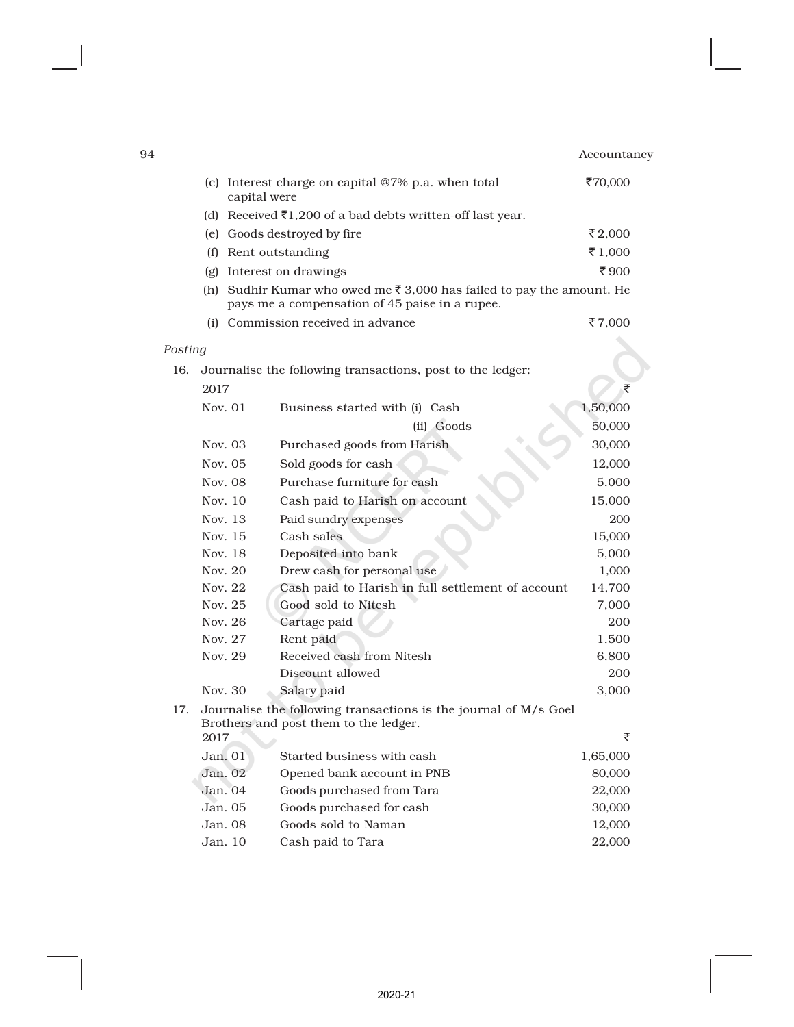| 94      |                                                                                                                                   | Accountancy |
|---------|-----------------------------------------------------------------------------------------------------------------------------------|-------------|
| (c)     | Interest charge on capital @7% p.a. when total<br>capital were                                                                    | ₹70,000     |
|         | (d) Received $\bar{\tau}$ 1,200 of a bad debts written-off last year.                                                             |             |
|         | (e) Goods destroyed by fire                                                                                                       | ₹2.000      |
| (f)     | Rent outstanding                                                                                                                  | ₹1,000      |
| (g)     | Interest on drawings                                                                                                              | ₹900        |
|         | (h) Sudhir Kumar who owed me $\bar{\xi}$ 3,000 has failed to pay the amount. He<br>pays me a compensation of 45 paise in a rupee. |             |
|         | (i) Commission received in advance                                                                                                | ₹7.000      |
| Posting |                                                                                                                                   |             |

| 16. | Journalise the following transactions, post to the ledger: |                                                                                                           |          |  |  |  |
|-----|------------------------------------------------------------|-----------------------------------------------------------------------------------------------------------|----------|--|--|--|
|     | 2017                                                       |                                                                                                           | ₹        |  |  |  |
|     | Nov. $01$<br>Business started with (i) Cash                |                                                                                                           | 1,50,000 |  |  |  |
|     |                                                            | (ii) Goods                                                                                                | 50,000   |  |  |  |
|     | Nov. 03                                                    | Purchased goods from Harish                                                                               | 30,000   |  |  |  |
|     | Nov. 05                                                    | Sold goods for cash                                                                                       | 12,000   |  |  |  |
|     | Nov. 08                                                    | Purchase furniture for cash                                                                               | 5,000    |  |  |  |
|     | Nov. 10                                                    | Cash paid to Harish on account                                                                            | 15,000   |  |  |  |
|     | Nov. 13                                                    | Paid sundry expenses                                                                                      | 200      |  |  |  |
|     | Nov. 15                                                    | Cash sales                                                                                                | 15,000   |  |  |  |
|     | Nov. 18                                                    | Deposited into bank                                                                                       | 5,000    |  |  |  |
|     | Nov. 20                                                    | Drew cash for personal use                                                                                | 1,000    |  |  |  |
|     | Nov. 22                                                    | Cash paid to Harish in full settlement of account                                                         | 14,700   |  |  |  |
|     | Nov. 25                                                    | Good sold to Nitesh                                                                                       | 7,000    |  |  |  |
|     | Nov. 26                                                    | Cartage paid                                                                                              | 200      |  |  |  |
|     | Nov. 27                                                    | Rent paid                                                                                                 | 1,500    |  |  |  |
|     | Nov. 29                                                    | Received cash from Nitesh                                                                                 | 6,800    |  |  |  |
|     |                                                            | Discount allowed                                                                                          | 200      |  |  |  |
|     | Nov. 30                                                    | Salary paid                                                                                               | 3,000    |  |  |  |
| 17. |                                                            | Journalise the following transactions is the journal of M/s Goel<br>Brothers and post them to the ledger. |          |  |  |  |
|     | 2017                                                       |                                                                                                           | ₹        |  |  |  |
|     | Jan. 01                                                    | Started business with cash                                                                                | 1,65,000 |  |  |  |
|     | Jan. 02                                                    | Opened bank account in PNB                                                                                | 80,000   |  |  |  |
|     | Jan.04                                                     | Goods purchased from Tara                                                                                 | 22,000   |  |  |  |
|     | Jan.05                                                     | Goods purchased for cash                                                                                  | 30,000   |  |  |  |
|     | Jan.08                                                     | Goods sold to Naman                                                                                       | 12,000   |  |  |  |
|     | Jan. 10                                                    | Cash paid to Tara                                                                                         | 22,000   |  |  |  |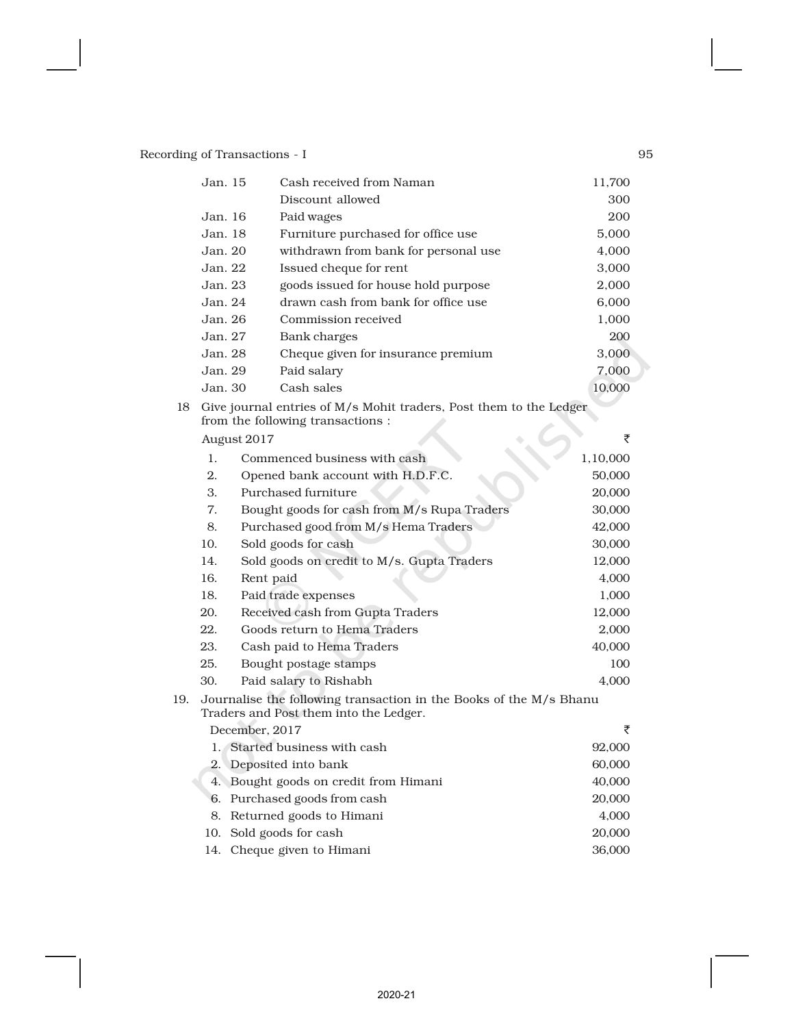| Jan. 15 | 11,700                               |        |
|---------|--------------------------------------|--------|
|         | Discount allowed                     | 300    |
| Jan.16  | Paid wages                           | 200    |
| Jan. 18 | Furniture purchased for office use   | 5,000  |
| Jan. 20 | withdrawn from bank for personal use | 4.000  |
| Jan. 22 | Issued cheque for rent               | 3,000  |
| Jan. 23 | goods issued for house hold purpose  | 2,000  |
| Jan. 24 | drawn cash from bank for office use  | 6,000  |
| Jan. 26 | Commission received                  | 1,000  |
| Jan. 27 | Bank charges                         | 200    |
| Jan. 28 | Cheque given for insurance premium   | 3,000  |
| Jan. 29 | Paid salary                          | 7,000  |
| Jan. 30 | Cash sales                           | 10,000 |

| 18 Give journal entries of $M/s$ Mohit traders, Post them to the Ledger |  |  |
|-------------------------------------------------------------------------|--|--|
| from the following transactions :                                       |  |  |
| August 2017                                                             |  |  |

|     | 1.  | 1,10,000                                                                                                     |        |
|-----|-----|--------------------------------------------------------------------------------------------------------------|--------|
|     | 2.  | Opened bank account with H.D.F.C.                                                                            | 50,000 |
|     | 3.  | Purchased furniture                                                                                          | 20,000 |
|     | 7.  | Bought goods for cash from M/s Rupa Traders                                                                  | 30,000 |
|     | 8.  | Purchased good from M/s Hema Traders                                                                         | 42,000 |
|     | 10. | Sold goods for cash                                                                                          | 30,000 |
|     | 14. | Sold goods on credit to M/s. Gupta Traders                                                                   | 12,000 |
|     | 16. | Rent paid                                                                                                    | 4,000  |
|     | 18. | Paid trade expenses                                                                                          | 1,000  |
|     | 20. | Received cash from Gupta Traders                                                                             | 12,000 |
|     | 22. | Goods return to Hema Traders                                                                                 | 2,000  |
|     | 23. | Cash paid to Hema Traders                                                                                    | 40,000 |
|     | 25. | Bought postage stamps                                                                                        | 100    |
|     | 30. | Paid salary to Rishabh                                                                                       | 4,000  |
| 19. |     | Journalise the following transaction in the Books of the M/s Bhanu<br>Traders and Post them into the Ledger. |        |
|     |     | December, 2017                                                                                               | ₹      |
|     |     | 1. Started business with cash                                                                                | 92,000 |
|     |     | 2. Deposited into bank                                                                                       | 60,000 |
|     |     | 4. Bought goods on credit from Himani                                                                        | 40,000 |
|     |     | 6. Purchased goods from cash                                                                                 | 20,000 |
|     |     | 8. Returned goods to Himani                                                                                  | 4,000  |
|     | 10. | Sold goods for cash                                                                                          | 20,000 |
|     |     | 14. Cheque given to Himani                                                                                   | 36,000 |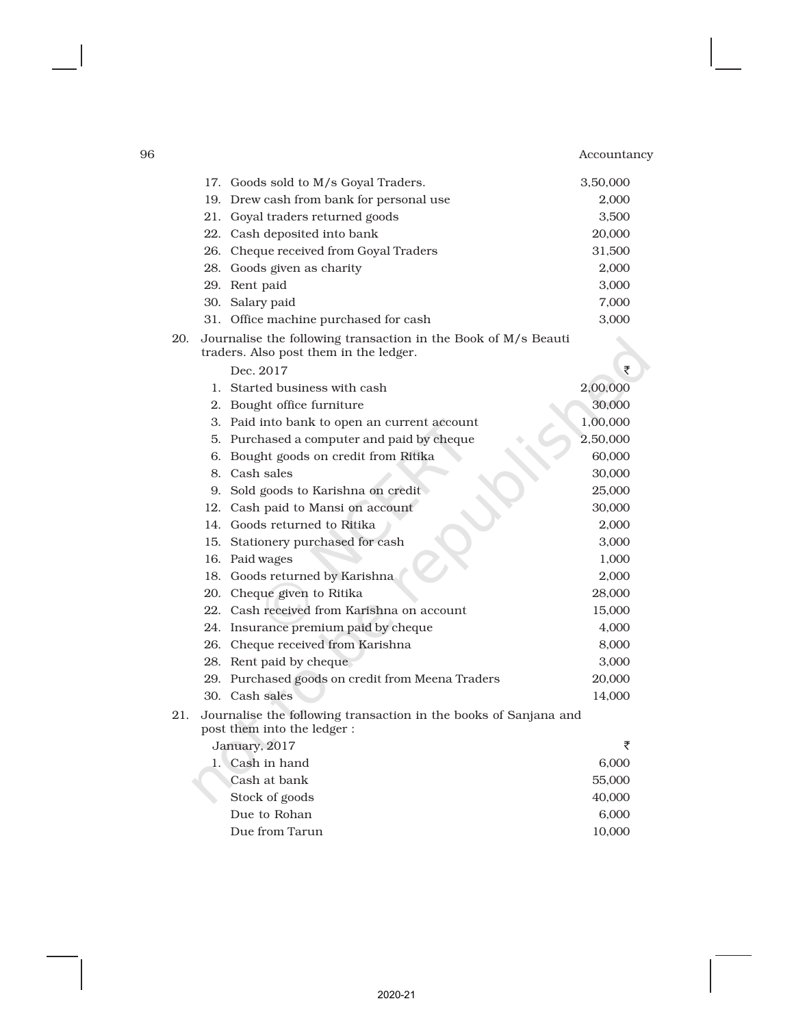|     | 17. Goods sold to M/s Goyal Traders.                                                                     | 3,50,000 |  |
|-----|----------------------------------------------------------------------------------------------------------|----------|--|
|     | 19. Drew cash from bank for personal use                                                                 | 2,000    |  |
|     | 21. Goyal traders returned goods                                                                         | 3,500    |  |
|     | 22. Cash deposited into bank                                                                             | 20,000   |  |
|     | 26. Cheque received from Goyal Traders                                                                   | 31,500   |  |
|     | 28. Goods given as charity                                                                               | 2,000    |  |
|     | 29. Rent paid                                                                                            | 3,000    |  |
|     | 30. Salary paid                                                                                          | 7,000    |  |
|     | 31. Office machine purchased for cash                                                                    | 3,000    |  |
| 20. | Journalise the following transaction in the Book of M/s Beauti<br>traders. Also post them in the ledger. |          |  |
|     | Dec. 2017                                                                                                | ₹        |  |
|     | 1. Started business with cash                                                                            | 2,00,000 |  |
|     | 2. Bought office furniture                                                                               | 30,000   |  |
|     | 3. Paid into bank to open an current account                                                             | 1,00,000 |  |
|     | 5. Purchased a computer and paid by cheque                                                               | 2,50,000 |  |
|     | 6. Bought goods on credit from Ritika                                                                    | 60,000   |  |
|     | 8. Cash sales                                                                                            | 30,000   |  |
|     | 9. Sold goods to Karishna on credit                                                                      | 25,000   |  |
|     | 12. Cash paid to Mansi on account                                                                        | 30,000   |  |
|     | 14. Goods returned to Ritika                                                                             | 2,000    |  |
|     | 15. Stationery purchased for cash                                                                        | 3,000    |  |
|     | 16. Paid wages                                                                                           | 1,000    |  |
|     | 18. Goods returned by Karishna                                                                           | 2,000    |  |
|     | 20. Cheque given to Ritika                                                                               | 28,000   |  |
|     | 22. Cash received from Karishna on account                                                               | 15,000   |  |
|     | 24. Insurance premium paid by cheque                                                                     | 4,000    |  |
|     | 26. Cheque received from Karishna                                                                        | 8,000    |  |
|     | 28. Rent paid by cheque                                                                                  | 3,000    |  |
|     | 29. Purchased goods on credit from Meena Traders                                                         | 20,000   |  |
|     | 30. Cash sales                                                                                           | 14,000   |  |
| 21. | Journalise the following transaction in the books of Sanjana and<br>post them into the ledger :          |          |  |
|     | January, 2017                                                                                            | ₹        |  |
|     | 1. Cash in hand                                                                                          | 6,000    |  |
|     | Cash at bank                                                                                             | 55,000   |  |
|     | Stock of goods                                                                                           | 40,000   |  |
|     | Due to Rohan                                                                                             | 6,000    |  |
|     | Due from Tarun                                                                                           | 10,000   |  |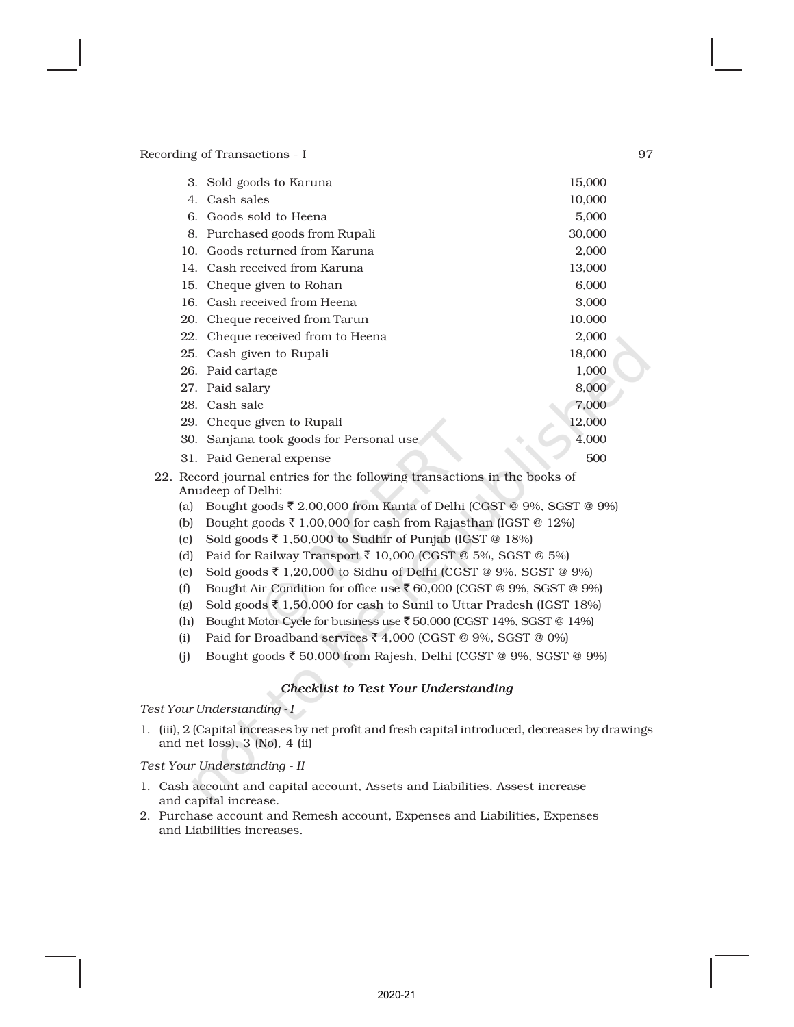|     | 3. Sold goods to Karuna                                                                        | 15,000 |
|-----|------------------------------------------------------------------------------------------------|--------|
| 4.  | Cash sales                                                                                     | 10,000 |
| 6.  | Goods sold to Heena                                                                            | 5,000  |
| 8.  | Purchased goods from Rupali                                                                    | 30,000 |
| 10. | Goods returned from Karuna                                                                     | 2,000  |
| 14. | Cash received from Karuna                                                                      | 13,000 |
| 15. | Cheque given to Rohan                                                                          | 6,000  |
| 16. | Cash received from Heena                                                                       | 3,000  |
| 20. | Cheque received from Tarun                                                                     | 10.000 |
| 22. | Cheque received from to Heena                                                                  | 2,000  |
| 25. | Cash given to Rupali                                                                           | 18,000 |
|     | 26. Paid cartage                                                                               | 1,000  |
| 27. | Paid salary                                                                                    | 8,000  |
|     | 28. Cash sale                                                                                  | 7,000  |
| 29. | Cheque given to Rupali                                                                         | 12,000 |
| 30. | Sanjana took goods for Personal use                                                            | 4,000  |
|     | 31. Paid General expense                                                                       | 500    |
|     | 22. Record journal entries for the following transactions in the books of<br>Anudeep of Delhi: |        |
| (a) | Bought goods ₹ 2,00,000 from Kanta of Delhi (CGST @ 9%, SGST @ 9%)                             |        |

- (b) Bought goods  $\bar{\tau}$  1,00,000 for cash from Rajasthan (IGST @ 12%)
- (c) Sold goods  $\bar{\tau}$  1,50,000 to Sudhir of Punjab (IGST @ 18%)
- (d) Paid for Railway Transport  $\bar{z}$  10,000 (CGST @ 5%, SGST @ 5%)
- (e) Sold goods  $\bar{\tau}$  1,20,000 to Sidhu of Delhi (CGST @ 9%, SGST @ 9%)
- (f) Bought Air-Condition for office use  $\bar{\zeta}$  60,000 (CGST @ 9%, SGST @ 9%)
- (g) Sold goods  $\bar{\tau}$  1,50,000 for cash to Sunil to Uttar Pradesh (IGST 18%)
- (h) Bought Motor Cycle for business use  $\bar{C}$  50,000 (CGST 14%, SGST @ 14%)
- (i) Paid for Broadband services  $\bar{z}$  4,000 (CGST @ 9%, SGST @ 0%)
- (j) Bought goods  $\bar{z}$  50,000 from Rajesh, Delhi (CGST @ 9%, SGST @ 9%)

# *Checklist to Test Your Understanding*

*Test Your Understanding - I*

1. (iii), 2 (Capital increases by net profit and fresh capital introduced, decreases by drawings and net loss), 3 (No), 4 (ii)

*Test Your Understanding - II*

- 1. Cash account and capital account, Assets and Liabilities, Assest increase and capital increase.
- 2. Purchase account and Remesh account, Expenses and Liabilities, Expenses and Liabilities increases.